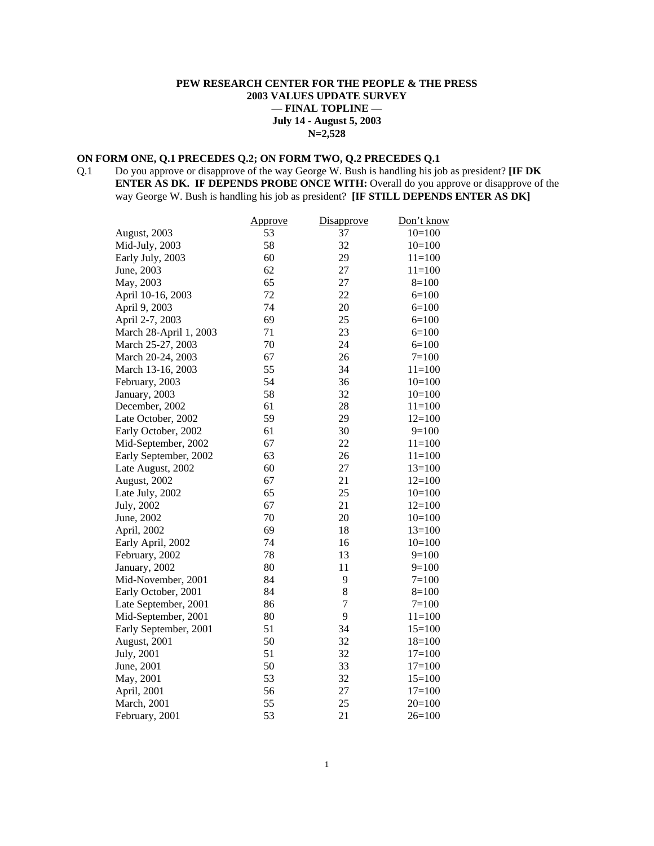## **PEW RESEARCH CENTER FOR THE PEOPLE & THE PRESS 2003 VALUES UPDATE SURVEY — FINAL TOPLINE — July 14 - August 5, 2003 N=2,528**

## **ON FORM ONE, Q.1 PRECEDES Q.2; ON FORM TWO, Q.2 PRECEDES Q.1**

Q.1 Do you approve or disapprove of the way George W. Bush is handling his job as president? **[IF DK ENTER AS DK. IF DEPENDS PROBE ONCE WITH:** Overall do you approve or disapprove of the way George W. Bush is handling his job as president? **[IF STILL DEPENDS ENTER AS DK]** 

|                        | Approve | Disapprove     | Don't know |
|------------------------|---------|----------------|------------|
| August, 2003           | 53      | 37             | $10=100$   |
| Mid-July, 2003         | 58      | 32             | $10=100$   |
| Early July, 2003       | 60      | 29             | $11=100$   |
| June, 2003             | 62      | 27             | $11=100$   |
| May, 2003              | 65      | 27             | $8=100$    |
| April 10-16, 2003      | 72      | 22             | $6=100$    |
| April 9, 2003          | 74      | 20             | $6=100$    |
| April 2-7, 2003        | 69      | 25             | $6=100$    |
| March 28-April 1, 2003 | 71      | 23             | $6=100$    |
| March 25-27, 2003      | 70      | 24             | $6=100$    |
| March 20-24, 2003      | 67      | 26             | $7=100$    |
| March 13-16, 2003      | 55      | 34             | $11 = 100$ |
| February, 2003         | 54      | 36             | $10=100$   |
| January, 2003          | 58      | 32             | $10=100$   |
| December, 2002         | 61      | 28             | $11=100$   |
| Late October, 2002     | 59      | 29             | $12=100$   |
| Early October, 2002    | 61      | 30             | $9=100$    |
| Mid-September, 2002    | 67      | 22             | $11=100$   |
| Early September, 2002  | 63      | 26             | $11=100$   |
| Late August, 2002      | 60      | 27             | $13=100$   |
| August, 2002           | 67      | 21             | $12=100$   |
| Late July, 2002        | 65      | 25             | $10=100$   |
| July, 2002             | 67      | 21             | $12=100$   |
| June, 2002             | 70      | 20             | $10=100$   |
| April, 2002            | 69      | 18             | $13=100$   |
| Early April, 2002      | 74      | 16             | $10=100$   |
| February, 2002         | 78      | 13             | $9=100$    |
| January, 2002          | 80      | 11             | $9=100$    |
| Mid-November, 2001     | 84      | 9              | $7 = 100$  |
| Early October, 2001    | 84      | 8              | $8=100$    |
| Late September, 2001   | 86      | $\overline{7}$ | $7 = 100$  |
| Mid-September, 2001    | 80      | 9              | $11=100$   |
| Early September, 2001  | 51      | 34             | $15=100$   |
| August, 2001           | 50      | 32             | $18=100$   |
| July, 2001             | 51      | 32             | $17=100$   |
| June, 2001             | 50      | 33             | $17=100$   |
| May, 2001              | 53      | 32             | $15=100$   |
| April, 2001            | 56      | 27             | $17=100$   |
| <b>March</b> , 2001    | 55      | 25             | $20=100$   |
| February, 2001         | 53      | 21             | $26=100$   |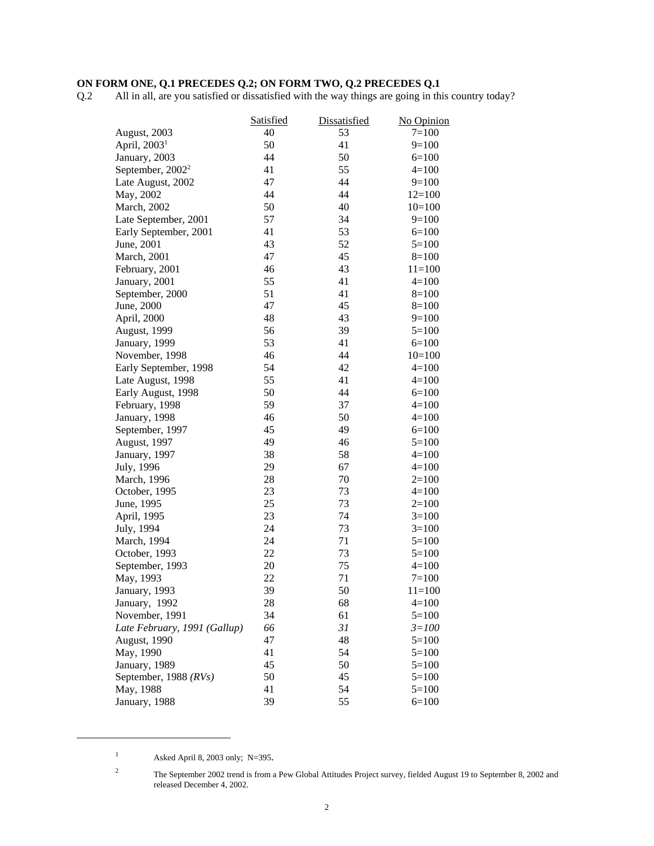#### **ON FORM ONE, Q.1 PRECEDES Q.2; ON FORM TWO, Q.2 PRECEDES Q.1**

Q.2 All in all, are you satisfied or dissatisfied with the way things are going in this country today?

|                              | Satisfied | Dissatisfied | No Opinion |
|------------------------------|-----------|--------------|------------|
| August, 2003                 | 40        | 53           | $7 = 100$  |
| April, 2003 <sup>1</sup>     | 50        | 41           | $9=100$    |
| January, 2003                | 44        | 50           | $6=100$    |
| September, 2002 <sup>2</sup> | 41        | 55           | $4=100$    |
| Late August, 2002            | 47        | 44           | $9=100$    |
| May, 2002                    | 44        | 44           | $12=100$   |
| March, 2002                  | 50        | 40           | $10=100$   |
| Late September, 2001         | 57        | 34           | $9=100$    |
| Early September, 2001        | 41        | 53           | $6=100$    |
| June, 2001                   | 43        | 52           | $5=100$    |
| March, 2001                  | 47        | 45           | $8=100$    |
| February, 2001               | 46        | 43           | $11=100$   |
| January, 2001                | 55        | 41           | $4=100$    |
| September, 2000              | 51        | 41           | $8=100$    |
| June, 2000                   | 47        | 45           | $8=100$    |
| April, 2000                  | 48        | 43           | $9=100$    |
| August, 1999                 | 56        | 39           | $5=100$    |
| January, 1999                | 53        | 41           | $6=100$    |
| November, 1998               | 46        | 44           | $10=100$   |
| Early September, 1998        | 54        | 42           | $4=100$    |
| Late August, 1998            | 55        | 41           | $4=100$    |
| Early August, 1998           | 50        | 44           | $6=100$    |
| February, 1998               | 59        | 37           | $4=100$    |
| January, 1998                | 46        | 50           | $4=100$    |
| September, 1997              | 45        | 49           | $6=100$    |
| August, 1997                 | 49        | 46           | $5=100$    |
| January, 1997                | 38        | 58           | $4=100$    |
| July, 1996                   | 29        | 67           | $4=100$    |
| March, 1996                  | 28        | 70           | $2=100$    |
| October, 1995                | 23        | 73           | $4=100$    |
| June, 1995                   | 25        | 73           | $2=100$    |
| April, 1995                  | 23        | 74           | $3=100$    |
| July, 1994                   | 24        | 73           | $3=100$    |
| March, 1994                  | 24        | 71           | $5=100$    |
| October, 1993                | 22        | 73           | $5=100$    |
| September, 1993              | 20        | 75           | $4=100$    |
| May, 1993                    | 22        | 71           | $7=100$    |
| January, 1993                | 39        | 50           | $11 = 100$ |
| January, 1992                | 28        | 68           | $4 = 100$  |
| November, 1991               | 34        | 61           | $5 = 100$  |
| Late February, 1991 (Gallup) | 66        | 31           | $3 = 100$  |
| August, 1990                 | 47        | 48           | $5=100$    |
| May, 1990                    | 41        | 54           | $5=100$    |
| January, 1989                | 45        | 50           | $5=100$    |
| September, 1988 (RVs)        | 50        | 45           | $5=100$    |
| May, 1988                    | 41        | 54           | $5=100$    |
| January, 1988                | 39        | 55           | $6=100$    |

<sup>&</sup>lt;sup>1</sup> Asked April 8, 2003 only; N=395.

<sup>2</sup> The September 2002 trend is from a Pew Global Attitudes Project survey, fielded August 19 to September 8, 2002 and released December 4, 2002.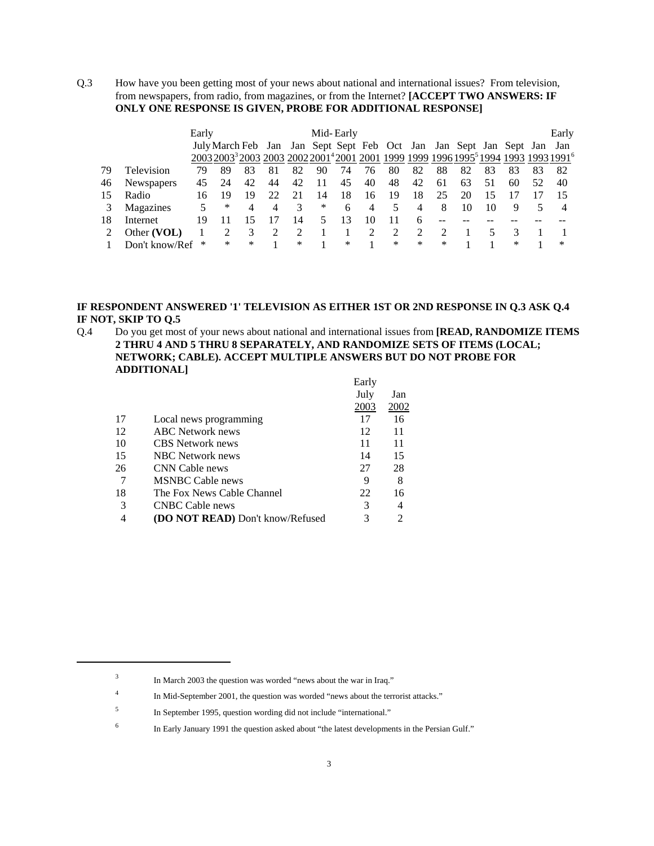Q.3 How have you been getting most of your news about national and international issues? From television, from newspapers, from radio, from magazines, or from the Internet? **[ACCEPT TWO ANSWERS: IF ONLY ONE RESPONSE IS GIVEN, PROBE FOR ADDITIONAL RESPONSE]**

|    |                | Early |    |                                                                    |    |    | Mid-Early |    |    |    |        |    |    |    |    |    | Early |
|----|----------------|-------|----|--------------------------------------------------------------------|----|----|-----------|----|----|----|--------|----|----|----|----|----|-------|
|    |                |       |    | July March Feb Jan Jan Sept Sept Feb Oct Jan Jan Sept Jan Sept Jan |    |    |           |    |    |    |        |    |    |    |    |    | Jan   |
|    |                |       |    |                                                                    |    |    |           |    |    |    |        |    |    |    |    |    |       |
| 79 | Television     | 79    | 89 |                                                                    | 81 | 82 | 90        | 74 | 76 | 80 | 82     | 88 | 82 | 83 | 83 | 83 | 82    |
| 46 | Newspapers     | 45    | 24 | 42                                                                 | 44 | 42 |           | 45 | 40 | 48 | 42     | 61 | 63 | 51 | 60 | 52 | 40    |
| 15 | Radio          | 16.   | 19 | 19                                                                 | フフ |    | 14        | 18 | 16 | 19 | 18     | 25 | 20 |    |    |    | 15    |
|    | Magazines      | 5     | *  | 4                                                                  | 4  | 3  | *         | 6  | 4  | 5  |        | 8  | 10 | 10 | 9  |    |       |
| 18 | Internet       | 19    |    |                                                                    |    | 14 |           |    | 10 | 11 | 6      |    |    |    |    |    |       |
|    | Other (VOL)    |       |    |                                                                    |    |    |           |    |    |    | 2      |    |    |    |    |    |       |
|    | Don't know/Ref | ∗     | ∗  | *                                                                  |    | *  |           | ∗  |    | *  | $\ast$ | *  |    |    | ∗  |    | *     |

#### **IF RESPONDENT ANSWERED '1' TELEVISION AS EITHER 1ST OR 2ND RESPONSE IN Q.3 ASK Q.4 IF NOT, SKIP TO Q.5**

Q.4 Do you get most of your news about national and international issues from **[READ, RANDOMIZE ITEMS 2 THRU 4 AND 5 THRU 8 SEPARATELY, AND RANDOMIZE SETS OF ITEMS (LOCAL; NETWORK; CABLE). ACCEPT MULTIPLE ANSWERS BUT DO NOT PROBE FOR ADDITIONAL]**  $E$ arlys

|    |                                         | Laliy |      |
|----|-----------------------------------------|-------|------|
|    |                                         | July  | Jan  |
|    |                                         | 2003  | 2002 |
| 17 | Local news programming                  | 17    | 16   |
| 12 | <b>ABC</b> Network news                 | 12    | 11   |
| 10 | <b>CBS</b> Network news                 | 11    | 11   |
| 15 | <b>NBC</b> Network news                 | 14    | 15   |
| 26 | CNN Cable news                          | 27    | 28   |
|    | <b>MSNBC Cable news</b>                 | 9     | 8    |
| 18 | The Fox News Cable Channel              | 22    | 16   |
| 3  | <b>CNBC Cable news</b>                  | 3     | 4    |
| 4  | <b>(DO NOT READ)</b> Don't know/Refused |       | 2    |
|    |                                         |       |      |

<sup>6</sup> In Early January 1991 the question asked about "the latest developments in the Persian Gulf."

<sup>3</sup> In March 2003 the question was worded "news about the war in Iraq."

<sup>4</sup> In Mid-September 2001, the question was worded "news about the terrorist attacks."

<sup>5</sup> In September 1995, question wording did not include "international."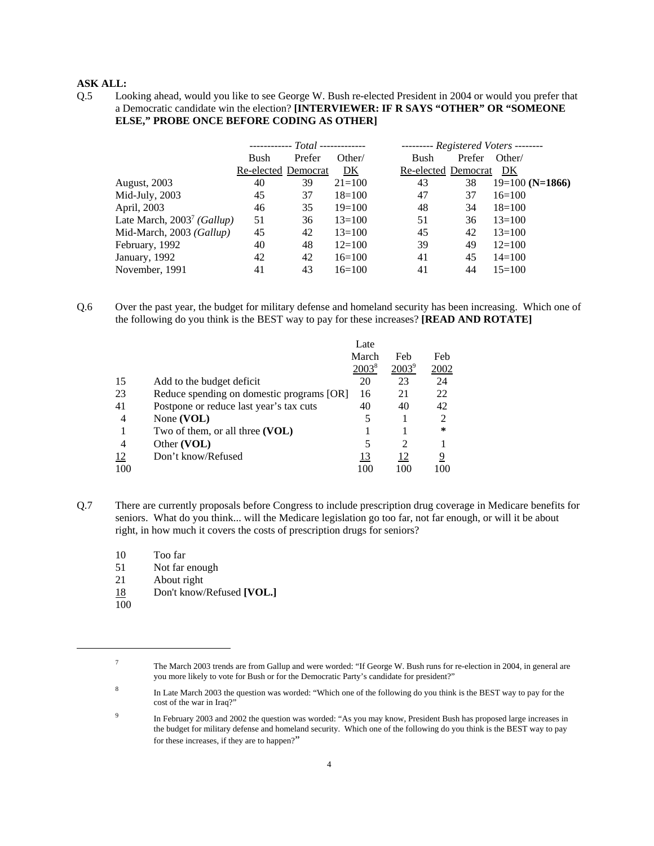Q.5 Looking ahead, would you like to see George W. Bush re-elected President in 2004 or would you prefer that a Democratic candidate win the election? **[INTERVIEWER: IF R SAYS "OTHER" OR "SOMEONE ELSE," PROBE ONCE BEFORE CODING AS OTHER]**

|                                        |                     | $-$ ------------ $Total$ ------------- |            |                     | $------$ Registered Voters -------- |                   |
|----------------------------------------|---------------------|----------------------------------------|------------|---------------------|-------------------------------------|-------------------|
|                                        | Bush                | Prefer                                 | Other/     | Bush                | Prefer                              | Other/            |
|                                        | Re-elected Democrat |                                        | DK         | Re-elected Democrat |                                     | DK                |
| <b>August, 2003</b>                    | 40                  | 39                                     | $21 = 100$ | 43                  | 38                                  | $19=100$ (N=1866) |
| Mid-July, 2003                         | 45                  | 37                                     | $18=100$   | 47                  | 37                                  | $16=100$          |
| April, 2003                            | 46                  | 35                                     | $19=100$   | 48                  | 34                                  | $18=100$          |
| Late March, 2003 <sup>7</sup> (Gallup) | 51                  | 36                                     | $13=100$   | 51                  | 36                                  | $13=100$          |
| Mid-March, 2003 (Gallup)               | 45                  | 42                                     | $13=100$   | 45                  | 42                                  | $13=100$          |
| February, 1992                         | 40                  | 48                                     | $12=100$   | 39                  | 49                                  | $12=100$          |
| January, 1992                          | 42                  | 42                                     | $16=100$   | 41                  | 45                                  | $14 = 100$        |
| November, 1991                         | 41                  | 43                                     | $16=100$   | 41                  | 44                                  | $15=100$          |

Q.6 Over the past year, the budget for military defense and homeland security has been increasing. Which one of the following do you think is the BEST way to pay for these increases? **[READ AND ROTATE]** 

|     |                                           | Late     |                             |                |
|-----|-------------------------------------------|----------|-----------------------------|----------------|
|     |                                           | March    | Feb                         | Feb            |
|     |                                           | $2003^8$ | $2003^9$                    | 2002           |
| 15  | Add to the budget deficit                 | 20       | 23                          | 24             |
| 23  | Reduce spending on domestic programs [OR] | 16       | 21                          | 22             |
| 41  | Postpone or reduce last year's tax cuts   | 40       | 40                          | 42             |
| 4   | None (VOL)                                | 5        |                             | $\overline{c}$ |
|     | Two of them, or all three $(VOL)$         |          |                             | $\ast$         |
| 4   | Other (VOL)                               | 5        | $\mathcal{D}_{\mathcal{L}}$ |                |
| 12  | Don't know/Refused                        | 13       | 12                          | 9              |
| 100 |                                           | 100      | 100                         |                |

- Q.7 There are currently proposals before Congress to include prescription drug coverage in Medicare benefits for seniors. What do you think... will the Medicare legislation go too far, not far enough, or will it be about right, in how much it covers the costs of prescription drugs for seniors?
	- 10 Too far
	- 51 Not far enough
	- 21 About right
	- 18 Don't know/Refused **[VOL.]**
	- 100

<sup>&</sup>lt;sup>7</sup> The March 2003 trends are from Gallup and were worded: "If George W. Bush runs for re-election in 2004, in general are you more likely to vote for Bush or for the Democratic Party's candidate for president?"

<sup>&</sup>lt;sup>8</sup> In Late March 2003 the question was worded: "Which one of the following do you think is the BEST way to pay for the cost of the war in Iraq?"

<sup>&</sup>lt;sup>9</sup> In February 2003 and 2002 the question was worded: "As you may know, President Bush has proposed large increases in the budget for military defense and homeland security. Which one of the following do you think is the BEST way to pay for these increases, if they are to happen?"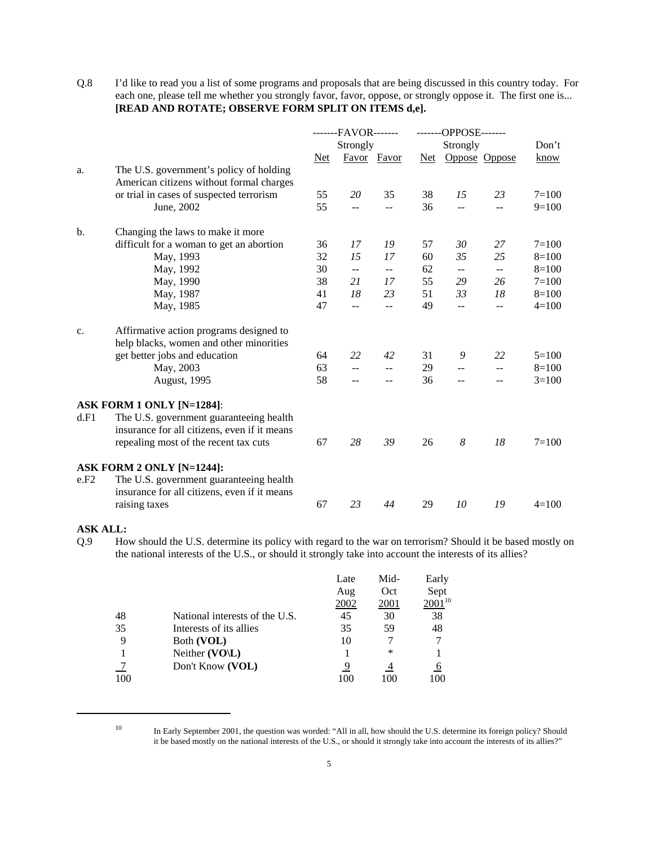Q.8 I'd like to read you a list of some programs and proposals that are being discussed in this country today. For each one, please tell me whether you strongly favor, favor, oppose, or strongly oppose it. The first one is... **[READ AND ROTATE; OBSERVE FORM SPLIT ON ITEMS d,e].**

|      |                                              | -------FAVOR------- |                | -------OPPOSE------- |    |                          |                          |           |
|------|----------------------------------------------|---------------------|----------------|----------------------|----|--------------------------|--------------------------|-----------|
|      |                                              |                     | Strongly       |                      |    | Strongly                 |                          | Don't     |
|      |                                              | Net                 |                | Favor Favor          |    |                          | Net Oppose Oppose        | know      |
| a.   | The U.S. government's policy of holding      |                     |                |                      |    |                          |                          |           |
|      | American citizens without formal charges     |                     |                |                      |    |                          |                          |           |
|      | or trial in cases of suspected terrorism     | 55                  | 20             | 35                   | 38 | 15                       | 23                       | $7 = 100$ |
|      | June, 2002                                   | 55                  |                | --                   | 36 | $\equiv$                 | $\overline{a}$           | $9=100$   |
| b.   | Changing the laws to make it more            |                     |                |                      |    |                          |                          |           |
|      | difficult for a woman to get an abortion     | 36                  | 17             | 19                   | 57 | 30                       | 27                       | $7 = 100$ |
|      | May, 1993                                    | 32                  | 15             | 17                   | 60 | 35                       | 25                       | $8=100$   |
|      | May, 1992                                    | 30                  | $\overline{a}$ | $-$                  | 62 | $\overline{\phantom{a}}$ | $\overline{\phantom{a}}$ | $8=100$   |
|      | May, 1990                                    | 38                  | 21             | 17                   | 55 | 29                       | 26                       | $7 = 100$ |
|      | May, 1987                                    | 41                  | 18             | 23                   | 51 | 33                       | 18                       | $8=100$   |
|      | May, 1985                                    | 47                  | $-$            | --                   | 49 | $\overline{a}$           | $-$                      | $4=100$   |
| c.   | Affirmative action programs designed to      |                     |                |                      |    |                          |                          |           |
|      | help blacks, women and other minorities      |                     |                |                      |    |                          |                          |           |
|      | get better jobs and education                | 64                  | 22             | 42                   | 31 | 9                        | 22                       | $5=100$   |
|      | May, 2003                                    | 63                  | $-$            |                      | 29 | $\overline{a}$           |                          | $8=100$   |
|      | August, 1995                                 | 58                  |                | $-$                  | 36 | $-$                      |                          | $3=100$   |
|      | ASK FORM 1 ONLY [N=1284]:                    |                     |                |                      |    |                          |                          |           |
| d.F1 | The U.S. government guaranteeing health      |                     |                |                      |    |                          |                          |           |
|      | insurance for all citizens, even if it means |                     |                |                      |    |                          |                          |           |
|      | repealing most of the recent tax cuts        | 67                  | 28             | 39                   | 26 | 8                        | 18                       | $7 = 100$ |
|      | ASK FORM 2 ONLY [N=1244]:                    |                     |                |                      |    |                          |                          |           |
| e.F2 | The U.S. government guaranteeing health      |                     |                |                      |    |                          |                          |           |
|      | insurance for all citizens, even if it means |                     |                |                      |    |                          |                          |           |
|      | raising taxes                                | 67                  | 23             | 44                   | 29 | 10                       | 19                       | $4=100$   |
|      |                                              |                     |                |                      |    |                          |                          |           |

### **ASK ALL:**

Q.9 How should the U.S. determine its policy with regard to the war on terrorism? Should it be based mostly on the national interests of the U.S., or should it strongly take into account the interests of its allies?

|     |                                | Late | Mid- | Early       |
|-----|--------------------------------|------|------|-------------|
|     |                                | Aug  | Oct  | Sept        |
|     |                                | 2002 | 2001 | $2001^{10}$ |
| 48  | National interests of the U.S. | 45   | 30   | 38          |
| 35  | Interests of its allies        | 35   | 59   | 48          |
|     | Both (VOL)                     | 10   |      |             |
|     | Neither (VO\L)                 |      | *    |             |
|     | Don't Know (VOL)               | 9    |      |             |
| 100 |                                |      | 100  | 100         |

<sup>&</sup>lt;sup>10</sup> In Early September 2001, the question was worded: "All in all, how should the U.S. determine its foreign policy? Should it be based mostly on the national interests of the U.S., or should it strongly take into account the interests of its allies?"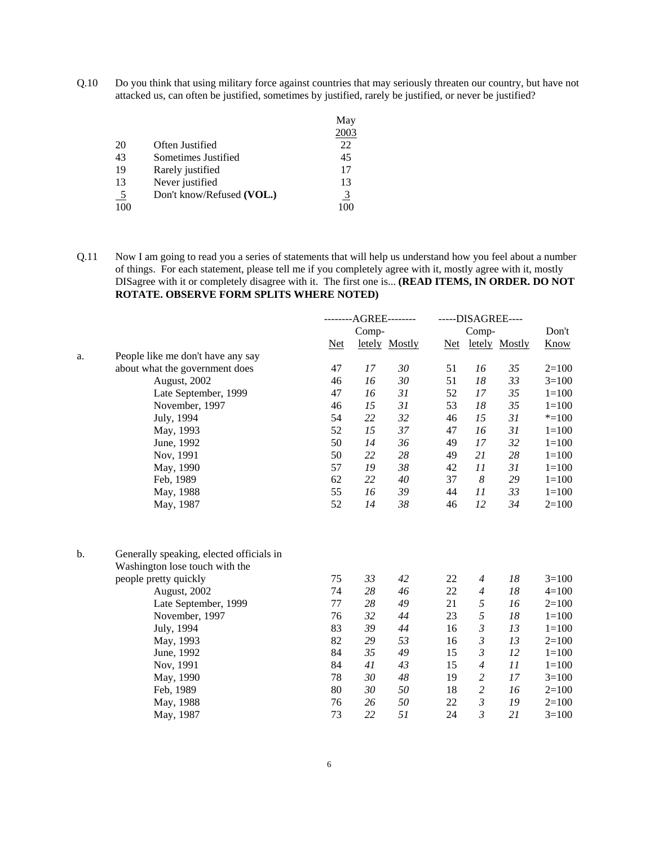Q.10 Do you think that using military force against countries that may seriously threaten our country, but have not attacked us, can often be justified, sometimes by justified, rarely be justified, or never be justified?

|               |                           | May  |
|---------------|---------------------------|------|
|               |                           | 2003 |
| 20            | Often Justified           | 22   |
| 43            | Sometimes Justified       | 45   |
| 19            | Rarely justified          | 17   |
| 13            | Never justified           | 13   |
| $\frac{5}{2}$ | Don't know/Refused (VOL.) | 3    |
|               |                           |      |

Q.11 Now I am going to read you a series of statements that will help us understand how you feel about a number of things. For each statement, please tell me if you completely agree with it, mostly agree with it, mostly DISagree with it or completely disagree with it. The first one is... **(READ ITEMS, IN ORDER. DO NOT ROTATE. OBSERVE FORM SPLITS WHERE NOTED)**

|               |                                                                            |       | --------AGREE-------- |               | -----DISAGREE---- |                  |               |             |  |
|---------------|----------------------------------------------------------------------------|-------|-----------------------|---------------|-------------------|------------------|---------------|-------------|--|
|               |                                                                            |       | Comp-                 |               |                   | Comp-            |               | Don't       |  |
|               |                                                                            | $Net$ |                       | letely Mostly | <u>Net</u>        |                  | letely Mostly | <b>Know</b> |  |
| a.            | People like me don't have any say                                          |       |                       |               |                   |                  |               |             |  |
|               | about what the government does                                             | 47    | 17                    | 30            | 51                | 16               | 35            | $2=100$     |  |
|               | August, 2002                                                               | 46    | 16                    | 30            | 51                | 18               | 33            | $3=100$     |  |
|               | Late September, 1999                                                       | 47    | 16                    | 31            | 52                | 17               | 35            | $1=100$     |  |
|               | November, 1997                                                             | 46    | 15                    | 31            | 53                | 18               | 35            | $1 = 100$   |  |
|               | July, 1994                                                                 | 54    | 22                    | 32            | 46                | 15               | 31            | $* = 100$   |  |
|               | May, 1993                                                                  | 52    | 15                    | 37            | 47                | 16               | 31            | $1 = 100$   |  |
|               | June, 1992                                                                 | 50    | 14                    | 36            | 49                | 17               | 32            | $1 = 100$   |  |
|               | Nov, 1991                                                                  | 50    | 22                    | $28\,$        | 49                | 21               | 28            | $1 = 100$   |  |
|               | May, 1990                                                                  | 57    | 19                    | 38            | 42                | 11               | 31            | $1=100$     |  |
|               | Feb, 1989                                                                  | 62    | 22                    | 40            | 37                | $\boldsymbol{8}$ | 29            | $1 = 100$   |  |
|               | May, 1988                                                                  | 55    | 16                    | 39            | 44                | 11               | 33            | $1 = 100$   |  |
|               | May, 1987                                                                  | 52    | 14                    | 38            | 46                | 12               | 34            | $2=100$     |  |
| $\mathbf b$ . | Generally speaking, elected officials in<br>Washington lose touch with the |       |                       |               |                   |                  |               |             |  |
|               | people pretty quickly                                                      | 75    | 33                    | 42            | 22                | $\overline{4}$   | 18            | $3=100$     |  |
|               | August, 2002                                                               | 74    | 28                    | 46            | 22                | $\overline{4}$   | 18            | $4=100$     |  |
|               | Late September, 1999                                                       | 77    | 28                    | 49            | 21                | 5                | 16            | $2=100$     |  |
|               | November, 1997                                                             | 76    | 32                    | 44            | 23                | 5                | 18            | $1 = 100$   |  |
|               | July, 1994                                                                 | 83    | 39                    | 44            | 16                | 3                | 13            | $1 = 100$   |  |
|               | May, 1993                                                                  | 82    | 29                    | 53            | 16                | 3                | 13            | $2=100$     |  |
|               | June, 1992                                                                 | 84    | 35                    | 49            | 15                | $\mathfrak{Z}$   | 12            | $1 = 100$   |  |
|               | Nov, 1991                                                                  | 84    | 41                    | 43            | 15                | $\overline{4}$   | 11            | $1 = 100$   |  |
|               | May, 1990                                                                  | 78    | 30                    | 48            | 19                | $\overline{c}$   | 17            | $3=100$     |  |
|               | Feb, 1989                                                                  | 80    | 30                    | 50            | 18                | $\overline{c}$   | 16            | $2=100$     |  |
|               | May, 1988                                                                  | 76    | 26                    | 50            | 22                | $\mathfrak{Z}$   | 19            | $2=100$     |  |
|               | May, 1987                                                                  | 73    | 22                    | 51            | 24                | $\mathfrak{Z}$   | 21            | $3=100$     |  |
|               |                                                                            |       |                       |               |                   |                  |               |             |  |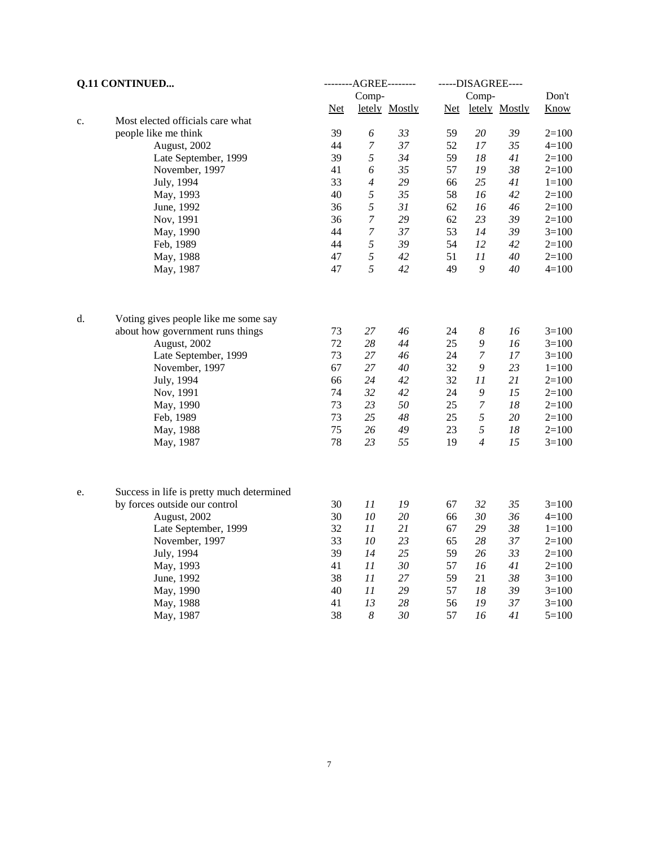| <b>Q.11 CONTINUED</b> |                                           |       |                  | --------AGREE-------- | -----DISAGREE---- |                  |               |             |
|-----------------------|-------------------------------------------|-------|------------------|-----------------------|-------------------|------------------|---------------|-------------|
|                       |                                           |       | Comp-            |                       |                   | Comp-            |               | Don't       |
|                       |                                           | $Net$ |                  | letely Mostly         | $Net$             |                  | letely Mostly | <b>Know</b> |
| c.                    | Most elected officials care what          |       |                  |                       |                   |                  |               |             |
|                       | people like me think                      | 39    | 6                | 33                    | 59                | 20               | 39            | $2=100$     |
|                       | August, 2002                              | 44    | $\boldsymbol{7}$ | 37                    | 52                | 17               | 35            | $4 = 100$   |
|                       | Late September, 1999                      | 39    | 5                | 34                    | 59                | 18               | 41            | $2=100$     |
|                       | November, 1997                            | 41    | 6                | 35                    | 57                | 19               | 38            | $2=100$     |
|                       | July, 1994                                | 33    | $\overline{4}$   | 29                    | 66                | 25               | 41            | $1 = 100$   |
|                       | May, 1993                                 | 40    | 5                | 35                    | 58                | 16               | 42            | $2=100$     |
|                       | June, 1992                                | 36    | 5                | 31                    | 62                | 16               | 46            | $2=100$     |
|                       | Nov, 1991                                 | 36    | $\boldsymbol{7}$ | 29                    | 62                | 23               | 39            | $2=100$     |
|                       | May, 1990                                 | 44    | $\boldsymbol{7}$ | 37                    | 53                | 14               | 39            | $3=100$     |
|                       | Feb, 1989                                 | 44    | 5                | 39                    | 54                | 12               | 42            | $2=100$     |
|                       | May, 1988                                 | 47    | 5                | 42                    | 51                | 11               | 40            | $2=100$     |
|                       | May, 1987                                 | 47    | 5                | 42                    | 49                | 9                | 40            | $4 = 100$   |
| d.                    | Voting gives people like me some say      |       |                  |                       |                   |                  |               |             |
|                       | about how government runs things          | 73    | 27               | 46                    | 24                | $\boldsymbol{8}$ | 16            | $3=100$     |
|                       | August, 2002                              | 72    | 28               | 44                    | 25                | $\boldsymbol{9}$ | 16            | $3=100$     |
|                       | Late September, 1999                      | 73    | $27\,$           | 46                    | 24                | $\overline{7}$   | 17            | $3=100$     |
|                       | November, 1997                            | 67    | 27               | 40                    | 32                | 9                | 23            | $1 = 100$   |
|                       | July, 1994                                | 66    | 24               | 42                    | 32                | 11               | 21            | $2=100$     |
|                       | Nov, 1991                                 | 74    | 32               | 42                    | 24                | $\mathfrak g$    | 15            | $2=100$     |
|                       | May, 1990                                 | 73    | 23               | 50                    | 25                | $\boldsymbol{7}$ | 18            | $2=100$     |
|                       | Feb, 1989                                 | 73    | 25               | 48                    | 25                | $\sqrt{2}$       | 20            | $2=100$     |
|                       | May, 1988                                 | 75    | 26               | 49                    | 23                | $\sqrt{5}$       | 18            | $2=100$     |
|                       | May, 1987                                 | 78    | 23               | 55                    | 19                | $\overline{4}$   | 15            | $3=100$     |
| e.                    | Success in life is pretty much determined |       |                  |                       |                   |                  |               |             |
|                       | by forces outside our control             | 30    | 11               | 19                    | 67                | 32               | 35            | $3=100$     |
|                       | August, 2002                              | 30    | $10\,$           | 20                    | 66                | 30               | 36            | $4 = 100$   |
|                       | Late September, 1999                      | 32    | 11               | 21                    | 67                | 29               | 38            | $1 = 100$   |
|                       | November, 1997                            | 33    | $10\,$           | 23                    | 65                | 28               | 37            | $2=100$     |
|                       | July, 1994                                | 39    | 14               | 25                    | 59                | 26               | 33            | $2=100$     |
|                       | May, 1993                                 | 41    | 11               | 30                    | 57                | 16               | 41            | $2=100$     |
|                       |                                           | 38    | 11               | 27                    | 59                | 21               | 38            |             |
|                       | June, 1992                                |       |                  |                       |                   |                  |               | $3=100$     |
|                       | May, 1990                                 | 40    | 11               | 29                    | 57                | 18               | 39            | $3=100$     |
|                       | May, 1988                                 | 41    | 13               | 28                    | 56                | 19               | 37            | $3=100$     |
|                       | May, 1987                                 | 38    | 8                | 30                    | 57                | 16               | 41            | $5=100$     |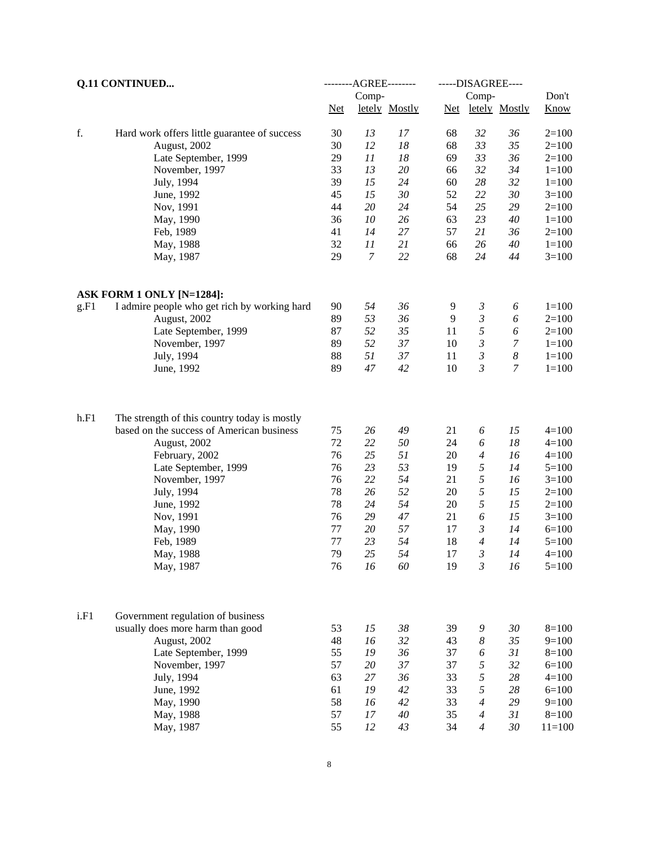| <b>Q.11 CONTINUED</b> |                                              |       | --------AGREE-------- |               | -----DISAGREE---- |                |                  |             |  |
|-----------------------|----------------------------------------------|-------|-----------------------|---------------|-------------------|----------------|------------------|-------------|--|
|                       |                                              |       | Comp-                 |               |                   | Comp-          |                  | Don't       |  |
|                       |                                              | $Net$ |                       | letely Mostly | Net               |                | letely Mostly    | <b>Know</b> |  |
| f.                    | Hard work offers little guarantee of success | 30    | 13                    | 17            | 68                | 32             | 36               | $2=100$     |  |
|                       | August, 2002                                 | 30    | 12                    | 18            | 68                | 33             | 35               | $2=100$     |  |
|                       | Late September, 1999                         | 29    | 11                    | 18            | 69                | 33             | 36               | $2=100$     |  |
|                       | November, 1997                               | 33    | 13                    | 20            | 66                | 32             | 34               | $1 = 100$   |  |
|                       | July, 1994                                   | 39    | 15                    | 24            | 60                | 28             | 32               | $1 = 100$   |  |
|                       | June, 1992                                   | 45    | 15                    | 30            | 52                | 22             | 30               | $3=100$     |  |
|                       | Nov, 1991                                    | 44    | 20                    | 24            | 54                | 25             | 29               | $2=100$     |  |
|                       | May, 1990                                    | 36    | 10                    | 26            | 63                | 23             | 40               | $1 = 100$   |  |
|                       | Feb, 1989                                    | 41    | 14                    | 27            | 57                | 21             | 36               | $2=100$     |  |
|                       | May, 1988                                    | 32    | 11                    | 21            | 66                | 26             | 40               | $1 = 100$   |  |
|                       | May, 1987                                    | 29    | $\overline{7}$        | 22            | 68                | 24             | 44               | $3=100$     |  |
|                       | ASK FORM 1 ONLY [N=1284]:                    |       |                       |               |                   |                |                  |             |  |
| g.F1                  | I admire people who get rich by working hard | 90    | 54                    | 36            | 9                 | 3              | 6                | $1 = 100$   |  |
|                       | August, 2002                                 | 89    | 53                    | 36            | 9                 | $\mathfrak{Z}$ | 6                | $2=100$     |  |
|                       | Late September, 1999                         | 87    | 52                    | 35            | 11                | 5              | 6                | $2=100$     |  |
|                       | November, 1997                               | 89    | 52                    | 37            | 10                | $\mathfrak{Z}$ | 7                | $1 = 100$   |  |
|                       | July, 1994                                   | 88    | 51                    | 37            | 11                | $\mathfrak{Z}$ | $\boldsymbol{8}$ | $1 = 100$   |  |
|                       | June, 1992                                   | 89    | 47                    | 42            | 10                | 3              | 7                | $1 = 100$   |  |
| h.F1                  | The strength of this country today is mostly |       |                       |               |                   |                |                  |             |  |
|                       | based on the success of American business    | 75    | 26                    | 49            | 21                | 6              | 15               | $4=100$     |  |
|                       | August, 2002                                 | 72    | 22                    | 50            | 24                | 6              | 18               | $4=100$     |  |
|                       | February, 2002                               | 76    | 25                    | 51            | 20                | $\overline{4}$ | 16               | $4=100$     |  |
|                       | Late September, 1999                         | 76    | 23                    | 53            | 19                | 5              | 14               | $5=100$     |  |
|                       | November, 1997                               | 76    | 22                    | 54            | 21                | $\sqrt{2}$     | 16               | $3=100$     |  |
|                       | July, 1994                                   | 78    | 26                    | 52            | 20                | 5              | 15               | $2=100$     |  |
|                       | June, 1992                                   | 78    | 24                    | 54            | 20                | 5              | 15               | $2=100$     |  |
|                       | Nov, 1991                                    | 76    | 29                    | 47            | 21                | 6              | 15               | $3=100$     |  |
|                       | May, 1990                                    | 77    | 20                    | 57            | 17                | $\mathfrak{Z}$ | 14               | $6=100$     |  |
|                       | Feb, 1989                                    | 77    | 23                    | 54            | 18                | $\overline{4}$ | 14               | $5=100$     |  |
|                       | May, 1988                                    | 79    | 25                    | 54            | 17                | $\mathfrak{Z}$ | 14               | $4=100$     |  |
|                       | May, 1987                                    | 76    | 16                    | 60            | 19                | $\mathfrak{Z}$ | 16               | $5=100$     |  |
| i.F1                  |                                              |       |                       |               |                   |                |                  |             |  |
|                       | Government regulation of business            |       |                       | 38            |                   |                |                  | $8=100$     |  |
|                       | usually does more harm than good             | 53    | 15                    |               | 39                | 9              | 30               |             |  |
|                       | August, 2002                                 | 48    | 16                    | 32            | 43                | 8              | 35               | $9=100$     |  |
|                       | Late September, 1999                         | 55    | 19                    | 36            | 37                | 6              | 31               | $8 = 100$   |  |
|                       | November, 1997                               | 57    | $20\,$                | 37            | 37                | 5              | 32               | $6 = 100$   |  |
|                       | July, 1994                                   | 63    | 27                    | 36            | 33                | 5              | 28               | $4 = 100$   |  |
|                       | June, 1992                                   | 61    | 19                    | 42            | 33                | 5              | 28               | $6 = 100$   |  |
|                       | May, 1990                                    | 58    | 16                    | 42            | 33                | 4              | 29               | $9=100$     |  |
|                       | May, 1988                                    | 57    | 17                    | 40            | 35                | 4              | 31               | $8 = 100$   |  |
|                       | May, 1987                                    | 55    | 12                    | 43            | 34                | 4              | 30               | $11 = 100$  |  |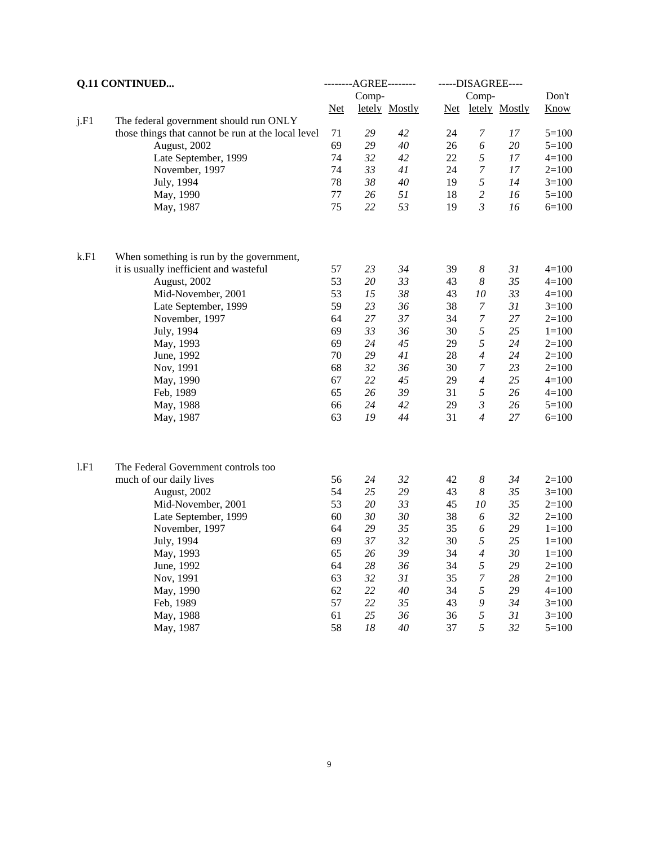|      | <b>Q.11 CONTINUED</b>                              |          | --------AGREE-------- |               |          | -----DISAGREE----          |               |                      |
|------|----------------------------------------------------|----------|-----------------------|---------------|----------|----------------------------|---------------|----------------------|
|      |                                                    |          | Comp-                 |               |          | Comp-                      |               | Don't                |
|      |                                                    | $Net$    |                       | letely Mostly | $Net$    |                            | letely Mostly | <b>Know</b>          |
| j.F1 | The federal government should run ONLY             |          |                       |               |          |                            |               |                      |
|      | those things that cannot be run at the local level | 71       | 29                    | 42            | 24       | 7                          | 17            | $5=100$              |
|      | August, 2002                                       | 69<br>74 | 29<br>32              | 40            | 26<br>22 | 6<br>$\sqrt{2}$            | 20<br>17      | $5=100$              |
|      | Late September, 1999                               | 74       | 33                    | 42            | 24       | $\boldsymbol{7}$           | 17            | $4 = 100$            |
|      | November, 1997                                     | 78       | 38                    | 41<br>40      | 19       | 5                          | 14            | $2=100$<br>$3=100$   |
|      | July, 1994<br>May, 1990                            | 77       | 26                    | 51            | 18       | $\mathfrak{2}$             | 16            | $5=100$              |
|      | May, 1987                                          | 75       | 22                    | 53            | 19       | $\mathfrak{Z}$             | 16            | $6=100$              |
|      |                                                    |          |                       |               |          |                            |               |                      |
| k.F1 | When something is run by the government,           |          |                       |               |          |                            |               |                      |
|      | it is usually inefficient and wasteful             | 57<br>53 | 23                    | 34<br>33      | 39       | 8                          | 31            | $4 = 100$            |
|      | August, 2002<br>Mid-November, 2001                 | 53       | 20<br>15              | 38            | 43<br>43 | $\boldsymbol{8}$<br>$10\,$ | 35<br>33      | $4 = 100$<br>$4=100$ |
|      | Late September, 1999                               | 59       | 23                    | 36            | 38       | $\boldsymbol{7}$           | 31            | $3=100$              |
|      | November, 1997                                     | 64       | 27                    | 37            | 34       | $\boldsymbol{7}$           | 27            | $2=100$              |
|      | July, 1994                                         | 69       | 33                    | 36            | 30       | $\sqrt{2}$                 | 25            | $1 = 100$            |
|      | May, 1993                                          | 69       | 24                    | 45            | 29       | $\sqrt{2}$                 | 24            | $2=100$              |
|      | June, 1992                                         | 70       | 29                    | 41            | 28       | $\overline{4}$             | 24            | $2=100$              |
|      | Nov, 1991                                          | 68       | 32                    | 36            | 30       | $\overline{7}$             | 23            | $2=100$              |
|      | May, 1990                                          | 67       | 22                    | 45            | 29       | $\overline{4}$             | 25            | $4 = 100$            |
|      | Feb, 1989                                          | 65       | 26                    | 39            | 31       | 5                          | 26            | $4 = 100$            |
|      | May, 1988                                          | 66       | 24                    | 42            | 29       | $\mathfrak{Z}$             | 26            | $5 = 100$            |
|      | May, 1987                                          | 63       | 19                    | 44            | 31       | $\overline{4}$             | 27            | $6=100$              |
|      |                                                    |          |                       |               |          |                            |               |                      |
| 1.F1 | The Federal Government controls too                |          |                       | 32            |          | $\boldsymbol{8}$           | 34            |                      |
|      | much of our daily lives<br>August, 2002            | 56<br>54 | 24<br>25              | 29            | 42<br>43 | 8                          | 35            | $2=100$<br>$3=100$   |
|      | Mid-November, 2001                                 | 53       | 20                    | 33            | 45       | $10\,$                     | 35            | $2=100$              |
|      | Late September, 1999                               | 60       | 30                    | 30            | 38       | 6                          | 32            | $2=100$              |
|      | November, 1997                                     | 64       | 29                    | 35            | 35       | 6                          | 29            | $1 = 100$            |
|      | July, 1994                                         | 69       | 37                    | 32            | 30       | 5                          | 25            | $1 = 100$            |
|      | May, 1993                                          | 65       | 26                    | 39            | 34       | $\overline{4}$             | 30            | $1 = 100$            |
|      | June, 1992                                         | 64       | 28                    | 36            | 34       | 5                          | 29            | $2=100$              |
|      | Nov, 1991                                          | 63       | 32                    | 31            | 35       | $\boldsymbol{7}$           | 28            | $2=100$              |
|      | May, 1990                                          | 62       | 22                    | 40            | 34       | 5                          | 29            | $4 = 100$            |
|      | Feb, 1989                                          | 57       | 22                    | 35            | 43       | 9                          | 34            | $3=100$              |
|      | May, 1988                                          | 61       | 25                    | 36            | 36       | 5                          | 31            | $3=100$              |
|      | May, 1987                                          | 58       | 18                    | $40\,$        | 37       | 5                          | 32            | $5 = 100$            |
|      |                                                    |          |                       |               |          |                            |               |                      |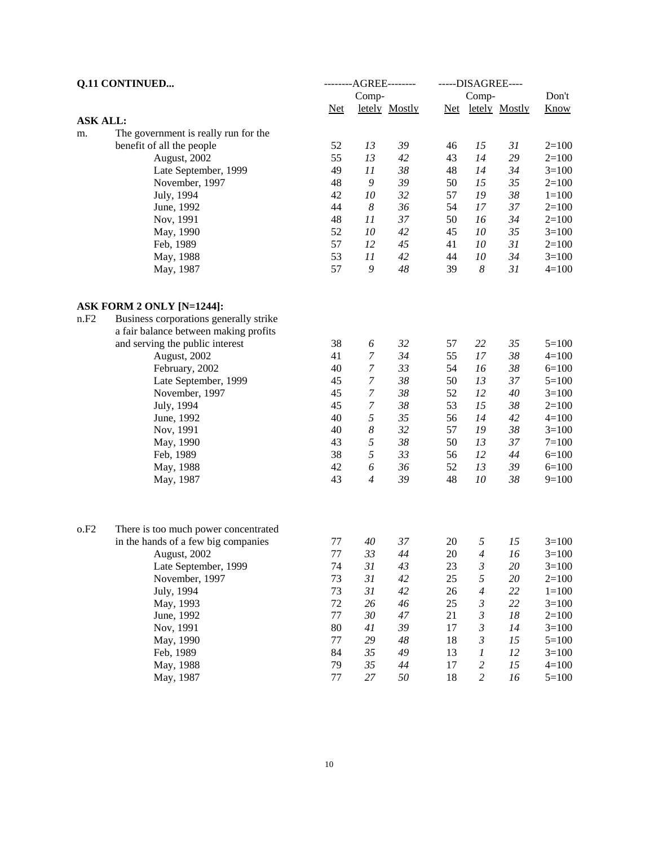| Comp-<br>Comp-<br>Know<br>$Net$<br>letely Mostly<br>Net letely Mostly<br><b>ASK ALL:</b><br>The government is really run for the<br>m.<br>benefit of all the people<br>52<br>13<br>39<br>15<br>31<br>$2=100$<br>46<br>55<br>13<br>29<br>August, 2002<br>42<br>43<br>14<br>$2=100$<br>49<br>11<br>38<br>Late September, 1999<br>48<br>14<br>34<br>$3=100$<br>$\mathfrak g$<br>39<br>48<br>50<br>15<br>35<br>November, 1997<br>$2=100$<br>32<br>19<br>38<br>42<br>$10\,$<br>57<br>July, 1994<br>$1 = 100$<br>44<br>$\boldsymbol{8}$<br>36<br>37<br>54<br>17<br>June, 1992<br>$2=100$<br>48<br>11<br>37<br>50<br>16<br>34<br>Nov, 1991<br>$2=100$<br>52<br>$10\,$<br>42<br>10<br>35<br>May, 1990<br>45<br>$3=100$<br>57<br>12<br>45<br>10<br>31<br>Feb, 1989<br>41<br>$2=100$<br>53<br>11<br>42<br>10<br>34<br>44<br>$3=100$<br>May, 1988<br>57<br>9<br>48<br>39<br>8<br>31<br>$4 = 100$<br>May, 1987<br>ASK FORM 2 ONLY [N=1244]:<br>Business corporations generally strike<br>n.F2<br>a fair balance between making profits<br>32<br>35<br>and serving the public interest<br>38<br>6<br>57<br>22<br>$5 = 100$<br>34<br>$\boldsymbol{7}$<br>55<br>17<br>38<br>41<br>$4 = 100$<br>August, 2002<br>$\boldsymbol{7}$<br>33<br>38<br>40<br>54<br>16<br>February, 2002<br>$6=100$<br>$\boldsymbol{7}$<br>38<br>13<br>45<br>50<br>37<br>Late September, 1999<br>$5 = 100$<br>$\boldsymbol{7}$<br>38<br>45<br>52<br>12<br>$40\,$<br>November, 1997<br>$3=100$<br>$\boldsymbol{7}$<br>15<br>45<br>38<br>53<br>38<br>July, 1994<br>$2=100$<br>5<br>40<br>35<br>June, 1992<br>56<br>14<br>42<br>$4=100$<br>$\boldsymbol{8}$<br>32<br>40<br>19<br>38<br>Nov, 1991<br>57<br>$3=100$<br>43<br>5<br>38<br>37<br>May, 1990<br>50<br>13<br>$7 = 100$<br>5<br>38<br>33<br>56<br>12<br>44<br>Feb, 1989<br>$6=100$<br>42<br>6<br>36<br>13<br>52<br>39<br>$6=100$<br>May, 1988<br>43<br>$\overline{4}$<br>39<br>10<br>38<br>48<br>$9=100$<br>May, 1987<br>o.F2<br>There is too much power concentrated<br>37<br>$\sqrt{2}$<br>15<br>in the hands of a few big companies<br>77<br>40<br>20<br>$3=100$<br>$77\,$<br>33<br>20<br>44<br>$\overline{4}$<br>16<br>$3=100$<br>August, 2002<br>74<br>31<br>43<br>$\mathfrak{Z}$<br>20<br>Late September, 1999<br>23<br>$3 = 100$<br>73<br>5<br>31<br>42<br>25<br>20<br>November, 1997<br>$2=100$<br>31<br>42<br>73<br>26<br>22<br>July, 1994<br>$\overline{4}$<br>$1 = 100$<br>72<br>$\mathfrak{Z}$<br>22<br>26<br>46<br>25<br>May, 1993<br>$3=100$<br>77<br>$\mathfrak{Z}$<br>$30\,$<br>$47\,$<br>21<br>18<br>June, 1992<br>$2=100$<br>80<br>39<br>41<br>17<br>3<br>14<br>Nov, 1991<br>$3 = 100$<br>77<br>29<br>$48\,$<br>18<br>3<br>15<br>May, 1990<br>$5 = 100$ | <b>Q.11 CONTINUED</b> |    | --------AGREE-------- |  |  |  | -----DISAGREE---- |       |  |  |
|---------------------------------------------------------------------------------------------------------------------------------------------------------------------------------------------------------------------------------------------------------------------------------------------------------------------------------------------------------------------------------------------------------------------------------------------------------------------------------------------------------------------------------------------------------------------------------------------------------------------------------------------------------------------------------------------------------------------------------------------------------------------------------------------------------------------------------------------------------------------------------------------------------------------------------------------------------------------------------------------------------------------------------------------------------------------------------------------------------------------------------------------------------------------------------------------------------------------------------------------------------------------------------------------------------------------------------------------------------------------------------------------------------------------------------------------------------------------------------------------------------------------------------------------------------------------------------------------------------------------------------------------------------------------------------------------------------------------------------------------------------------------------------------------------------------------------------------------------------------------------------------------------------------------------------------------------------------------------------------------------------------------------------------------------------------------------------------------------------------------------------------------------------------------------------------------------------------------------------------------------------------------------------------------------------------------------------------------------------------------------------------------------------------------------------------------------------------------------------------------------------------------------------------------------------------------------------------------------------------------------------------------------------------------------------------|-----------------------|----|-----------------------|--|--|--|-------------------|-------|--|--|
|                                                                                                                                                                                                                                                                                                                                                                                                                                                                                                                                                                                                                                                                                                                                                                                                                                                                                                                                                                                                                                                                                                                                                                                                                                                                                                                                                                                                                                                                                                                                                                                                                                                                                                                                                                                                                                                                                                                                                                                                                                                                                                                                                                                                                                                                                                                                                                                                                                                                                                                                                                                                                                                                                       |                       |    |                       |  |  |  |                   | Don't |  |  |
|                                                                                                                                                                                                                                                                                                                                                                                                                                                                                                                                                                                                                                                                                                                                                                                                                                                                                                                                                                                                                                                                                                                                                                                                                                                                                                                                                                                                                                                                                                                                                                                                                                                                                                                                                                                                                                                                                                                                                                                                                                                                                                                                                                                                                                                                                                                                                                                                                                                                                                                                                                                                                                                                                       |                       |    |                       |  |  |  |                   |       |  |  |
|                                                                                                                                                                                                                                                                                                                                                                                                                                                                                                                                                                                                                                                                                                                                                                                                                                                                                                                                                                                                                                                                                                                                                                                                                                                                                                                                                                                                                                                                                                                                                                                                                                                                                                                                                                                                                                                                                                                                                                                                                                                                                                                                                                                                                                                                                                                                                                                                                                                                                                                                                                                                                                                                                       |                       |    |                       |  |  |  |                   |       |  |  |
|                                                                                                                                                                                                                                                                                                                                                                                                                                                                                                                                                                                                                                                                                                                                                                                                                                                                                                                                                                                                                                                                                                                                                                                                                                                                                                                                                                                                                                                                                                                                                                                                                                                                                                                                                                                                                                                                                                                                                                                                                                                                                                                                                                                                                                                                                                                                                                                                                                                                                                                                                                                                                                                                                       |                       |    |                       |  |  |  |                   |       |  |  |
|                                                                                                                                                                                                                                                                                                                                                                                                                                                                                                                                                                                                                                                                                                                                                                                                                                                                                                                                                                                                                                                                                                                                                                                                                                                                                                                                                                                                                                                                                                                                                                                                                                                                                                                                                                                                                                                                                                                                                                                                                                                                                                                                                                                                                                                                                                                                                                                                                                                                                                                                                                                                                                                                                       |                       |    |                       |  |  |  |                   |       |  |  |
|                                                                                                                                                                                                                                                                                                                                                                                                                                                                                                                                                                                                                                                                                                                                                                                                                                                                                                                                                                                                                                                                                                                                                                                                                                                                                                                                                                                                                                                                                                                                                                                                                                                                                                                                                                                                                                                                                                                                                                                                                                                                                                                                                                                                                                                                                                                                                                                                                                                                                                                                                                                                                                                                                       |                       |    |                       |  |  |  |                   |       |  |  |
|                                                                                                                                                                                                                                                                                                                                                                                                                                                                                                                                                                                                                                                                                                                                                                                                                                                                                                                                                                                                                                                                                                                                                                                                                                                                                                                                                                                                                                                                                                                                                                                                                                                                                                                                                                                                                                                                                                                                                                                                                                                                                                                                                                                                                                                                                                                                                                                                                                                                                                                                                                                                                                                                                       |                       |    |                       |  |  |  |                   |       |  |  |
|                                                                                                                                                                                                                                                                                                                                                                                                                                                                                                                                                                                                                                                                                                                                                                                                                                                                                                                                                                                                                                                                                                                                                                                                                                                                                                                                                                                                                                                                                                                                                                                                                                                                                                                                                                                                                                                                                                                                                                                                                                                                                                                                                                                                                                                                                                                                                                                                                                                                                                                                                                                                                                                                                       |                       |    |                       |  |  |  |                   |       |  |  |
|                                                                                                                                                                                                                                                                                                                                                                                                                                                                                                                                                                                                                                                                                                                                                                                                                                                                                                                                                                                                                                                                                                                                                                                                                                                                                                                                                                                                                                                                                                                                                                                                                                                                                                                                                                                                                                                                                                                                                                                                                                                                                                                                                                                                                                                                                                                                                                                                                                                                                                                                                                                                                                                                                       |                       |    |                       |  |  |  |                   |       |  |  |
|                                                                                                                                                                                                                                                                                                                                                                                                                                                                                                                                                                                                                                                                                                                                                                                                                                                                                                                                                                                                                                                                                                                                                                                                                                                                                                                                                                                                                                                                                                                                                                                                                                                                                                                                                                                                                                                                                                                                                                                                                                                                                                                                                                                                                                                                                                                                                                                                                                                                                                                                                                                                                                                                                       |                       |    |                       |  |  |  |                   |       |  |  |
|                                                                                                                                                                                                                                                                                                                                                                                                                                                                                                                                                                                                                                                                                                                                                                                                                                                                                                                                                                                                                                                                                                                                                                                                                                                                                                                                                                                                                                                                                                                                                                                                                                                                                                                                                                                                                                                                                                                                                                                                                                                                                                                                                                                                                                                                                                                                                                                                                                                                                                                                                                                                                                                                                       |                       |    |                       |  |  |  |                   |       |  |  |
|                                                                                                                                                                                                                                                                                                                                                                                                                                                                                                                                                                                                                                                                                                                                                                                                                                                                                                                                                                                                                                                                                                                                                                                                                                                                                                                                                                                                                                                                                                                                                                                                                                                                                                                                                                                                                                                                                                                                                                                                                                                                                                                                                                                                                                                                                                                                                                                                                                                                                                                                                                                                                                                                                       |                       |    |                       |  |  |  |                   |       |  |  |
|                                                                                                                                                                                                                                                                                                                                                                                                                                                                                                                                                                                                                                                                                                                                                                                                                                                                                                                                                                                                                                                                                                                                                                                                                                                                                                                                                                                                                                                                                                                                                                                                                                                                                                                                                                                                                                                                                                                                                                                                                                                                                                                                                                                                                                                                                                                                                                                                                                                                                                                                                                                                                                                                                       |                       |    |                       |  |  |  |                   |       |  |  |
|                                                                                                                                                                                                                                                                                                                                                                                                                                                                                                                                                                                                                                                                                                                                                                                                                                                                                                                                                                                                                                                                                                                                                                                                                                                                                                                                                                                                                                                                                                                                                                                                                                                                                                                                                                                                                                                                                                                                                                                                                                                                                                                                                                                                                                                                                                                                                                                                                                                                                                                                                                                                                                                                                       |                       |    |                       |  |  |  |                   |       |  |  |
|                                                                                                                                                                                                                                                                                                                                                                                                                                                                                                                                                                                                                                                                                                                                                                                                                                                                                                                                                                                                                                                                                                                                                                                                                                                                                                                                                                                                                                                                                                                                                                                                                                                                                                                                                                                                                                                                                                                                                                                                                                                                                                                                                                                                                                                                                                                                                                                                                                                                                                                                                                                                                                                                                       |                       |    |                       |  |  |  |                   |       |  |  |
|                                                                                                                                                                                                                                                                                                                                                                                                                                                                                                                                                                                                                                                                                                                                                                                                                                                                                                                                                                                                                                                                                                                                                                                                                                                                                                                                                                                                                                                                                                                                                                                                                                                                                                                                                                                                                                                                                                                                                                                                                                                                                                                                                                                                                                                                                                                                                                                                                                                                                                                                                                                                                                                                                       |                       |    |                       |  |  |  |                   |       |  |  |
|                                                                                                                                                                                                                                                                                                                                                                                                                                                                                                                                                                                                                                                                                                                                                                                                                                                                                                                                                                                                                                                                                                                                                                                                                                                                                                                                                                                                                                                                                                                                                                                                                                                                                                                                                                                                                                                                                                                                                                                                                                                                                                                                                                                                                                                                                                                                                                                                                                                                                                                                                                                                                                                                                       |                       |    |                       |  |  |  |                   |       |  |  |
|                                                                                                                                                                                                                                                                                                                                                                                                                                                                                                                                                                                                                                                                                                                                                                                                                                                                                                                                                                                                                                                                                                                                                                                                                                                                                                                                                                                                                                                                                                                                                                                                                                                                                                                                                                                                                                                                                                                                                                                                                                                                                                                                                                                                                                                                                                                                                                                                                                                                                                                                                                                                                                                                                       |                       |    |                       |  |  |  |                   |       |  |  |
|                                                                                                                                                                                                                                                                                                                                                                                                                                                                                                                                                                                                                                                                                                                                                                                                                                                                                                                                                                                                                                                                                                                                                                                                                                                                                                                                                                                                                                                                                                                                                                                                                                                                                                                                                                                                                                                                                                                                                                                                                                                                                                                                                                                                                                                                                                                                                                                                                                                                                                                                                                                                                                                                                       |                       |    |                       |  |  |  |                   |       |  |  |
|                                                                                                                                                                                                                                                                                                                                                                                                                                                                                                                                                                                                                                                                                                                                                                                                                                                                                                                                                                                                                                                                                                                                                                                                                                                                                                                                                                                                                                                                                                                                                                                                                                                                                                                                                                                                                                                                                                                                                                                                                                                                                                                                                                                                                                                                                                                                                                                                                                                                                                                                                                                                                                                                                       |                       |    |                       |  |  |  |                   |       |  |  |
|                                                                                                                                                                                                                                                                                                                                                                                                                                                                                                                                                                                                                                                                                                                                                                                                                                                                                                                                                                                                                                                                                                                                                                                                                                                                                                                                                                                                                                                                                                                                                                                                                                                                                                                                                                                                                                                                                                                                                                                                                                                                                                                                                                                                                                                                                                                                                                                                                                                                                                                                                                                                                                                                                       |                       |    |                       |  |  |  |                   |       |  |  |
|                                                                                                                                                                                                                                                                                                                                                                                                                                                                                                                                                                                                                                                                                                                                                                                                                                                                                                                                                                                                                                                                                                                                                                                                                                                                                                                                                                                                                                                                                                                                                                                                                                                                                                                                                                                                                                                                                                                                                                                                                                                                                                                                                                                                                                                                                                                                                                                                                                                                                                                                                                                                                                                                                       |                       |    |                       |  |  |  |                   |       |  |  |
|                                                                                                                                                                                                                                                                                                                                                                                                                                                                                                                                                                                                                                                                                                                                                                                                                                                                                                                                                                                                                                                                                                                                                                                                                                                                                                                                                                                                                                                                                                                                                                                                                                                                                                                                                                                                                                                                                                                                                                                                                                                                                                                                                                                                                                                                                                                                                                                                                                                                                                                                                                                                                                                                                       |                       |    |                       |  |  |  |                   |       |  |  |
|                                                                                                                                                                                                                                                                                                                                                                                                                                                                                                                                                                                                                                                                                                                                                                                                                                                                                                                                                                                                                                                                                                                                                                                                                                                                                                                                                                                                                                                                                                                                                                                                                                                                                                                                                                                                                                                                                                                                                                                                                                                                                                                                                                                                                                                                                                                                                                                                                                                                                                                                                                                                                                                                                       |                       |    |                       |  |  |  |                   |       |  |  |
|                                                                                                                                                                                                                                                                                                                                                                                                                                                                                                                                                                                                                                                                                                                                                                                                                                                                                                                                                                                                                                                                                                                                                                                                                                                                                                                                                                                                                                                                                                                                                                                                                                                                                                                                                                                                                                                                                                                                                                                                                                                                                                                                                                                                                                                                                                                                                                                                                                                                                                                                                                                                                                                                                       |                       |    |                       |  |  |  |                   |       |  |  |
|                                                                                                                                                                                                                                                                                                                                                                                                                                                                                                                                                                                                                                                                                                                                                                                                                                                                                                                                                                                                                                                                                                                                                                                                                                                                                                                                                                                                                                                                                                                                                                                                                                                                                                                                                                                                                                                                                                                                                                                                                                                                                                                                                                                                                                                                                                                                                                                                                                                                                                                                                                                                                                                                                       |                       |    |                       |  |  |  |                   |       |  |  |
|                                                                                                                                                                                                                                                                                                                                                                                                                                                                                                                                                                                                                                                                                                                                                                                                                                                                                                                                                                                                                                                                                                                                                                                                                                                                                                                                                                                                                                                                                                                                                                                                                                                                                                                                                                                                                                                                                                                                                                                                                                                                                                                                                                                                                                                                                                                                                                                                                                                                                                                                                                                                                                                                                       |                       |    |                       |  |  |  |                   |       |  |  |
|                                                                                                                                                                                                                                                                                                                                                                                                                                                                                                                                                                                                                                                                                                                                                                                                                                                                                                                                                                                                                                                                                                                                                                                                                                                                                                                                                                                                                                                                                                                                                                                                                                                                                                                                                                                                                                                                                                                                                                                                                                                                                                                                                                                                                                                                                                                                                                                                                                                                                                                                                                                                                                                                                       |                       |    |                       |  |  |  |                   |       |  |  |
|                                                                                                                                                                                                                                                                                                                                                                                                                                                                                                                                                                                                                                                                                                                                                                                                                                                                                                                                                                                                                                                                                                                                                                                                                                                                                                                                                                                                                                                                                                                                                                                                                                                                                                                                                                                                                                                                                                                                                                                                                                                                                                                                                                                                                                                                                                                                                                                                                                                                                                                                                                                                                                                                                       |                       |    |                       |  |  |  |                   |       |  |  |
|                                                                                                                                                                                                                                                                                                                                                                                                                                                                                                                                                                                                                                                                                                                                                                                                                                                                                                                                                                                                                                                                                                                                                                                                                                                                                                                                                                                                                                                                                                                                                                                                                                                                                                                                                                                                                                                                                                                                                                                                                                                                                                                                                                                                                                                                                                                                                                                                                                                                                                                                                                                                                                                                                       |                       |    |                       |  |  |  |                   |       |  |  |
|                                                                                                                                                                                                                                                                                                                                                                                                                                                                                                                                                                                                                                                                                                                                                                                                                                                                                                                                                                                                                                                                                                                                                                                                                                                                                                                                                                                                                                                                                                                                                                                                                                                                                                                                                                                                                                                                                                                                                                                                                                                                                                                                                                                                                                                                                                                                                                                                                                                                                                                                                                                                                                                                                       |                       |    |                       |  |  |  |                   |       |  |  |
|                                                                                                                                                                                                                                                                                                                                                                                                                                                                                                                                                                                                                                                                                                                                                                                                                                                                                                                                                                                                                                                                                                                                                                                                                                                                                                                                                                                                                                                                                                                                                                                                                                                                                                                                                                                                                                                                                                                                                                                                                                                                                                                                                                                                                                                                                                                                                                                                                                                                                                                                                                                                                                                                                       |                       |    |                       |  |  |  |                   |       |  |  |
|                                                                                                                                                                                                                                                                                                                                                                                                                                                                                                                                                                                                                                                                                                                                                                                                                                                                                                                                                                                                                                                                                                                                                                                                                                                                                                                                                                                                                                                                                                                                                                                                                                                                                                                                                                                                                                                                                                                                                                                                                                                                                                                                                                                                                                                                                                                                                                                                                                                                                                                                                                                                                                                                                       |                       |    |                       |  |  |  |                   |       |  |  |
|                                                                                                                                                                                                                                                                                                                                                                                                                                                                                                                                                                                                                                                                                                                                                                                                                                                                                                                                                                                                                                                                                                                                                                                                                                                                                                                                                                                                                                                                                                                                                                                                                                                                                                                                                                                                                                                                                                                                                                                                                                                                                                                                                                                                                                                                                                                                                                                                                                                                                                                                                                                                                                                                                       |                       |    |                       |  |  |  |                   |       |  |  |
|                                                                                                                                                                                                                                                                                                                                                                                                                                                                                                                                                                                                                                                                                                                                                                                                                                                                                                                                                                                                                                                                                                                                                                                                                                                                                                                                                                                                                                                                                                                                                                                                                                                                                                                                                                                                                                                                                                                                                                                                                                                                                                                                                                                                                                                                                                                                                                                                                                                                                                                                                                                                                                                                                       |                       |    |                       |  |  |  |                   |       |  |  |
|                                                                                                                                                                                                                                                                                                                                                                                                                                                                                                                                                                                                                                                                                                                                                                                                                                                                                                                                                                                                                                                                                                                                                                                                                                                                                                                                                                                                                                                                                                                                                                                                                                                                                                                                                                                                                                                                                                                                                                                                                                                                                                                                                                                                                                                                                                                                                                                                                                                                                                                                                                                                                                                                                       |                       |    |                       |  |  |  |                   |       |  |  |
|                                                                                                                                                                                                                                                                                                                                                                                                                                                                                                                                                                                                                                                                                                                                                                                                                                                                                                                                                                                                                                                                                                                                                                                                                                                                                                                                                                                                                                                                                                                                                                                                                                                                                                                                                                                                                                                                                                                                                                                                                                                                                                                                                                                                                                                                                                                                                                                                                                                                                                                                                                                                                                                                                       |                       |    |                       |  |  |  |                   |       |  |  |
|                                                                                                                                                                                                                                                                                                                                                                                                                                                                                                                                                                                                                                                                                                                                                                                                                                                                                                                                                                                                                                                                                                                                                                                                                                                                                                                                                                                                                                                                                                                                                                                                                                                                                                                                                                                                                                                                                                                                                                                                                                                                                                                                                                                                                                                                                                                                                                                                                                                                                                                                                                                                                                                                                       |                       |    |                       |  |  |  |                   |       |  |  |
|                                                                                                                                                                                                                                                                                                                                                                                                                                                                                                                                                                                                                                                                                                                                                                                                                                                                                                                                                                                                                                                                                                                                                                                                                                                                                                                                                                                                                                                                                                                                                                                                                                                                                                                                                                                                                                                                                                                                                                                                                                                                                                                                                                                                                                                                                                                                                                                                                                                                                                                                                                                                                                                                                       |                       |    |                       |  |  |  |                   |       |  |  |
|                                                                                                                                                                                                                                                                                                                                                                                                                                                                                                                                                                                                                                                                                                                                                                                                                                                                                                                                                                                                                                                                                                                                                                                                                                                                                                                                                                                                                                                                                                                                                                                                                                                                                                                                                                                                                                                                                                                                                                                                                                                                                                                                                                                                                                                                                                                                                                                                                                                                                                                                                                                                                                                                                       |                       |    |                       |  |  |  |                   |       |  |  |
| 35<br>49<br>12<br>Feb, 1989<br>13<br>1<br>$3=100$                                                                                                                                                                                                                                                                                                                                                                                                                                                                                                                                                                                                                                                                                                                                                                                                                                                                                                                                                                                                                                                                                                                                                                                                                                                                                                                                                                                                                                                                                                                                                                                                                                                                                                                                                                                                                                                                                                                                                                                                                                                                                                                                                                                                                                                                                                                                                                                                                                                                                                                                                                                                                                     |                       | 84 |                       |  |  |  |                   |       |  |  |
| 79<br>35<br>44<br>$\mathfrak{2}$<br>15<br>May, 1988<br>17<br>$4 = 100$                                                                                                                                                                                                                                                                                                                                                                                                                                                                                                                                                                                                                                                                                                                                                                                                                                                                                                                                                                                                                                                                                                                                                                                                                                                                                                                                                                                                                                                                                                                                                                                                                                                                                                                                                                                                                                                                                                                                                                                                                                                                                                                                                                                                                                                                                                                                                                                                                                                                                                                                                                                                                |                       |    |                       |  |  |  |                   |       |  |  |
| 77<br>$27\,$<br>50<br>$\overline{c}$<br>18<br>16<br>$5 = 100$<br>May, 1987                                                                                                                                                                                                                                                                                                                                                                                                                                                                                                                                                                                                                                                                                                                                                                                                                                                                                                                                                                                                                                                                                                                                                                                                                                                                                                                                                                                                                                                                                                                                                                                                                                                                                                                                                                                                                                                                                                                                                                                                                                                                                                                                                                                                                                                                                                                                                                                                                                                                                                                                                                                                            |                       |    |                       |  |  |  |                   |       |  |  |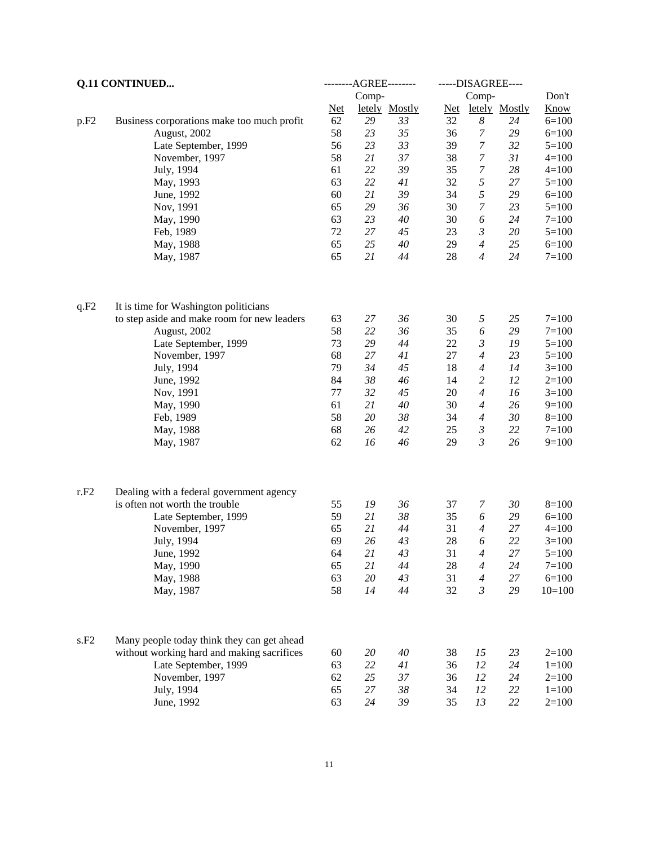|                  | <b>Q.11 CONTINUED</b>                       |            | --------AGREE-------- |               | -----DISAGREE---- |                  |               |             |
|------------------|---------------------------------------------|------------|-----------------------|---------------|-------------------|------------------|---------------|-------------|
|                  |                                             |            | Comp-                 |               |                   | Comp-            |               | Don't       |
|                  |                                             | <b>Net</b> |                       | letely Mostly | <b>Net</b>        |                  | letely Mostly | <b>Know</b> |
| p.F <sub>2</sub> | Business corporations make too much profit  | 62         | 29                    | 33            | 32                | $\boldsymbol{8}$ | 24            | $6=100$     |
|                  | August, 2002                                | 58         | 23                    | 35            | 36                | 7                | 29            | $6=100$     |
|                  | Late September, 1999                        | 56         | 23                    | 33            | 39                | $\boldsymbol{7}$ | 32            | $5 = 100$   |
|                  | November, 1997                              | 58         | 21                    | 37            | 38                | $\overline{7}$   | 31            | $4 = 100$   |
|                  | July, 1994                                  | 61         | 22                    | 39            | 35                | $\boldsymbol{7}$ | 28            | $4 = 100$   |
|                  | May, 1993                                   | 63         | 22                    | 41            | 32                | $\sqrt{2}$       | 27            | $5=100$     |
|                  | June, 1992                                  | 60         | 21                    | 39            | 34                | 5                | 29            | $6=100$     |
|                  | Nov, 1991                                   | 65         | 29                    | 36            | 30                | $\boldsymbol{7}$ | 23            | $5=100$     |
|                  | May, 1990                                   | 63         | 23                    | 40            | 30                | 6                | 24            | $7 = 100$   |
|                  | Feb, 1989                                   | 72         | $27\,$                | 45            | 23                | $\mathfrak{Z}$   | $20\,$        | $5=100$     |
|                  | May, 1988                                   | 65         | 25                    | 40            | 29                | $\overline{4}$   | 25            | $6=100$     |
|                  | May, 1987                                   | 65         | 21                    | 44            | 28                | $\overline{4}$   | 24            | $7 = 100$   |
| q.F2             | It is time for Washington politicians       |            |                       |               |                   |                  |               |             |
|                  | to step aside and make room for new leaders | 63         | 27                    | 36            | 30                | 5                | 25            | $7 = 100$   |
|                  | August, 2002                                | 58         | 22                    | 36            | 35                | 6                | 29            | $7 = 100$   |
|                  | Late September, 1999                        | 73         | 29                    | 44            | 22                | $\mathfrak{Z}$   | 19            | $5=100$     |
|                  | November, 1997                              | 68         | 27                    | 41            | 27                | $\overline{4}$   | 23            | $5=100$     |
|                  | July, 1994                                  | 79         | 34                    | 45            | 18                | $\overline{4}$   | 14            | $3=100$     |
|                  | June, 1992                                  | 84         | 38                    | 46            | 14                | $\overline{c}$   | 12            | $2=100$     |
|                  | Nov, 1991                                   | 77         | 32                    | 45            | 20                | $\overline{4}$   | 16            | $3=100$     |
|                  | May, 1990                                   | 61         | 21                    | 40            | 30                | $\overline{4}$   | 26            | $9=100$     |
|                  | Feb, 1989                                   | 58         | 20                    | $38\,$        | 34                | $\overline{4}$   | 30            | $8=100$     |
|                  | May, 1988                                   | 68         | 26                    | 42            | 25                | $\mathfrak{Z}$   | 22            | $7=100$     |
|                  | May, 1987                                   | 62         | 16                    | 46            | 29                | $\mathfrak{Z}$   | 26            | $9=100$     |
| r.F2             | Dealing with a federal government agency    |            |                       |               |                   |                  |               |             |
|                  | is often not worth the trouble              | 55         | 19                    | 36            | 37                | 7                | 30            | $8 = 100$   |
|                  | Late September, 1999                        | 59         | 21                    | $38\,$        | 35                | 6                | 29            | $6=100$     |
|                  | November, 1997                              | 65         | 21                    | 44            | 31                | $\overline{4}$   | 27            | $4=100$     |
|                  | July, 1994                                  | 69         | 26                    | 43            | 28                | 6                | 22            | $3 = 100$   |
|                  | June, 1992                                  | 64         | 21                    | 43            | 31                | $\overline{4}$   | 27            | $5=100$     |
|                  | May, 1990                                   | 65         | 21                    | 44            | 28                | $\overline{4}$   | 24            | $7 = 100$   |
|                  | May, 1988                                   | 63         | $20\,$                | 43            | 31                | $\overline{4}$   | 27            | $6=100$     |
|                  | May, 1987                                   | 58         | 14                    | 44            | 32                | $\mathfrak{Z}$   | 29            | $10=100$    |
|                  |                                             |            |                       |               |                   |                  |               |             |
| s.F2             | Many people today think they can get ahead  |            |                       |               |                   |                  |               |             |
|                  | without working hard and making sacrifices  | 60         | 20                    | 40            | 38                | 15               | 23            | $2=100$     |
|                  | Late September, 1999                        | 63         | $22\,$                | 41            | 36                | 12               | 24            | $1 = 100$   |
|                  | November, 1997                              | 62         | 25                    | 37            | 36                | 12               | 24            | $2=100$     |
|                  | July, 1994                                  | 65         | $27\,$                | $38\,$        | 34                | 12               | 22            | $1 = 100$   |
|                  | June, 1992                                  | 63         | 24                    | 39            | 35                | 13               | 22            | $2=100$     |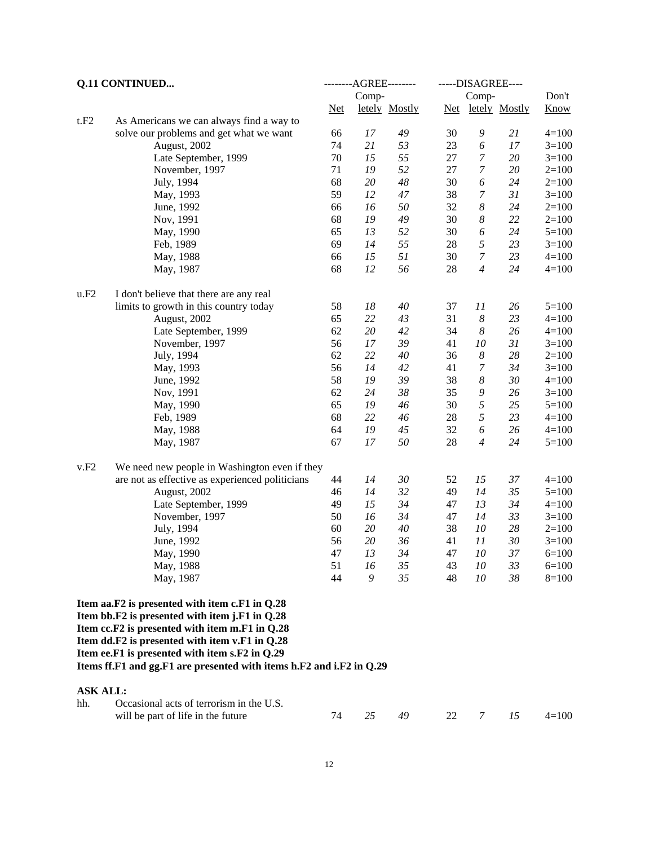|                 | Q.11 CONTINUED                                                                                                                                     |       | --------AGREE-------- | -----DISAGREE---- |    |                       |                   |             |
|-----------------|----------------------------------------------------------------------------------------------------------------------------------------------------|-------|-----------------------|-------------------|----|-----------------------|-------------------|-------------|
|                 |                                                                                                                                                    |       | Comp-                 |                   |    | Comp-                 |                   | Don't       |
|                 |                                                                                                                                                    | $Net$ |                       | letely Mostly     |    |                       | Net letely Mostly | <b>Know</b> |
| t.F2            | As Americans we can always find a way to                                                                                                           |       |                       |                   |    |                       |                   |             |
|                 | solve our problems and get what we want                                                                                                            | 66    | 17                    | 49                | 30 | 9                     | 21                | $4 = 100$   |
|                 | August, 2002                                                                                                                                       | 74    | 21                    | 53                | 23 | 6                     | 17                | $3=100$     |
|                 | Late September, 1999                                                                                                                               | 70    | 15                    | 55                | 27 | $\boldsymbol{7}$      | $20\,$            | $3=100$     |
|                 | November, 1997                                                                                                                                     | 71    | 19                    | 52                | 27 | 7                     | $20\,$            | $2=100$     |
|                 | July, 1994                                                                                                                                         | 68    | 20                    | 48                | 30 | 6                     | 24                | $2=100$     |
|                 | May, 1993                                                                                                                                          | 59    | 12                    | 47                | 38 | 7                     | 31                | $3=100$     |
|                 | June, 1992                                                                                                                                         | 66    | 16                    | 50                | 32 | 8                     | 24                | $2=100$     |
|                 | Nov, 1991                                                                                                                                          | 68    | 19                    | 49                | 30 | 8                     | 22                | $2=100$     |
|                 | May, 1990                                                                                                                                          | 65    | 13                    | 52                | 30 | 6                     | 24                | $5=100$     |
|                 | Feb, 1989                                                                                                                                          | 69    | 14                    | 55                | 28 | 5                     | 23                | $3=100$     |
|                 | May, 1988                                                                                                                                          | 66    | 15                    | 51                | 30 | $\boldsymbol{7}$      | 23                | $4 = 100$   |
|                 | May, 1987                                                                                                                                          | 68    | 12                    | 56                | 28 | $\overline{4}$        | 24                | $4 = 100$   |
| u.F2            | I don't believe that there are any real                                                                                                            |       |                       |                   |    |                       |                   |             |
|                 | limits to growth in this country today                                                                                                             | 58    | $18\,$                | 40                | 37 | 11                    | 26                | $5 = 100$   |
|                 | August, 2002                                                                                                                                       | 65    | 22                    | 43                | 31 | 8                     | 23                | $4 = 100$   |
|                 | Late September, 1999                                                                                                                               | 62    | $20\,$                | 42                | 34 | 8                     | 26                | $4 = 100$   |
|                 | November, 1997                                                                                                                                     | 56    | 17                    | 39                | 41 | 10                    | 31                | $3=100$     |
|                 | July, 1994                                                                                                                                         | 62    | 22                    | 40                | 36 | $\boldsymbol{8}$      | 28                | $2=100$     |
|                 | May, 1993                                                                                                                                          | 56    | 14                    | 42                | 41 | $\boldsymbol{7}$      | 34                | $3=100$     |
|                 | June, 1992                                                                                                                                         | 58    | 19                    | 39                | 38 | $\boldsymbol{8}$      | 30                | $4 = 100$   |
|                 | Nov, 1991                                                                                                                                          | 62    | 24                    | $38\,$            | 35 | 9                     | 26                | $3=100$     |
|                 | May, 1990                                                                                                                                          | 65    | 19                    | 46                | 30 | 5                     | 25                | $5=100$     |
|                 | Feb, 1989                                                                                                                                          | 68    | 22                    | 46                | 28 | 5                     | 23                | $4 = 100$   |
|                 | May, 1988                                                                                                                                          | 64    | 19                    | 45                | 32 | $\boldsymbol{\delta}$ | 26                | $4 = 100$   |
|                 | May, 1987                                                                                                                                          | 67    | 17                    | 50                | 28 | $\overline{4}$        | 24                | $5 = 100$   |
| v.F2            | We need new people in Washington even if they                                                                                                      |       |                       |                   |    |                       |                   |             |
|                 | are not as effective as experienced politicians                                                                                                    | 44    | 14                    | 30                | 52 | 15                    | 37                | $4 = 100$   |
|                 | August, 2002                                                                                                                                       | 46    | 14                    | 32                | 49 | 14                    | 35                | $5=100$     |
|                 | Late September, 1999                                                                                                                               | 49    | 15                    | 34                | 47 | 13                    | 34                | $4 = 100$   |
|                 | November, 1997                                                                                                                                     | 50    | 16                    | 34                | 47 | 14                    | 33                | $3 = 100$   |
|                 | July, 1994                                                                                                                                         | 60    | $20\,$                | 40                | 38 | 10                    | 28                | $2=100$     |
|                 | June, 1992                                                                                                                                         | 56    | 20                    | 36                | 41 | 11                    | 30                | $3=100$     |
|                 | May, 1990                                                                                                                                          | 47    | 13                    | 34                | 47 | 10                    | 37                | $6=100$     |
|                 | May, 1988                                                                                                                                          | 51    | 16                    | 35                | 43 | 10                    | 33                | $6=100$     |
|                 | May, 1987                                                                                                                                          | 44    | 9                     | 35                | 48 | 10                    | 38                | $8=100$     |
|                 | Item aa.F2 is presented with item c.F1 in Q.28                                                                                                     |       |                       |                   |    |                       |                   |             |
|                 | Item bb.F2 is presented with item j.F1 in Q.28<br>Item cc.F2 is presented with item m.F1 in Q.28<br>Item dd.F2 is presented with item v.F1 in Q.28 |       |                       |                   |    |                       |                   |             |
|                 | Item ee.F1 is presented with item s.F2 in Q.29<br>Items ff.F1 and gg.F1 are presented with items h.F2 and i.F2 in Q.29                             |       |                       |                   |    |                       |                   |             |
| <b>ASK ALL:</b> |                                                                                                                                                    |       |                       |                   |    |                       |                   |             |
| hh.             | Occasional acts of terrorism in the U.S.                                                                                                           |       |                       |                   |    |                       |                   |             |
|                 | will be part of life in the future                                                                                                                 | 74    | 25                    | 49                | 22 | 7                     | 15                | $4 = 100$   |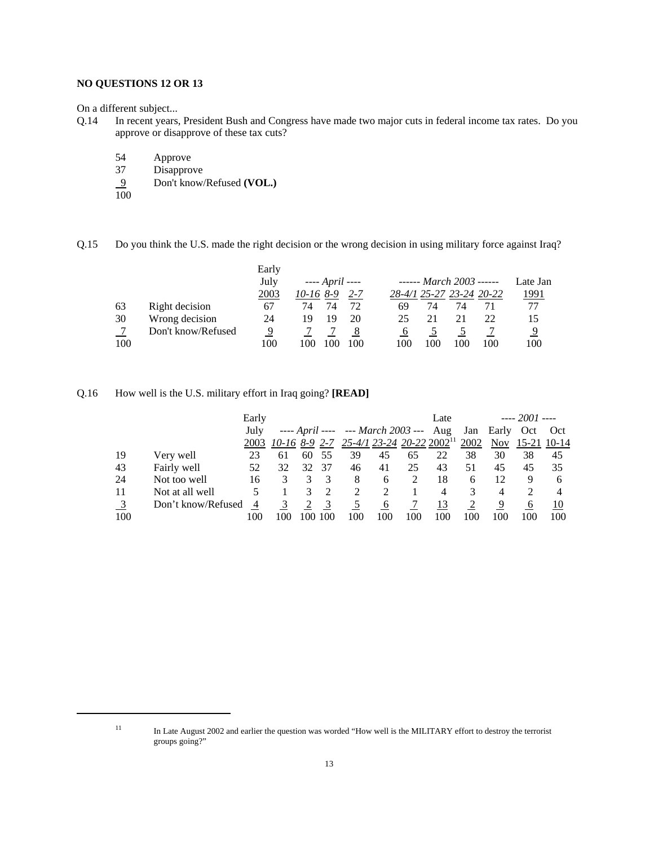### **NO QUESTIONS 12 OR 13**

On a different subject...

- Q.14 In recent years, President Bush and Congress have made two major cuts in federal income tax rates. Do you approve or disapprove of these tax cuts?
	- 54 Approve
	-
	- 37 Disapprove<br>9 Don't know 9 Don't know/Refused **(VOL.)**

 $\overline{100}$ 

Q.15 Do you think the U.S. made the right decision or the wrong decision in using military force against Iraq?

|     |                    | Early |                        |         |     |     |                          |     |              |
|-----|--------------------|-------|------------------------|---------|-----|-----|--------------------------|-----|--------------|
|     |                    | July  | ---- <i>April</i> ---- |         |     |     | ------ March 2003 ------ |     | Late Jan     |
|     |                    | 2003  | $10-168-9$             | $2 - 7$ |     |     | 28-4/1 25-27 23-24 20-22 |     | <u> 1991</u> |
| 63  | Right decision     | 67    | 74                     |         | 69  | 74  | 74                       |     | 77           |
| 30  | Wrong decision     | 24    | 19<br>19               | 20      | 25  | 21  |                          | 22  | 15           |
|     | Don't know/Refused | 9     |                        |         |     |     |                          |     | 9            |
| 100 |                    | 100   | 100                    | 100     | 100 | 100 | 100                      | 100 | 100          |

### Q.16 How well is the U.S. military effort in Iraq going? **[READ]**

|                           |                    | Early          |     |     |     |                                                               |     |     | Late           |     |                | $--- 2001$ $---$ |                |
|---------------------------|--------------------|----------------|-----|-----|-----|---------------------------------------------------------------|-----|-----|----------------|-----|----------------|------------------|----------------|
|                           |                    | July           |     |     |     | ---- April ---- --- March 2003 --- Aug                        |     |     |                |     | Jan Early Oct  |                  | Oct            |
|                           |                    |                |     |     |     | 2003 10-16 8-9 2-7 25-4/1 23-24 20-22 2002 <sup>11</sup> 2002 |     |     |                |     |                | Nov 15-21 10-14  |                |
| 19                        | Very well          | 23             | 61  | 60  | 55  | 39                                                            | 45  | 65  | 22             | 38  | 30             | 38               | 45             |
| 43                        | Fairly well        | 52             | 32  | 32  | 37  | 46                                                            | 41  | 25  | 43             | 51  | 45             | 45               | 35             |
| 24                        | Not too well       | 16             |     |     |     | 8                                                             | 6   |     | 18             | 6   | 12             | 9                | 6              |
| 11                        | Not at all well    |                |     |     |     | 2                                                             | 2   |     | $\overline{4}$ | 3   | $\overline{4}$ |                  | $\overline{4}$ |
| $\overline{\phantom{0}3}$ | Don't know/Refused | $\overline{4}$ |     |     | 3   |                                                               | 6   |     | 13             |     | 9              | 6                | 10             |
| 100                       |                    | 100            | 100 | 100 | 100 | 100                                                           | 100 | 100 | 100            | 100 | 100            | 100              | 100            |

<sup>&</sup>lt;sup>11</sup> In Late August 2002 and earlier the question was worded "How well is the MILITARY effort to destroy the terrorist groups going?"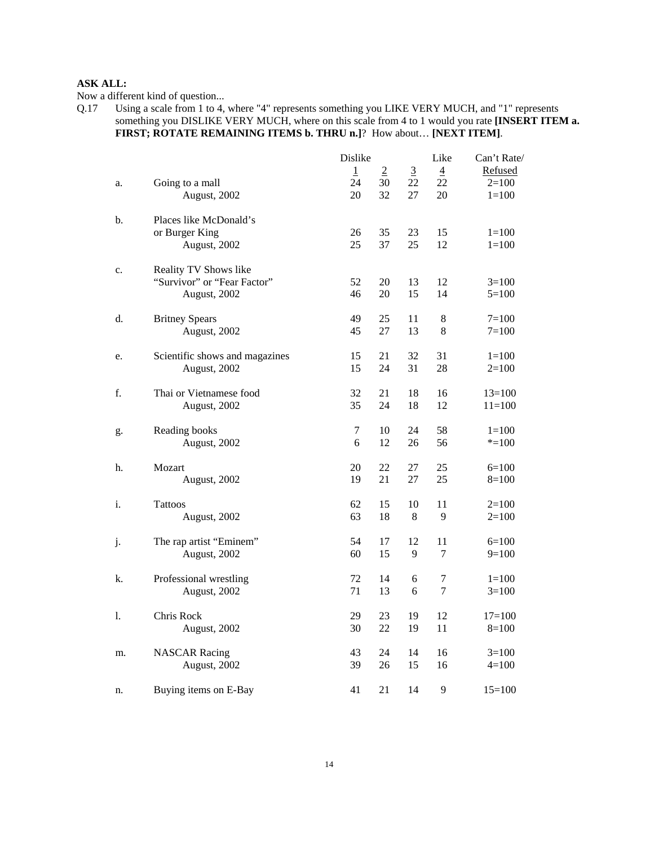Now a different kind of question...

Q.17 Using a scale from 1 to 4, where "4" represents something you LIKE VERY MUCH, and "1" represents something you DISLIKE VERY MUCH, where on this scale from 4 to 1 would you rate **[INSERT ITEM a. FIRST; ROTATE REMAINING ITEMS b. THRU n.]**? How about… **[NEXT ITEM]**.

|    |                                | Dislike      |                |                | Like           | Can't Rate/ |
|----|--------------------------------|--------------|----------------|----------------|----------------|-------------|
|    |                                | $\mathbf{1}$ | $\overline{2}$ | $\overline{3}$ | $\overline{4}$ | Refused     |
| a. | Going to a mall                | 24           | 30             | 22             | 22             | $2=100$     |
|    | August, 2002                   | 20           | 32             | 27             | 20             | $1=100$     |
| b. | Places like McDonald's         |              |                |                |                |             |
|    | or Burger King                 | 26           | 35             | 23             | 15             | $1=100$     |
|    | August, 2002                   | 25           | 37             | 25             | 12             | $1 = 100$   |
| c. | Reality TV Shows like          |              |                |                |                |             |
|    | "Survivor" or "Fear Factor"    | 52           | 20             | 13             | 12             | $3=100$     |
|    | August, 2002                   | 46           | 20             | 15             | 14             | $5=100$     |
| d. | <b>Britney Spears</b>          | 49           | 25             | 11             | 8              | $7 = 100$   |
|    | August, 2002                   | 45           | 27             | 13             | 8              | $7=100$     |
| e. | Scientific shows and magazines | 15           | 21             | 32             | 31             | $1=100$     |
|    | August, 2002                   | 15           | 24             | 31             | 28             | $2=100$     |
| f. | Thai or Vietnamese food        | 32           | 21             | 18             | 16             | $13=100$    |
|    | August, 2002                   | 35           | 24             | 18             | 12             | $11 = 100$  |
| g. | Reading books                  | 7            | 10             | 24             | 58             | $1=100$     |
|    | August, 2002                   | 6            | 12             | 26             | 56             | $* = 100$   |
| h. | Mozart                         | 20           | 22             | 27             | 25             | $6=100$     |
|    | August, 2002                   | 19           | 21             | 27             | 25             | $8=100$     |
| i. | Tattoos                        | 62           | 15             | 10             | 11             | $2=100$     |
|    | August, 2002                   | 63           | 18             | 8              | 9              | $2=100$     |
| j. | The rap artist "Eminem"        | 54           | 17             | 12             | 11             | $6=100$     |
|    | August, 2002                   | 60           | 15             | 9              | 7              | $9=100$     |
| k. | Professional wrestling         | 72           | 14             | 6              | 7              | $1=100$     |
|    | August, 2002                   | 71           | 13             | 6              | 7              | $3=100$     |
| 1. | Chris Rock                     | 29           | 23             | 19             | 12             | $17 = 100$  |
|    | August, 2002                   | 30           | 22             | 19             | 11             | $8=100$     |
| m. | <b>NASCAR Racing</b>           | 43           | 24             | 14             | 16             | $3=100$     |
|    | August, 2002                   | 39           | 26             | 15             | 16             | $4=100$     |
| n. | Buying items on E-Bay          | 41           | 21             | 14             | 9              | $15=100$    |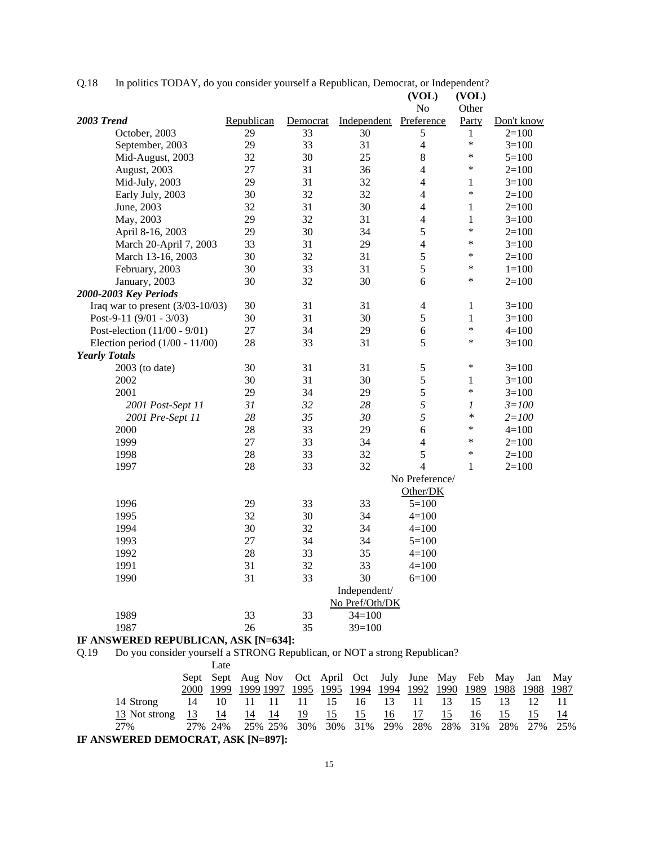Q.18 In politics TODAY, do you consider yourself a Republican, Democrat, or Independent?

|                                    |            |          |                | (VOL)          | (VOL)            |            |
|------------------------------------|------------|----------|----------------|----------------|------------------|------------|
|                                    |            |          |                | No             | Other            |            |
| 2003 Trend                         | Republican | Democrat | Independent    | Preference     | Party            | Don't know |
| October, 2003                      | 29         | 33       | 30             | 5              | 1                | $2=100$    |
| September, 2003                    | 29         | 33       | 31             | $\overline{4}$ | $\ast$           | $3=100$    |
| Mid-August, 2003                   | 32         | 30       | 25             | 8              | *                | $5=100$    |
| August, 2003                       | 27         | 31       | 36             | $\overline{4}$ | *                | $2=100$    |
| Mid-July, 2003                     | 29         | 31       | 32             | $\overline{4}$ | $\mathbf{1}$     | $3=100$    |
| Early July, 2003                   | 30         | 32       | 32             | $\overline{4}$ | $\ast$           | $2=100$    |
| June, 2003                         | 32         | 31       | 30             | $\overline{4}$ | $\mathbf{1}$     | $2=100$    |
| May, 2003                          | 29         | 32       | 31             | $\overline{4}$ | $\mathbf{1}$     | $3=100$    |
| April 8-16, 2003                   | 29         | 30       | 34             | 5              | $\ast$           | $2=100$    |
| March 20-April 7, 2003             | 33         | 31       | 29             | $\overline{4}$ | $\ast$           | $3=100$    |
| March 13-16, 2003                  | 30         | 32       | 31             | 5              | $\ast$           | $2=100$    |
| February, 2003                     | 30         | 33       | 31             | 5              | $\ast$           | $1 = 100$  |
| January, 2003                      | 30         | 32       | 30             | 6              | $\ast$           | $2=100$    |
| 2000-2003 Key Periods              |            |          |                |                |                  |            |
| Iraq war to present $(3/03-10/03)$ | 30         | 31       | 31             | $\overline{4}$ | $\mathbf{1}$     | $3=100$    |
| Post-9-11 $(9/01 - 3/03)$          | 30         | 31       | 30             | 5              | $\mathbf{1}$     | $3=100$    |
| Post-election (11/00 - 9/01)       | 27         | 34       | 29             | 6              | $\ast$           | $4 = 100$  |
| Election period $(1/00 - 11/00)$   | 28         | 33       | 31             | 5              | $\ast$           | $3=100$    |
| <b>Yearly Totals</b>               |            |          |                |                |                  |            |
| 2003 (to date)                     | 30         | 31       | 31             | 5              | $\ast$           | $3=100$    |
| 2002                               | 30         | 31       | 30             | 5              | $\mathbf{1}$     | $3=100$    |
| 2001                               | 29         | 34       | 29             | 5              | $\ast$           | $3=100$    |
| 2001 Post-Sept 11                  | 31         | 32       | 28             | 5              | $\boldsymbol{l}$ | $3 = 100$  |
| 2001 Pre-Sept 11                   | 28         | 35       | 30             | 5              | $\ast$           | $2 = 100$  |
| 2000                               | 28         | 33       | 29             | 6              | $\ast$           | $4 = 100$  |
| 1999                               | 27         | 33       | 34             | $\overline{4}$ | $\ast$           | $2=100$    |
| 1998                               | 28         | 33       | 32             | 5              | $\ast$           | $2=100$    |
| 1997                               | 28         | 33       | 32             | $\overline{4}$ | $\mathbf{1}$     | $2=100$    |
|                                    |            |          |                | No Preference/ |                  |            |
|                                    |            |          |                | Other/DK       |                  |            |
| 1996                               | 29         | 33       | 33             | $5 = 100$      |                  |            |
| 1995                               | 32         | 30       | 34             | $4 = 100$      |                  |            |
| 1994                               | 30         | 32       | 34             | $4 = 100$      |                  |            |
| 1993                               | 27         | 34       | 34             | $5 = 100$      |                  |            |
| 1992                               | 28         | 33       | 35             | $4 = 100$      |                  |            |
| 1991                               | 31         | 32       | 33             | $4 = 100$      |                  |            |
| 1990                               | 31         | 33       | 30             | $6=100$        |                  |            |
|                                    |            |          | Independent/   |                |                  |            |
|                                    |            |          | No Pref/Oth/DK |                |                  |            |
| 1989                               | 33         | 33       | $34=100$       |                |                  |            |
| 1987                               | 26         | 35       | $39=100$       |                |                  |            |

# **IF ANSWERED REPUBLICAN, ASK [N=634]:**

Q.19 Do you consider yourself a STRONG Republican, or NOT a strong Republican?

|                                   |      | Late |    |      |      |      |    |       |      |    |      |      |                                                                  |     |
|-----------------------------------|------|------|----|------|------|------|----|-------|------|----|------|------|------------------------------------------------------------------|-----|
|                                   |      |      |    |      |      |      |    |       |      |    |      |      | Sept Sept Aug Nov Oct April Oct July June May Feb May Jan May    |     |
|                                   | 2000 |      |    |      |      |      |    |       |      |    |      |      | 1999 1999 1997 1995 1995 1994 1994 1992 1990 1989 1988 1988 1987 |     |
| 14 Strong                         | 14   | 10   |    | -11  | - 11 | 15   |    | 16 13 | 11   | 13 | - 15 |      |                                                                  | -11 |
| 13 Not strong                     | -13  | -14  | 14 | - 14 | - 19 | - 15 | 15 | 16    | - 17 | 15 | -16  | - 15 | 15                                                               | -14 |
| 2.7%                              |      |      |    |      |      |      |    |       |      |    |      |      | 27% 24% 25% 25% 30% 30% 31% 29% 28% 28% 31% 28% 27% 25%          |     |
| IF ANSWERED DEMOCRAT ASK IN-8971. |      |      |    |      |      |      |    |       |      |    |      |      |                                                                  |     |

**IF ANSWERED DEMOCRAT, ASK [N=897]:**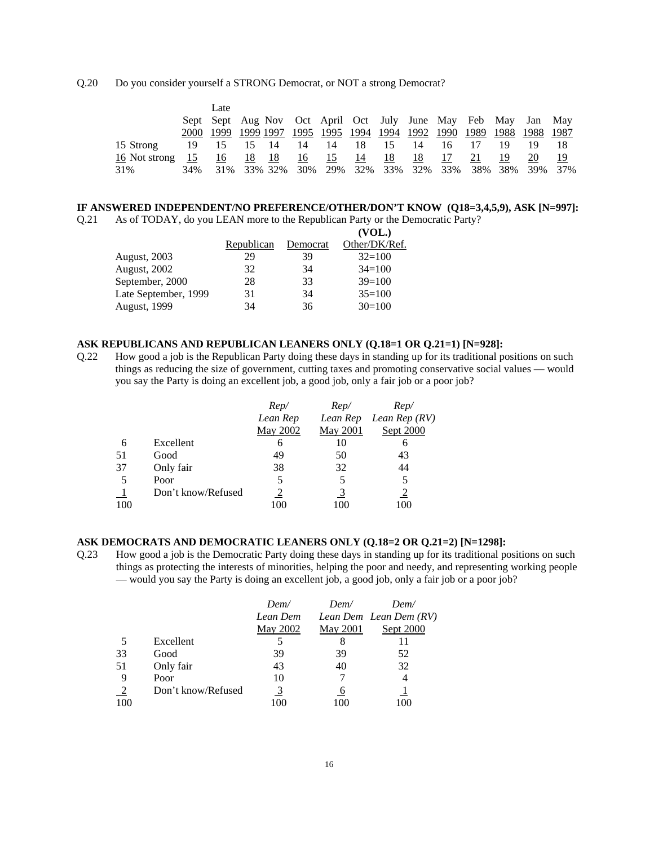#### Q.20 Do you consider yourself a STRONG Democrat, or NOT a strong Democrat?

|               |       | Late |                |      |     |                                                                  |             |    |    |         |     |    |         |     |
|---------------|-------|------|----------------|------|-----|------------------------------------------------------------------|-------------|----|----|---------|-----|----|---------|-----|
|               |       |      |                |      |     | Sept Sept Aug Nov Oct April Oct July June May Feb May Jan May    |             |    |    |         |     |    |         |     |
|               | 2000- |      |                |      |     | 1999 1999 1997 1995 1995 1994 1994 1992 1990 1989 1988 1988 1987 |             |    |    |         |     |    |         |     |
| 15 Strong     | 19    | 15   | 15             | - 14 | 14  | 14                                                               | 18          | 15 | 14 | 16      |     | 19 |         |     |
| 16 Not strong | -15   | 16   | 18             | - 18 | 16  | 15                                                               | -14         | 18 | 18 | 17      | 21  | 19 | 20      | 19  |
| 31%           | 34%   |      | 31\% 33\% 32\% |      | 30% |                                                                  | 29% 32% 33% |    |    | 32% 33% | 38% |    | 38% 39% | 37% |

#### **IF ANSWERED INDEPENDENT/NO PREFERENCE/OTHER/DON'T KNOW (Q18=3,4,5,9), ASK [N=997]:**

Q.21 As of TODAY, do you LEAN more to the Republican Party or the Democratic Party? **(VOL.)**

|                      |                   |          | $\mathbf{V}$  |
|----------------------|-------------------|----------|---------------|
|                      | <u>Republican</u> | Democrat | Other/DK/Ref. |
| <b>August, 2003</b>  | 29                | 39       | $32=100$      |
| August, 2002         | 32                | 34       | $34=100$      |
| September, 2000      | 28                | 33       | $39=100$      |
| Late September, 1999 | 31                | 34       | $35=100$      |
| <b>August, 1999</b>  | 34                | 36       | $30=100$      |
|                      |                   |          |               |

### **ASK REPUBLICANS AND REPUBLICAN LEANERS ONLY (Q.18=1 OR Q.21=1) [N=928]:**

Q.22 How good a job is the Republican Party doing these days in standing up for its traditional positions on such things as reducing the size of government, cutting taxes and promoting conservative social values — would you say the Party is doing an excellent job, a good job, only a fair job or a poor job?

|     |                    | $Rep$ /  | $Rep$ /  | $Rep$ /        |
|-----|--------------------|----------|----------|----------------|
|     |                    | Lean Rep | Lean Rep | Lean Rep (RV)  |
|     |                    | May 2002 | May 2001 | Sept 2000      |
| 6   | Excellent          | 6        | 10       |                |
| 51  | Good               | 49       | 50       | 43             |
| 37  | Only fair          | 38       | 32       | 44             |
|     | Poor               | 5        |          | 5              |
|     | Don't know/Refused |          |          | $\overline{2}$ |
| 100 |                    | 100      | 100      | 100            |

#### **ASK DEMOCRATS AND DEMOCRATIC LEANERS ONLY (Q.18=2 OR Q.21=2) [N=1298]:**

Q.23 How good a job is the Democratic Party doing these days in standing up for its traditional positions on such things as protecting the interests of minorities, helping the poor and needy, and representing working people — would you say the Party is doing an excellent job, a good job, only a fair job or a poor job?

|               |                    | Dem/     | Dem/            | Dem/                   |
|---------------|--------------------|----------|-----------------|------------------------|
|               |                    | Lean Dem |                 | Lean Dem Lean Dem (RV) |
|               |                    | May 2002 | <b>May 2001</b> | Sept 2000              |
| 5             | Excellent          |          |                 |                        |
| 33            | Good               | 39       | 39              | 52                     |
| 51            | Only fair          | 43       | 40              | 32                     |
| 9             | Poor               | 10       |                 | 4                      |
| $\frac{2}{2}$ | Don't know/Refused | <u>3</u> |                 |                        |
| 100           |                    | 100      | 100             | 100                    |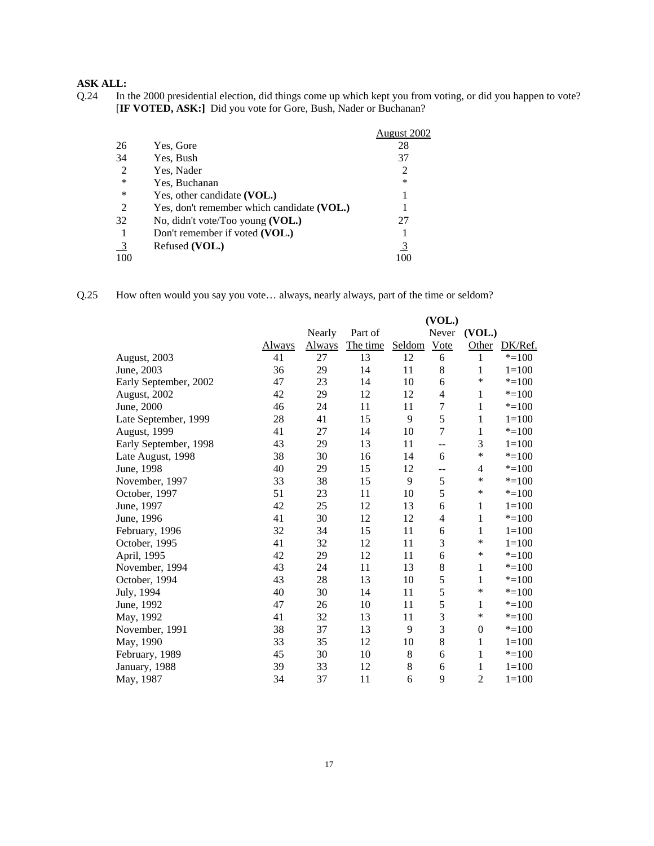Q.24 In the 2000 presidential election, did things come up which kept you from voting, or did you happen to vote? [**IF VOTED, ASK:]** Did you vote for Gore, Bush, Nader or Buchanan?

|                |                                            | August 2002    |
|----------------|--------------------------------------------|----------------|
| 26             | Yes, Gore                                  | 28             |
| 34             | Yes, Bush                                  | 37             |
| $\overline{2}$ | Yes, Nader                                 | $\overline{2}$ |
| *              | Yes, Buchanan                              | *              |
| *              | Yes, other candidate (VOL.)                |                |
| 2              | Yes, don't remember which candidate (VOL.) |                |
| 32             | No, didn't vote/Too young (VOL.)           | 27             |
|                | Don't remember if voted (VOL.)             |                |
| $\overline{3}$ | Refused (VOL.)                             | $\overline{3}$ |
| 100            |                                            | 1 ( ) ( )      |

Q.25 How often would you say you vote… always, nearly always, part of the time or seldom?

|                       |        |        |          |         | (VOL.)         |                |           |
|-----------------------|--------|--------|----------|---------|----------------|----------------|-----------|
|                       |        | Nearly | Part of  |         | Never          | (VOL.)         |           |
|                       | Always | Always | The time | Seldom  | Vote           | Other          | DK/Ref.   |
| August, 2003          | 41     | 27     | 13       | 12      | 6              | 1              | $* = 100$ |
| June, 2003            | 36     | 29     | 14       | 11      | 8              | 1              | $1 = 100$ |
| Early September, 2002 | 47     | 23     | 14       | 10      | 6              | $\ast$         | $* = 100$ |
| August, 2002          | 42     | 29     | 12       | 12      | 4              | 1              | $* = 100$ |
| June, 2000            | 46     | 24     | 11       | 11      | $\overline{7}$ | 1              | $* = 100$ |
| Late September, 1999  | 28     | 41     | 15       | 9       | 5              | 1              | $1 = 100$ |
| August, 1999          | 41     | 27     | 14       | 10      | $\overline{7}$ | 1              | $* = 100$ |
| Early September, 1998 | 43     | 29     | 13       | 11      | --             | 3              | $1 = 100$ |
| Late August, 1998     | 38     | 30     | 16       | 14      | 6              | $\ast$         | $* = 100$ |
| June, 1998            | 40     | 29     | 15       | 12      | --             | 4              | $* = 100$ |
| November, 1997        | 33     | 38     | 15       | 9       | 5              | $\ast$         | $* = 100$ |
| October, 1997         | 51     | 23     | 11       | 10      | 5              | *              | $* = 100$ |
| June, 1997            | 42     | 25     | 12       | 13      | 6              | $\mathbf{1}$   | $1=100$   |
| June, 1996            | 41     | 30     | 12       | 12      | 4              | 1              | $* = 100$ |
| February, 1996        | 32     | 34     | 15       | 11      | 6              | 1              | $1 = 100$ |
| October, 1995         | 41     | 32     | 12       | 11      | 3              | $\ast$         | $1 = 100$ |
| April, 1995           | 42     | 29     | 12       | 11      | 6              | $\ast$         | $* = 100$ |
| November, 1994        | 43     | 24     | 11       | 13      | 8              | 1              | $* = 100$ |
| October, 1994         | 43     | 28     | 13       | 10      | 5              | 1              | $* = 100$ |
| July, 1994            | 40     | 30     | 14       | 11      | 5              | $\ast$         | $* = 100$ |
| June, 1992            | 47     | 26     | 10       | 11      | 5              | 1              | $* = 100$ |
| May, 1992             | 41     | 32     | 13       | 11      | 3              | $\ast$         | $* = 100$ |
| November, 1991        | 38     | 37     | 13       | 9       | 3              | $\overline{0}$ | $* = 100$ |
| May, 1990             | 33     | 35     | 12       | 10      | 8              | 1              | $1 = 100$ |
| February, 1989        | 45     | 30     | 10       | $\,8\,$ | 6              | $\mathbf 1$    | $* = 100$ |
| January, 1988         | 39     | 33     | 12       | $\,8\,$ | 6              | 1              | $1 = 100$ |
| May, 1987             | 34     | 37     | 11       | 6       | 9              | $\overline{c}$ | $1 = 100$ |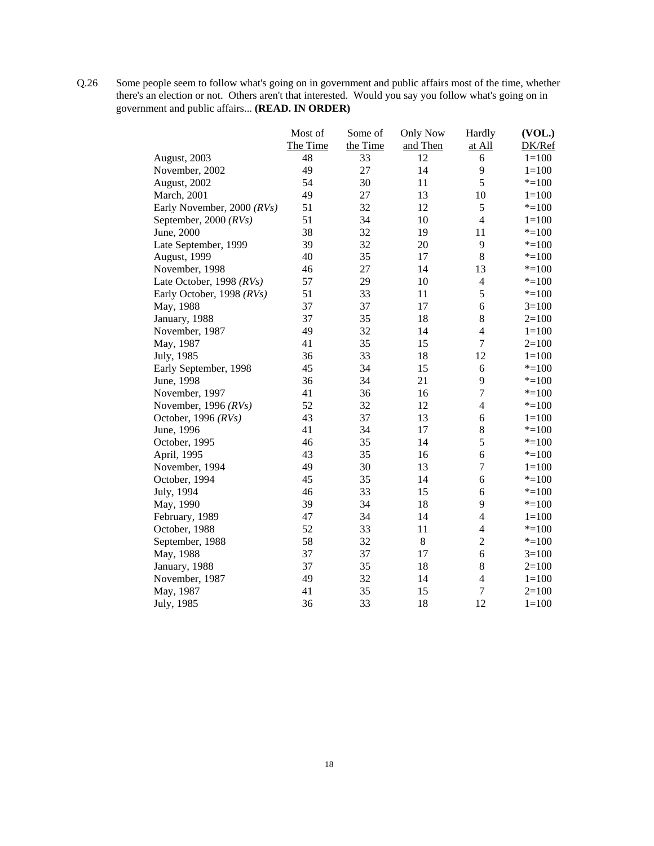Q.26 Some people seem to follow what's going on in government and public affairs most of the time, whether there's an election or not. Others aren't that interested. Would you say you follow what's going on in government and public affairs... **(READ. IN ORDER)**

|                            | Most of  | Some of  | <b>Only Now</b> | Hardly         | (VOL.)    |
|----------------------------|----------|----------|-----------------|----------------|-----------|
|                            | The Time | the Time | and Then        | at All         | DK/Ref    |
| August, 2003               | 48       | 33       | 12              | 6              | $1 = 100$ |
| November, 2002             | 49       | 27       | 14              | 9              | $1 = 100$ |
| August, 2002               | 54       | 30       | 11              | 5              | $* = 100$ |
| March, 2001                | 49       | 27       | 13              | 10             | $1 = 100$ |
| Early November, 2000 (RVs) | 51       | 32       | 12              | 5              | $* = 100$ |
| September, 2000 (RVs)      | 51       | 34       | 10              | $\overline{4}$ | $1 = 100$ |
| June, 2000                 | 38       | 32       | 19              | 11             | $* = 100$ |
| Late September, 1999       | 39       | 32       | 20              | 9              | $* = 100$ |
| August, 1999               | 40       | 35       | 17              | $\,8\,$        | $* = 100$ |
| November, 1998             | 46       | 27       | 14              | 13             | $* = 100$ |
| Late October, 1998 (RVs)   | 57       | 29       | 10              | $\overline{4}$ | $* = 100$ |
| Early October, 1998 (RVs)  | 51       | 33       | 11              | 5              | $* = 100$ |
| May, 1988                  | 37       | 37       | 17              | 6              | $3=100$   |
| January, 1988              | 37       | 35       | 18              | $8\,$          | $2=100$   |
| November, 1987             | 49       | 32       | 14              | $\overline{4}$ | $1 = 100$ |
| May, 1987                  | 41       | 35       | 15              | $\overline{7}$ | $2=100$   |
| July, 1985                 | 36       | 33       | 18              | 12             | $1 = 100$ |
| Early September, 1998      | 45       | 34       | 15              | $\sqrt{6}$     | $* = 100$ |
| June, 1998                 | 36       | 34       | 21              | 9              | $* = 100$ |
| November, 1997             | 41       | 36       | 16              | 7              | $* = 100$ |
| November, 1996 $(RVs)$     | 52       | 32       | 12              | $\overline{4}$ | $* = 100$ |
| October, 1996 $(RVs)$      | 43       | 37       | 13              | 6              | $1 = 100$ |
| June, 1996                 | 41       | 34       | 17              | 8              | $* = 100$ |
| October, 1995              | 46       | 35       | 14              | 5              | $* = 100$ |
| April, 1995                | 43       | 35       | 16              | 6              | $* = 100$ |
| November, 1994             | 49       | 30       | 13              | $\overline{7}$ | $1 = 100$ |
| October, 1994              | 45       | 35       | 14              | 6              | $* = 100$ |
| July, 1994                 | 46       | 33       | 15              | 6              | $* = 100$ |
| May, 1990                  | 39       | 34       | 18              | 9              | $* = 100$ |
| February, 1989             | 47       | 34       | 14              | $\overline{4}$ | $1 = 100$ |
| October, 1988              | 52       | 33       | 11              | $\overline{4}$ | $* = 100$ |
| September, 1988            | 58       | 32       | $8\,$           | $\overline{2}$ | $* = 100$ |
| May, 1988                  | 37       | 37       | 17              | 6              | $3=100$   |
| January, 1988              | 37       | 35       | 18              | 8              | $2=100$   |
| November, 1987             | 49       | 32       | 14              | $\overline{4}$ | $1 = 100$ |
| May, 1987                  | 41       | 35       | 15              | $\overline{7}$ | $2=100$   |
| July, 1985                 | 36       | 33       | 18              | 12             | $1 = 100$ |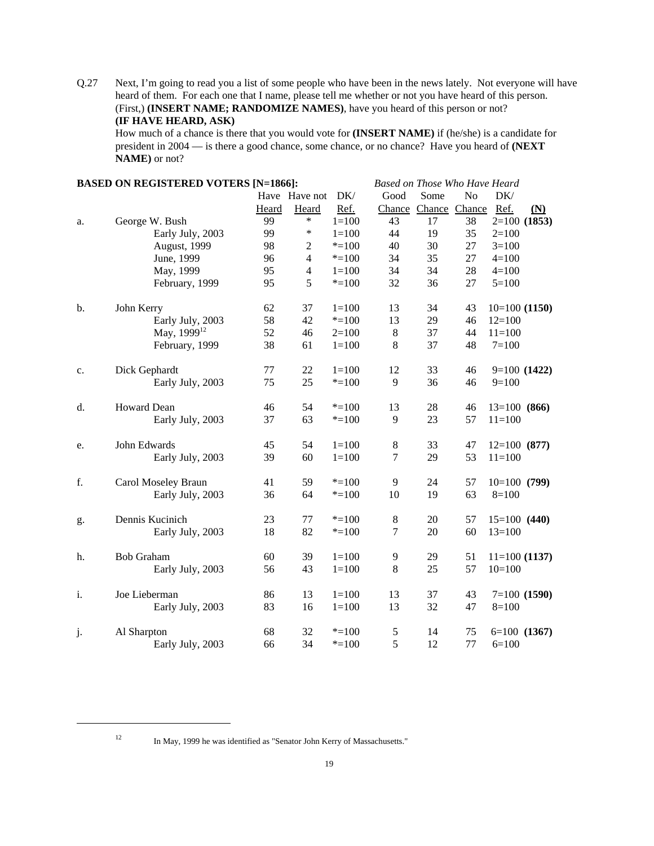Q.27 Next, I'm going to read you a list of some people who have been in the news lately. Not everyone will have heard of them. For each one that I name, please tell me whether or not you have heard of this person. (First,) **(INSERT NAME; RANDOMIZE NAMES)**, have you heard of this person or not? **(IF HAVE HEARD, ASK)**

How much of a chance is there that you would vote for **(INSERT NAME)** if (he/she) is a candidate for president in 2004 — is there a good chance, some chance, or no chance? Have you heard of **(NEXT NAME)** or not?

|    | <b>BASED ON REGISTERED VOTERS [N=1866]:</b> |       |                                                                  |           | Based on Those Who Have Heard |                      |                |                |                  |
|----|---------------------------------------------|-------|------------------------------------------------------------------|-----------|-------------------------------|----------------------|----------------|----------------|------------------|
|    |                                             |       | Have Have not                                                    | DK/       | Good                          | Some                 | N <sub>o</sub> | DK/            |                  |
|    |                                             | Heard | Heard                                                            | Ref.      |                               | Chance Chance Chance |                | Ref.           | (N)              |
| a. | George W. Bush                              | 99    | $\ast$                                                           | $1 = 100$ | 43                            | 17                   | 38             |                | $2=100(1853)$    |
|    | Early July, 2003                            | 99    | ∗                                                                | $1 = 100$ | 44                            | 19                   | 35             | $2 = 100$      |                  |
|    | August, 1999                                | 98    | $\mathfrak{2}% _{T}=\mathfrak{2}_{T}\!\left( T_{T_{1}}\right) ,$ | $* = 100$ | 40                            | 30                   | 27             | $3=100$        |                  |
|    | June, 1999                                  | 96    | $\overline{4}$                                                   | $* = 100$ | 34                            | 35                   | 27             | $4 = 100$      |                  |
|    | May, 1999                                   | 95    | $\overline{4}$                                                   | $1 = 100$ | 34                            | 34                   | 28             | $4 = 100$      |                  |
|    | February, 1999                              | 95    | 5                                                                | $* = 100$ | 32                            | 36                   | 27             | $5=100$        |                  |
| b. | John Kerry                                  | 62    | 37                                                               | $1 = 100$ | 13                            | 34                   | 43             | $10=100(1150)$ |                  |
|    | Early July, 2003                            | 58    | 42                                                               | $* = 100$ | 13                            | 29                   | 46             | $12=100$       |                  |
|    | May, 1999 <sup>12</sup>                     | 52    | 46                                                               | $2=100$   | $\,8\,$                       | 37                   | 44             | $11=100$       |                  |
|    | February, 1999                              | 38    | 61                                                               | $1=100$   | $8\,$                         | 37                   | 48             | $7 = 100$      |                  |
| c. | Dick Gephardt                               | 77    | 22                                                               | $1 = 100$ | 12                            | 33                   | 46             |                | $9=100(1422)$    |
|    | Early July, 2003                            | 75    | 25                                                               | $*=100$   | 9                             | 36                   | 46             | $9=100$        |                  |
| d. | Howard Dean                                 | 46    | 54                                                               | $* = 100$ | 13                            | 28                   | 46             | $13=100(866)$  |                  |
|    | Early July, 2003                            | 37    | 63                                                               | $* = 100$ | 9                             | 23                   | 57             | $11 = 100$     |                  |
| e. | John Edwards                                | 45    | 54                                                               | $1 = 100$ | $\,8\,$                       | 33                   | 47             | $12=100(877)$  |                  |
|    | Early July, 2003                            | 39    | 60                                                               | $1 = 100$ | $\tau$                        | 29                   | 53             | $11=100$       |                  |
| f. | Carol Moseley Braun                         | 41    | 59                                                               | $* = 100$ | 9                             | 24                   | 57             | $10=100(799)$  |                  |
|    | Early July, 2003                            | 36    | 64                                                               | $* = 100$ | 10                            | 19                   | 63             | $8=100$        |                  |
| g. | Dennis Kucinich                             | 23    | 77                                                               | $*=100$   | $8\,$                         | 20                   | 57             | $15=100(440)$  |                  |
|    | Early July, 2003                            | 18    | 82                                                               | $* = 100$ | $\boldsymbol{7}$              | 20                   | 60             | $13=100$       |                  |
| h. | <b>Bob Graham</b>                           | 60    | 39                                                               | $1 = 100$ | 9                             | 29                   | 51             | $11=100(1137)$ |                  |
|    | Early July, 2003                            | 56    | 43                                                               | $1 = 100$ | 8                             | 25                   | 57             | $10=100$       |                  |
| i. | Joe Lieberman                               | 86    | 13                                                               | $1 = 100$ | 13                            | 37                   | 43             |                | $7=100(1590)$    |
|    | Early July, 2003                            | 83    | 16                                                               | $1 = 100$ | 13                            | 32                   | 47             | $8=100$        |                  |
| j. | Al Sharpton                                 | 68    | 32                                                               | $* = 100$ | $\mathfrak s$                 | 14                   | 75             |                | $6=100$ $(1367)$ |
|    | Early July, 2003                            | 66    | 34                                                               | $* = 100$ | 5                             | 12                   | 77             | $6=100$        |                  |

<sup>12</sup> In May, 1999 he was identified as "Senator John Kerry of Massachusetts."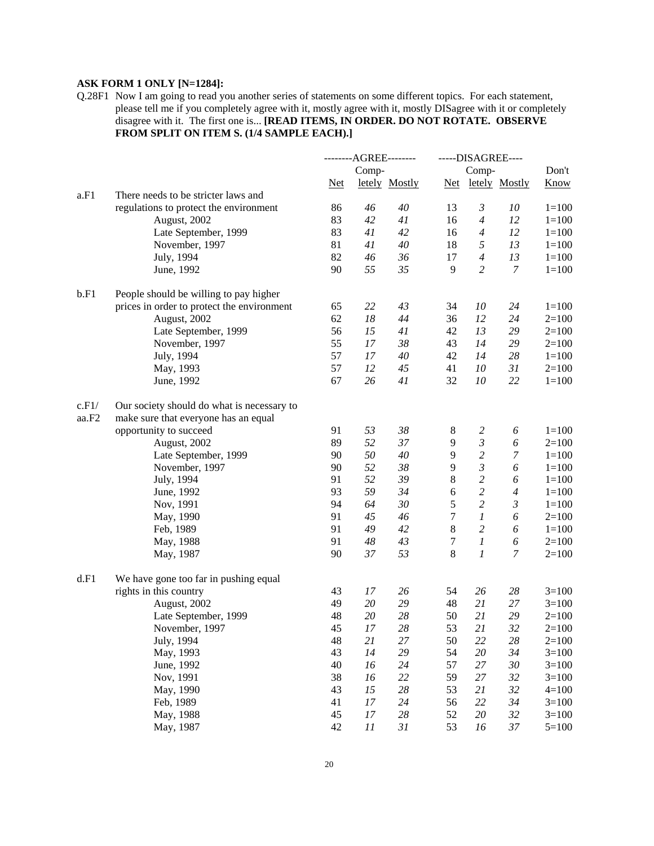# **ASK FORM 1 ONLY [N=1284]:**

Q.28F1 Now I am going to read you another series of statements on some different topics. For each statement, please tell me if you completely agree with it, mostly agree with it, mostly DISagree with it or completely disagree with it. The first one is... **[READ ITEMS, IN ORDER. DO NOT ROTATE. OBSERVE FROM SPLIT ON ITEM S. (1/4 SAMPLE EACH).]**

|       |                                            |            | --------AGREE-------- |               |            | -----DISAGREE---- |                   |             |
|-------|--------------------------------------------|------------|-----------------------|---------------|------------|-------------------|-------------------|-------------|
|       |                                            |            | Comp-                 |               |            | Comp-             |                   | Don't       |
|       |                                            | <b>Net</b> |                       | letely Mostly |            |                   | Net letely Mostly | <b>Know</b> |
| a.F1  | There needs to be stricter laws and        |            |                       |               |            |                   |                   |             |
|       | regulations to protect the environment     | 86         | 46                    | 40            | 13         | 3                 | 10                | $1 = 100$   |
|       | August, 2002                               | 83         | 42                    | 41            | 16         | $\overline{4}$    | 12                | $1 = 100$   |
|       | Late September, 1999                       | 83         | 41                    | 42            | 16         | $\overline{4}$    | 12                | $1 = 100$   |
|       | November, 1997                             | 81         | 41                    | 40            | 18         | 5                 | 13                | $1 = 100$   |
|       | July, 1994                                 | 82         | 46                    | 36            | 17         | $\overline{4}$    | 13                | $1 = 100$   |
|       | June, 1992                                 | 90         | 55                    | 35            | 9          | $\overline{c}$    | $\boldsymbol{7}$  | $1 = 100$   |
| b.F1  | People should be willing to pay higher     |            |                       |               |            |                   |                   |             |
|       | prices in order to protect the environment | 65         | 22                    | 43            | 34         | 10                | 24                | $1 = 100$   |
|       | August, 2002                               | 62         | 18                    | 44            | 36         | 12                | 24                | $2=100$     |
|       | Late September, 1999                       | 56         | 15                    | 41            | 42         | 13                | 29                | $2=100$     |
|       | November, 1997                             | 55         | 17                    | 38            | 43         | 14                | 29                | $2=100$     |
|       | July, 1994                                 | 57         | 17                    | 40            | 42         | 14                | 28                | $1 = 100$   |
|       | May, 1993                                  | 57         | 12                    | 45            | 41         | 10                | 31                | $2=100$     |
|       | June, 1992                                 | 67         | 26                    | 41            | 32         | 10                | 22                | $1 = 100$   |
| c.F1/ | Our society should do what is necessary to |            |                       |               |            |                   |                   |             |
| aa.F2 | make sure that everyone has an equal       |            |                       |               |            |                   |                   |             |
|       | opportunity to succeed                     | 91         | 53                    | 38            | 8          | $\overline{c}$    | 6                 | $1 = 100$   |
|       | August, 2002                               | 89         | 52                    | 37            | 9          | $\mathfrak{Z}$    | 6                 | $2=100$     |
|       | Late September, 1999                       | 90         | 50                    | 40            | 9          | $\overline{c}$    | $\boldsymbol{7}$  | $1 = 100$   |
|       | November, 1997                             | 90         | 52                    | 38            | 9          | $\mathfrak{Z}$    | 6                 | $1 = 100$   |
|       | July, 1994                                 | 91         | 52                    | 39            | $\,8\,$    | $\overline{c}$    | 6                 | $1 = 100$   |
|       | June, 1992                                 | 93         | 59                    | 34            | $\sqrt{6}$ | $\overline{c}$    | $\overline{4}$    | $1 = 100$   |
|       | Nov, 1991                                  | 94         | 64                    | 30            | 5          | $\overline{c}$    | $\mathfrak{Z}$    | $1 = 100$   |
|       | May, 1990                                  | 91         | 45                    | 46            | 7          | $\boldsymbol{l}$  | 6                 | $2=100$     |
|       | Feb, 1989                                  | 91         | 49                    | 42            | 8          | $\overline{c}$    | 6                 | $1 = 100$   |
|       | May, 1988                                  | 91         | 48                    | 43            | $\tau$     | $\mathfrak{1}$    | 6                 | $2=100$     |
|       | May, 1987                                  | 90         | 37                    | 53            | 8          | 1                 | 7                 | $2=100$     |
| d.F1  | We have gone too far in pushing equal      |            |                       |               |            |                   |                   |             |
|       | rights in this country                     | 43         | 17                    | 26            | 54         | 26                | 28                | $3=100$     |
|       | August, 2002                               | 49         | 20                    | 29            | 48         | 21                | 27                | $3=100$     |
|       | Late September, 1999                       | 48         | 20                    | 28            | 50         | 21                | 29                | $2=100$     |
|       | November, 1997                             | 45         | 17                    | 28            | 53         | 21                | 32                | $2=100$     |
|       | July, 1994                                 | 48         | $21\,$                | 27            | 50         | 22                | 28                | $2=100$     |
|       | May, 1993                                  | 43         | 14                    | 29            | 54         | 20                | 34                | $3=100$     |
|       | June, 1992                                 | 40         | 16                    | $24\,$        | 57         | 27                | $30\,$            | $3=100$     |
|       | Nov, 1991                                  | 38         | 16                    | 22            | 59         | 27                | 32                | $3=100$     |
|       | May, 1990                                  | 43         | 15                    | $28\,$        | 53         | 21                | 32                | $4 = 100$   |
|       | Feb, 1989                                  | 41         | 17                    | $24\,$        | 56         | 22                | 34                | $3=100$     |
|       | May, 1988                                  | 45         | $17\,$                | $28\,$        | 52         | $20\,$            | 32                | $3=100$     |
|       | May, 1987                                  | 42         | 11                    | 31            | 53         | 16                | $37\,$            | $5 = 100$   |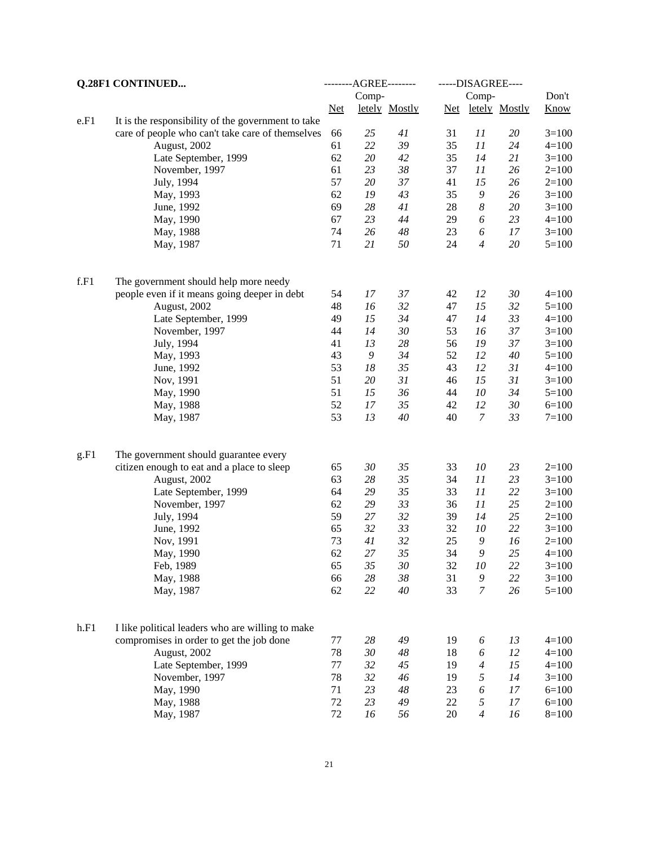| Don't<br>Comp-<br>Comp-<br><b>Know</b><br>letely Mostly<br>Net letely Mostly<br>$Net$<br>e.F1<br>It is the responsibility of the government to take<br>care of people who can't take care of themselves<br>66<br>25<br>41<br>31<br>11<br>20<br>$3 = 100$<br>22<br>61<br>39<br>35<br>11<br>24<br>August, 2002<br>$4 = 100$<br>62<br>20<br>42<br>35<br>14<br>21<br>Late September, 1999<br>$3=100$<br>61<br>38<br>23<br>37<br>11<br>26<br>November, 1997<br>$2=100$<br>57<br>$20\,$<br>37<br>15<br>July, 1994<br>41<br>26<br>$2=100$<br>62<br>19<br>43<br>$\boldsymbol{9}$<br>35<br>26<br>May, 1993<br>$3=100$<br>69<br>28<br>41<br>$\boldsymbol{8}$<br>June, 1992<br>28<br>20<br>$3=100$<br>67<br>23<br>44<br>23<br>29<br>6<br>$4 = 100$<br>May, 1990<br>74<br>26<br>48<br>23<br>17<br>6<br>$3=100$<br>May, 1988<br>71<br>21<br>50<br>24<br>$\overline{4}$<br>$20\,$<br>$5 = 100$<br>May, 1987<br>f.F1<br>The government should help more needy<br>people even if it means going deeper in debt<br>54<br>17<br>37<br>42<br>12<br>30<br>$4 = 100$<br>32<br>15<br>48<br>16<br>32<br>August, 2002<br>47<br>$5 = 100$<br>34<br>33<br>49<br>15<br>14<br>Late September, 1999<br>47<br>$4 = 100$<br>44<br>14<br>30<br>53<br>16<br>37<br>November, 1997<br>$3 = 100$<br>41<br>13<br>28<br>19<br>37<br>July, 1994<br>56<br>$3=100$<br>43<br>34<br>52<br>12<br>$40\,$<br>May, 1993<br>9<br>$5=100$<br>53<br>35<br>12<br>31<br>June, 1992<br>18<br>43<br>$4 = 100$<br>51<br>20<br>31<br>15<br>31<br>46<br>Nov, 1991<br>$3=100$<br>51<br>15<br>36<br>10<br>44<br>34<br>May, 1990<br>$5=100$<br>52<br>35<br>12<br>30<br>17<br>42<br>May, 1988<br>$6=100$<br>53<br>$\boldsymbol{7}$<br>13<br>33<br>40<br>40<br>$7 = 100$<br>May, 1987<br>g.F1<br>The government should guarantee every<br>23<br>65<br>30<br>35<br>33<br>10<br>$2=100$<br>citizen enough to eat and a place to sleep<br>35<br>63<br>28<br>11<br>23<br>August, 2002<br>34<br>$3 = 100$<br>64<br>29<br>35<br>11<br>22<br>33<br>Late September, 1999<br>$3=100$<br>62<br>29<br>33<br>11<br>25<br>36<br>November, 1997<br>$2=100$<br>59<br>27<br>32<br>14<br>25<br>July, 1994<br>39<br>$2=100$<br>65<br>22<br>32<br>33<br>10<br>June, 1992<br>32<br>$3=100$<br>73<br>32<br>25<br>$\boldsymbol{9}$<br>41<br>16<br>Nov, 1991<br>$2=100$<br>62<br>27<br>35<br>34<br>$\mathfrak g$<br>25<br>May, 1990<br>$4 = 100$<br>Feb, 1989<br>65<br>35<br>30<br>32<br>10<br>22<br>$3 = 100$<br>28<br>38<br>9<br>22<br>66<br>31<br>$3=100$<br>May, 1988<br>62<br>22<br>$40\,$<br>7<br>26<br>33<br>$5 = 100$<br>May, 1987<br>h.F1<br>I like political leaders who are willing to make<br>compromises in order to get the job done<br>77<br>28<br>49<br>19<br>13<br>$4 = 100$<br>6<br>78<br>30<br>48<br>6<br>12<br>August, 2002<br>18<br>$4 = 100$<br>15<br>77<br>32<br>45<br>Late September, 1999<br>19<br>$\overline{4}$<br>$4 = 100$<br>78<br>32<br>46<br>5<br>14<br>November, 1997<br>19<br>$3 = 100$<br>May, 1990<br>71<br>23<br>23<br>6<br>48<br>17<br>$6 = 100$<br>72<br>23<br>5<br>May, 1988<br>49<br>22<br>17<br>$6=100$<br>72<br>$\overline{4}$<br>May, 1987<br>16<br>56<br>20<br>16<br>$8 = 100$ | Q.28F1 CONTINUED | ---------AGREE--------- |  | -----DISAGREE---- |  |
|----------------------------------------------------------------------------------------------------------------------------------------------------------------------------------------------------------------------------------------------------------------------------------------------------------------------------------------------------------------------------------------------------------------------------------------------------------------------------------------------------------------------------------------------------------------------------------------------------------------------------------------------------------------------------------------------------------------------------------------------------------------------------------------------------------------------------------------------------------------------------------------------------------------------------------------------------------------------------------------------------------------------------------------------------------------------------------------------------------------------------------------------------------------------------------------------------------------------------------------------------------------------------------------------------------------------------------------------------------------------------------------------------------------------------------------------------------------------------------------------------------------------------------------------------------------------------------------------------------------------------------------------------------------------------------------------------------------------------------------------------------------------------------------------------------------------------------------------------------------------------------------------------------------------------------------------------------------------------------------------------------------------------------------------------------------------------------------------------------------------------------------------------------------------------------------------------------------------------------------------------------------------------------------------------------------------------------------------------------------------------------------------------------------------------------------------------------------------------------------------------------------------------------------------------------------------------------------------------------------------------------------------------------------------------------------------------------------------------------------------------------------------------------------------------------------------------------------------------------------------------------------------------------------------------------------------------------------------------------------------------------------------------------------------------------------------------------------------------------------------------------------|------------------|-------------------------|--|-------------------|--|
|                                                                                                                                                                                                                                                                                                                                                                                                                                                                                                                                                                                                                                                                                                                                                                                                                                                                                                                                                                                                                                                                                                                                                                                                                                                                                                                                                                                                                                                                                                                                                                                                                                                                                                                                                                                                                                                                                                                                                                                                                                                                                                                                                                                                                                                                                                                                                                                                                                                                                                                                                                                                                                                                                                                                                                                                                                                                                                                                                                                                                                                                                                                                        |                  |                         |  |                   |  |
|                                                                                                                                                                                                                                                                                                                                                                                                                                                                                                                                                                                                                                                                                                                                                                                                                                                                                                                                                                                                                                                                                                                                                                                                                                                                                                                                                                                                                                                                                                                                                                                                                                                                                                                                                                                                                                                                                                                                                                                                                                                                                                                                                                                                                                                                                                                                                                                                                                                                                                                                                                                                                                                                                                                                                                                                                                                                                                                                                                                                                                                                                                                                        |                  |                         |  |                   |  |
|                                                                                                                                                                                                                                                                                                                                                                                                                                                                                                                                                                                                                                                                                                                                                                                                                                                                                                                                                                                                                                                                                                                                                                                                                                                                                                                                                                                                                                                                                                                                                                                                                                                                                                                                                                                                                                                                                                                                                                                                                                                                                                                                                                                                                                                                                                                                                                                                                                                                                                                                                                                                                                                                                                                                                                                                                                                                                                                                                                                                                                                                                                                                        |                  |                         |  |                   |  |
|                                                                                                                                                                                                                                                                                                                                                                                                                                                                                                                                                                                                                                                                                                                                                                                                                                                                                                                                                                                                                                                                                                                                                                                                                                                                                                                                                                                                                                                                                                                                                                                                                                                                                                                                                                                                                                                                                                                                                                                                                                                                                                                                                                                                                                                                                                                                                                                                                                                                                                                                                                                                                                                                                                                                                                                                                                                                                                                                                                                                                                                                                                                                        |                  |                         |  |                   |  |
|                                                                                                                                                                                                                                                                                                                                                                                                                                                                                                                                                                                                                                                                                                                                                                                                                                                                                                                                                                                                                                                                                                                                                                                                                                                                                                                                                                                                                                                                                                                                                                                                                                                                                                                                                                                                                                                                                                                                                                                                                                                                                                                                                                                                                                                                                                                                                                                                                                                                                                                                                                                                                                                                                                                                                                                                                                                                                                                                                                                                                                                                                                                                        |                  |                         |  |                   |  |
|                                                                                                                                                                                                                                                                                                                                                                                                                                                                                                                                                                                                                                                                                                                                                                                                                                                                                                                                                                                                                                                                                                                                                                                                                                                                                                                                                                                                                                                                                                                                                                                                                                                                                                                                                                                                                                                                                                                                                                                                                                                                                                                                                                                                                                                                                                                                                                                                                                                                                                                                                                                                                                                                                                                                                                                                                                                                                                                                                                                                                                                                                                                                        |                  |                         |  |                   |  |
|                                                                                                                                                                                                                                                                                                                                                                                                                                                                                                                                                                                                                                                                                                                                                                                                                                                                                                                                                                                                                                                                                                                                                                                                                                                                                                                                                                                                                                                                                                                                                                                                                                                                                                                                                                                                                                                                                                                                                                                                                                                                                                                                                                                                                                                                                                                                                                                                                                                                                                                                                                                                                                                                                                                                                                                                                                                                                                                                                                                                                                                                                                                                        |                  |                         |  |                   |  |
|                                                                                                                                                                                                                                                                                                                                                                                                                                                                                                                                                                                                                                                                                                                                                                                                                                                                                                                                                                                                                                                                                                                                                                                                                                                                                                                                                                                                                                                                                                                                                                                                                                                                                                                                                                                                                                                                                                                                                                                                                                                                                                                                                                                                                                                                                                                                                                                                                                                                                                                                                                                                                                                                                                                                                                                                                                                                                                                                                                                                                                                                                                                                        |                  |                         |  |                   |  |
|                                                                                                                                                                                                                                                                                                                                                                                                                                                                                                                                                                                                                                                                                                                                                                                                                                                                                                                                                                                                                                                                                                                                                                                                                                                                                                                                                                                                                                                                                                                                                                                                                                                                                                                                                                                                                                                                                                                                                                                                                                                                                                                                                                                                                                                                                                                                                                                                                                                                                                                                                                                                                                                                                                                                                                                                                                                                                                                                                                                                                                                                                                                                        |                  |                         |  |                   |  |
|                                                                                                                                                                                                                                                                                                                                                                                                                                                                                                                                                                                                                                                                                                                                                                                                                                                                                                                                                                                                                                                                                                                                                                                                                                                                                                                                                                                                                                                                                                                                                                                                                                                                                                                                                                                                                                                                                                                                                                                                                                                                                                                                                                                                                                                                                                                                                                                                                                                                                                                                                                                                                                                                                                                                                                                                                                                                                                                                                                                                                                                                                                                                        |                  |                         |  |                   |  |
|                                                                                                                                                                                                                                                                                                                                                                                                                                                                                                                                                                                                                                                                                                                                                                                                                                                                                                                                                                                                                                                                                                                                                                                                                                                                                                                                                                                                                                                                                                                                                                                                                                                                                                                                                                                                                                                                                                                                                                                                                                                                                                                                                                                                                                                                                                                                                                                                                                                                                                                                                                                                                                                                                                                                                                                                                                                                                                                                                                                                                                                                                                                                        |                  |                         |  |                   |  |
|                                                                                                                                                                                                                                                                                                                                                                                                                                                                                                                                                                                                                                                                                                                                                                                                                                                                                                                                                                                                                                                                                                                                                                                                                                                                                                                                                                                                                                                                                                                                                                                                                                                                                                                                                                                                                                                                                                                                                                                                                                                                                                                                                                                                                                                                                                                                                                                                                                                                                                                                                                                                                                                                                                                                                                                                                                                                                                                                                                                                                                                                                                                                        |                  |                         |  |                   |  |
|                                                                                                                                                                                                                                                                                                                                                                                                                                                                                                                                                                                                                                                                                                                                                                                                                                                                                                                                                                                                                                                                                                                                                                                                                                                                                                                                                                                                                                                                                                                                                                                                                                                                                                                                                                                                                                                                                                                                                                                                                                                                                                                                                                                                                                                                                                                                                                                                                                                                                                                                                                                                                                                                                                                                                                                                                                                                                                                                                                                                                                                                                                                                        |                  |                         |  |                   |  |
|                                                                                                                                                                                                                                                                                                                                                                                                                                                                                                                                                                                                                                                                                                                                                                                                                                                                                                                                                                                                                                                                                                                                                                                                                                                                                                                                                                                                                                                                                                                                                                                                                                                                                                                                                                                                                                                                                                                                                                                                                                                                                                                                                                                                                                                                                                                                                                                                                                                                                                                                                                                                                                                                                                                                                                                                                                                                                                                                                                                                                                                                                                                                        |                  |                         |  |                   |  |
|                                                                                                                                                                                                                                                                                                                                                                                                                                                                                                                                                                                                                                                                                                                                                                                                                                                                                                                                                                                                                                                                                                                                                                                                                                                                                                                                                                                                                                                                                                                                                                                                                                                                                                                                                                                                                                                                                                                                                                                                                                                                                                                                                                                                                                                                                                                                                                                                                                                                                                                                                                                                                                                                                                                                                                                                                                                                                                                                                                                                                                                                                                                                        |                  |                         |  |                   |  |
|                                                                                                                                                                                                                                                                                                                                                                                                                                                                                                                                                                                                                                                                                                                                                                                                                                                                                                                                                                                                                                                                                                                                                                                                                                                                                                                                                                                                                                                                                                                                                                                                                                                                                                                                                                                                                                                                                                                                                                                                                                                                                                                                                                                                                                                                                                                                                                                                                                                                                                                                                                                                                                                                                                                                                                                                                                                                                                                                                                                                                                                                                                                                        |                  |                         |  |                   |  |
|                                                                                                                                                                                                                                                                                                                                                                                                                                                                                                                                                                                                                                                                                                                                                                                                                                                                                                                                                                                                                                                                                                                                                                                                                                                                                                                                                                                                                                                                                                                                                                                                                                                                                                                                                                                                                                                                                                                                                                                                                                                                                                                                                                                                                                                                                                                                                                                                                                                                                                                                                                                                                                                                                                                                                                                                                                                                                                                                                                                                                                                                                                                                        |                  |                         |  |                   |  |
|                                                                                                                                                                                                                                                                                                                                                                                                                                                                                                                                                                                                                                                                                                                                                                                                                                                                                                                                                                                                                                                                                                                                                                                                                                                                                                                                                                                                                                                                                                                                                                                                                                                                                                                                                                                                                                                                                                                                                                                                                                                                                                                                                                                                                                                                                                                                                                                                                                                                                                                                                                                                                                                                                                                                                                                                                                                                                                                                                                                                                                                                                                                                        |                  |                         |  |                   |  |
|                                                                                                                                                                                                                                                                                                                                                                                                                                                                                                                                                                                                                                                                                                                                                                                                                                                                                                                                                                                                                                                                                                                                                                                                                                                                                                                                                                                                                                                                                                                                                                                                                                                                                                                                                                                                                                                                                                                                                                                                                                                                                                                                                                                                                                                                                                                                                                                                                                                                                                                                                                                                                                                                                                                                                                                                                                                                                                                                                                                                                                                                                                                                        |                  |                         |  |                   |  |
|                                                                                                                                                                                                                                                                                                                                                                                                                                                                                                                                                                                                                                                                                                                                                                                                                                                                                                                                                                                                                                                                                                                                                                                                                                                                                                                                                                                                                                                                                                                                                                                                                                                                                                                                                                                                                                                                                                                                                                                                                                                                                                                                                                                                                                                                                                                                                                                                                                                                                                                                                                                                                                                                                                                                                                                                                                                                                                                                                                                                                                                                                                                                        |                  |                         |  |                   |  |
|                                                                                                                                                                                                                                                                                                                                                                                                                                                                                                                                                                                                                                                                                                                                                                                                                                                                                                                                                                                                                                                                                                                                                                                                                                                                                                                                                                                                                                                                                                                                                                                                                                                                                                                                                                                                                                                                                                                                                                                                                                                                                                                                                                                                                                                                                                                                                                                                                                                                                                                                                                                                                                                                                                                                                                                                                                                                                                                                                                                                                                                                                                                                        |                  |                         |  |                   |  |
|                                                                                                                                                                                                                                                                                                                                                                                                                                                                                                                                                                                                                                                                                                                                                                                                                                                                                                                                                                                                                                                                                                                                                                                                                                                                                                                                                                                                                                                                                                                                                                                                                                                                                                                                                                                                                                                                                                                                                                                                                                                                                                                                                                                                                                                                                                                                                                                                                                                                                                                                                                                                                                                                                                                                                                                                                                                                                                                                                                                                                                                                                                                                        |                  |                         |  |                   |  |
|                                                                                                                                                                                                                                                                                                                                                                                                                                                                                                                                                                                                                                                                                                                                                                                                                                                                                                                                                                                                                                                                                                                                                                                                                                                                                                                                                                                                                                                                                                                                                                                                                                                                                                                                                                                                                                                                                                                                                                                                                                                                                                                                                                                                                                                                                                                                                                                                                                                                                                                                                                                                                                                                                                                                                                                                                                                                                                                                                                                                                                                                                                                                        |                  |                         |  |                   |  |
|                                                                                                                                                                                                                                                                                                                                                                                                                                                                                                                                                                                                                                                                                                                                                                                                                                                                                                                                                                                                                                                                                                                                                                                                                                                                                                                                                                                                                                                                                                                                                                                                                                                                                                                                                                                                                                                                                                                                                                                                                                                                                                                                                                                                                                                                                                                                                                                                                                                                                                                                                                                                                                                                                                                                                                                                                                                                                                                                                                                                                                                                                                                                        |                  |                         |  |                   |  |
|                                                                                                                                                                                                                                                                                                                                                                                                                                                                                                                                                                                                                                                                                                                                                                                                                                                                                                                                                                                                                                                                                                                                                                                                                                                                                                                                                                                                                                                                                                                                                                                                                                                                                                                                                                                                                                                                                                                                                                                                                                                                                                                                                                                                                                                                                                                                                                                                                                                                                                                                                                                                                                                                                                                                                                                                                                                                                                                                                                                                                                                                                                                                        |                  |                         |  |                   |  |
|                                                                                                                                                                                                                                                                                                                                                                                                                                                                                                                                                                                                                                                                                                                                                                                                                                                                                                                                                                                                                                                                                                                                                                                                                                                                                                                                                                                                                                                                                                                                                                                                                                                                                                                                                                                                                                                                                                                                                                                                                                                                                                                                                                                                                                                                                                                                                                                                                                                                                                                                                                                                                                                                                                                                                                                                                                                                                                                                                                                                                                                                                                                                        |                  |                         |  |                   |  |
|                                                                                                                                                                                                                                                                                                                                                                                                                                                                                                                                                                                                                                                                                                                                                                                                                                                                                                                                                                                                                                                                                                                                                                                                                                                                                                                                                                                                                                                                                                                                                                                                                                                                                                                                                                                                                                                                                                                                                                                                                                                                                                                                                                                                                                                                                                                                                                                                                                                                                                                                                                                                                                                                                                                                                                                                                                                                                                                                                                                                                                                                                                                                        |                  |                         |  |                   |  |
|                                                                                                                                                                                                                                                                                                                                                                                                                                                                                                                                                                                                                                                                                                                                                                                                                                                                                                                                                                                                                                                                                                                                                                                                                                                                                                                                                                                                                                                                                                                                                                                                                                                                                                                                                                                                                                                                                                                                                                                                                                                                                                                                                                                                                                                                                                                                                                                                                                                                                                                                                                                                                                                                                                                                                                                                                                                                                                                                                                                                                                                                                                                                        |                  |                         |  |                   |  |
|                                                                                                                                                                                                                                                                                                                                                                                                                                                                                                                                                                                                                                                                                                                                                                                                                                                                                                                                                                                                                                                                                                                                                                                                                                                                                                                                                                                                                                                                                                                                                                                                                                                                                                                                                                                                                                                                                                                                                                                                                                                                                                                                                                                                                                                                                                                                                                                                                                                                                                                                                                                                                                                                                                                                                                                                                                                                                                                                                                                                                                                                                                                                        |                  |                         |  |                   |  |
|                                                                                                                                                                                                                                                                                                                                                                                                                                                                                                                                                                                                                                                                                                                                                                                                                                                                                                                                                                                                                                                                                                                                                                                                                                                                                                                                                                                                                                                                                                                                                                                                                                                                                                                                                                                                                                                                                                                                                                                                                                                                                                                                                                                                                                                                                                                                                                                                                                                                                                                                                                                                                                                                                                                                                                                                                                                                                                                                                                                                                                                                                                                                        |                  |                         |  |                   |  |
|                                                                                                                                                                                                                                                                                                                                                                                                                                                                                                                                                                                                                                                                                                                                                                                                                                                                                                                                                                                                                                                                                                                                                                                                                                                                                                                                                                                                                                                                                                                                                                                                                                                                                                                                                                                                                                                                                                                                                                                                                                                                                                                                                                                                                                                                                                                                                                                                                                                                                                                                                                                                                                                                                                                                                                                                                                                                                                                                                                                                                                                                                                                                        |                  |                         |  |                   |  |
|                                                                                                                                                                                                                                                                                                                                                                                                                                                                                                                                                                                                                                                                                                                                                                                                                                                                                                                                                                                                                                                                                                                                                                                                                                                                                                                                                                                                                                                                                                                                                                                                                                                                                                                                                                                                                                                                                                                                                                                                                                                                                                                                                                                                                                                                                                                                                                                                                                                                                                                                                                                                                                                                                                                                                                                                                                                                                                                                                                                                                                                                                                                                        |                  |                         |  |                   |  |
|                                                                                                                                                                                                                                                                                                                                                                                                                                                                                                                                                                                                                                                                                                                                                                                                                                                                                                                                                                                                                                                                                                                                                                                                                                                                                                                                                                                                                                                                                                                                                                                                                                                                                                                                                                                                                                                                                                                                                                                                                                                                                                                                                                                                                                                                                                                                                                                                                                                                                                                                                                                                                                                                                                                                                                                                                                                                                                                                                                                                                                                                                                                                        |                  |                         |  |                   |  |
|                                                                                                                                                                                                                                                                                                                                                                                                                                                                                                                                                                                                                                                                                                                                                                                                                                                                                                                                                                                                                                                                                                                                                                                                                                                                                                                                                                                                                                                                                                                                                                                                                                                                                                                                                                                                                                                                                                                                                                                                                                                                                                                                                                                                                                                                                                                                                                                                                                                                                                                                                                                                                                                                                                                                                                                                                                                                                                                                                                                                                                                                                                                                        |                  |                         |  |                   |  |
|                                                                                                                                                                                                                                                                                                                                                                                                                                                                                                                                                                                                                                                                                                                                                                                                                                                                                                                                                                                                                                                                                                                                                                                                                                                                                                                                                                                                                                                                                                                                                                                                                                                                                                                                                                                                                                                                                                                                                                                                                                                                                                                                                                                                                                                                                                                                                                                                                                                                                                                                                                                                                                                                                                                                                                                                                                                                                                                                                                                                                                                                                                                                        |                  |                         |  |                   |  |
|                                                                                                                                                                                                                                                                                                                                                                                                                                                                                                                                                                                                                                                                                                                                                                                                                                                                                                                                                                                                                                                                                                                                                                                                                                                                                                                                                                                                                                                                                                                                                                                                                                                                                                                                                                                                                                                                                                                                                                                                                                                                                                                                                                                                                                                                                                                                                                                                                                                                                                                                                                                                                                                                                                                                                                                                                                                                                                                                                                                                                                                                                                                                        |                  |                         |  |                   |  |
|                                                                                                                                                                                                                                                                                                                                                                                                                                                                                                                                                                                                                                                                                                                                                                                                                                                                                                                                                                                                                                                                                                                                                                                                                                                                                                                                                                                                                                                                                                                                                                                                                                                                                                                                                                                                                                                                                                                                                                                                                                                                                                                                                                                                                                                                                                                                                                                                                                                                                                                                                                                                                                                                                                                                                                                                                                                                                                                                                                                                                                                                                                                                        |                  |                         |  |                   |  |
|                                                                                                                                                                                                                                                                                                                                                                                                                                                                                                                                                                                                                                                                                                                                                                                                                                                                                                                                                                                                                                                                                                                                                                                                                                                                                                                                                                                                                                                                                                                                                                                                                                                                                                                                                                                                                                                                                                                                                                                                                                                                                                                                                                                                                                                                                                                                                                                                                                                                                                                                                                                                                                                                                                                                                                                                                                                                                                                                                                                                                                                                                                                                        |                  |                         |  |                   |  |
|                                                                                                                                                                                                                                                                                                                                                                                                                                                                                                                                                                                                                                                                                                                                                                                                                                                                                                                                                                                                                                                                                                                                                                                                                                                                                                                                                                                                                                                                                                                                                                                                                                                                                                                                                                                                                                                                                                                                                                                                                                                                                                                                                                                                                                                                                                                                                                                                                                                                                                                                                                                                                                                                                                                                                                                                                                                                                                                                                                                                                                                                                                                                        |                  |                         |  |                   |  |
|                                                                                                                                                                                                                                                                                                                                                                                                                                                                                                                                                                                                                                                                                                                                                                                                                                                                                                                                                                                                                                                                                                                                                                                                                                                                                                                                                                                                                                                                                                                                                                                                                                                                                                                                                                                                                                                                                                                                                                                                                                                                                                                                                                                                                                                                                                                                                                                                                                                                                                                                                                                                                                                                                                                                                                                                                                                                                                                                                                                                                                                                                                                                        |                  |                         |  |                   |  |
|                                                                                                                                                                                                                                                                                                                                                                                                                                                                                                                                                                                                                                                                                                                                                                                                                                                                                                                                                                                                                                                                                                                                                                                                                                                                                                                                                                                                                                                                                                                                                                                                                                                                                                                                                                                                                                                                                                                                                                                                                                                                                                                                                                                                                                                                                                                                                                                                                                                                                                                                                                                                                                                                                                                                                                                                                                                                                                                                                                                                                                                                                                                                        |                  |                         |  |                   |  |
|                                                                                                                                                                                                                                                                                                                                                                                                                                                                                                                                                                                                                                                                                                                                                                                                                                                                                                                                                                                                                                                                                                                                                                                                                                                                                                                                                                                                                                                                                                                                                                                                                                                                                                                                                                                                                                                                                                                                                                                                                                                                                                                                                                                                                                                                                                                                                                                                                                                                                                                                                                                                                                                                                                                                                                                                                                                                                                                                                                                                                                                                                                                                        |                  |                         |  |                   |  |
|                                                                                                                                                                                                                                                                                                                                                                                                                                                                                                                                                                                                                                                                                                                                                                                                                                                                                                                                                                                                                                                                                                                                                                                                                                                                                                                                                                                                                                                                                                                                                                                                                                                                                                                                                                                                                                                                                                                                                                                                                                                                                                                                                                                                                                                                                                                                                                                                                                                                                                                                                                                                                                                                                                                                                                                                                                                                                                                                                                                                                                                                                                                                        |                  |                         |  |                   |  |
|                                                                                                                                                                                                                                                                                                                                                                                                                                                                                                                                                                                                                                                                                                                                                                                                                                                                                                                                                                                                                                                                                                                                                                                                                                                                                                                                                                                                                                                                                                                                                                                                                                                                                                                                                                                                                                                                                                                                                                                                                                                                                                                                                                                                                                                                                                                                                                                                                                                                                                                                                                                                                                                                                                                                                                                                                                                                                                                                                                                                                                                                                                                                        |                  |                         |  |                   |  |
|                                                                                                                                                                                                                                                                                                                                                                                                                                                                                                                                                                                                                                                                                                                                                                                                                                                                                                                                                                                                                                                                                                                                                                                                                                                                                                                                                                                                                                                                                                                                                                                                                                                                                                                                                                                                                                                                                                                                                                                                                                                                                                                                                                                                                                                                                                                                                                                                                                                                                                                                                                                                                                                                                                                                                                                                                                                                                                                                                                                                                                                                                                                                        |                  |                         |  |                   |  |
|                                                                                                                                                                                                                                                                                                                                                                                                                                                                                                                                                                                                                                                                                                                                                                                                                                                                                                                                                                                                                                                                                                                                                                                                                                                                                                                                                                                                                                                                                                                                                                                                                                                                                                                                                                                                                                                                                                                                                                                                                                                                                                                                                                                                                                                                                                                                                                                                                                                                                                                                                                                                                                                                                                                                                                                                                                                                                                                                                                                                                                                                                                                                        |                  |                         |  |                   |  |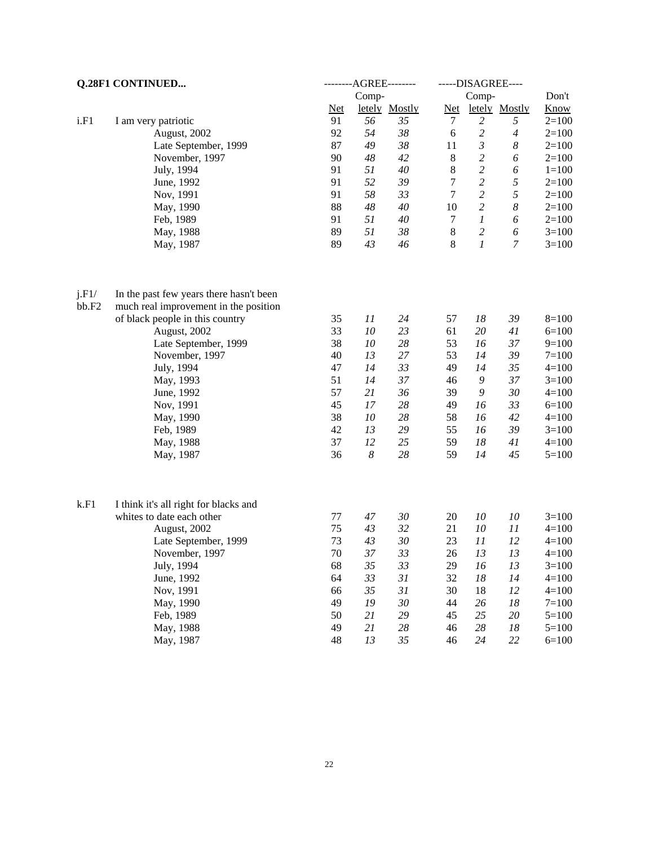| Q.28F1 CONTINUED |                                         | --------AGREE-------- |                  |               | -----DISAGREE---- |                      |                  |             |
|------------------|-----------------------------------------|-----------------------|------------------|---------------|-------------------|----------------------|------------------|-------------|
|                  |                                         |                       | Comp-            |               |                   | Comp-                |                  | Don't       |
|                  |                                         | <b>Net</b>            |                  | letely Mostly | $Net$             |                      | letely Mostly    | <b>Know</b> |
| i.F1             | I am very patriotic                     | 91                    | 56               | 35            | 7                 | $\overline{c}$       | 5                | $2=100$     |
|                  | August, 2002                            | 92                    | 54               | $38\,$        | $\sqrt{6}$        | $\boldsymbol{2}$     | $\boldsymbol{4}$ | $2=100$     |
|                  | Late September, 1999                    | 87                    | 49               | $38\,$        | 11                | $\boldsymbol{\beta}$ | $\boldsymbol{8}$ | $2=100$     |
|                  | November, 1997                          | 90                    | 48               | 42            | $8\,$             | $\boldsymbol{2}$     | 6                | $2=100$     |
|                  | July, 1994                              | 91                    | 51               | 40            | $\,8\,$           | $\sqrt{2}$           | 6                | $1 = 100$   |
|                  | June, 1992                              | 91                    | 52               | 39            | $\boldsymbol{7}$  | $\boldsymbol{2}$     | $\sqrt{2}$       | $2=100$     |
|                  | Nov, 1991                               | 91                    | 58               | 33            | $\tau$            | $\sqrt{2}$           | $\sqrt{2}$       | $2=100$     |
|                  | May, 1990                               | 88                    | 48               | 40            | 10                | $\boldsymbol{2}$     | $\boldsymbol{8}$ | $2=100$     |
|                  | Feb, 1989                               | 91                    | 51               | 40            | $\tau$            | $\boldsymbol{l}$     | 6                | $2=100$     |
|                  | May, 1988                               | 89                    | 51               | $38\,$        | $8\,$             | $\boldsymbol{2}$     | 6                | $3=100$     |
|                  | May, 1987                               | 89                    | 43               | 46            | $8\,$             | $\boldsymbol{l}$     | $\overline{7}$   | $3=100$     |
| j.F1/            | In the past few years there hasn't been |                       |                  |               |                   |                      |                  |             |
| bb.F2            | much real improvement in the position   |                       |                  |               |                   |                      |                  |             |
|                  | of black people in this country         | 35                    | 11               | 24            | 57                | 18                   | 39               | $8=100$     |
|                  | August, 2002                            | 33                    | 10               | 23            | 61                | 20                   | 41               | $6=100$     |
|                  | Late September, 1999                    | 38                    | 10               | 28            | 53                | 16                   | 37               | $9=100$     |
|                  | November, 1997                          | 40                    | 13               | 27            | 53                | 14                   | 39               | $7 = 100$   |
|                  | July, 1994                              | 47                    | 14               | 33            | 49                | 14                   | 35               | $4=100$     |
|                  | May, 1993                               | 51                    | 14               | 37            | 46                | 9                    | 37               | $3=100$     |
|                  | June, 1992                              | 57                    | 21               | 36            | 39                | 9                    | 30               | $4 = 100$   |
|                  | Nov, 1991                               | 45                    | 17               | 28            | 49                | 16                   | 33               | $6=100$     |
|                  | May, 1990                               | 38                    | 10               | 28            | 58                | 16                   | 42               | $4=100$     |
|                  | Feb, 1989                               | 42                    | 13               | 29            | 55                | 16                   | 39               | $3=100$     |
|                  | May, 1988                               | 37                    | 12               | 25            | 59                | 18                   | 41               | $4 = 100$   |
|                  | May, 1987                               | 36                    | $\boldsymbol{8}$ | 28            | 59                | 14                   | 45               | $5=100$     |
| k.F1             | I think it's all right for blacks and   |                       |                  |               |                   |                      |                  |             |
|                  | whites to date each other               | 77                    | 47               | $30\,$        | 20                | 10                   | 10               | $3=100$     |
|                  | August, 2002                            | 75                    | 43               | 32            | 21                | 10                   | 11               | $4=100$     |
|                  | Late September, 1999                    | 73                    | 43               | $30\,$        | 23                | 11                   | 12               | $4=100$     |
|                  | November, 1997                          | 70                    | 37               | 33            | 26                | 13                   | 13               | $4=100$     |
|                  | July, 1994                              | 68                    | 35               | 33            | 29                | 16                   | 13               | $3=100$     |
|                  | June, 1992                              | 64                    | 33               | 31            | 32                | 18                   | 14               | $4=100$     |
|                  | Nov, 1991                               | 66                    | 35               | 31            | 30                | 18                   | 12               | $4 = 100$   |
|                  | May, 1990                               | 49                    | 19               | 30            | 44                | 26                   | 18               | $7 = 100$   |
|                  | Feb, 1989                               | 50                    | 21               | 29            | 45                | 25                   | 20               | $5 = 100$   |
|                  | May, 1988                               | 49                    | 21               | $28\,$        | 46                | 28                   | 18               | $5 = 100$   |
|                  | May, 1987                               | 48                    | 13               | 35            | 46                | 24                   | 22               | $6=100$     |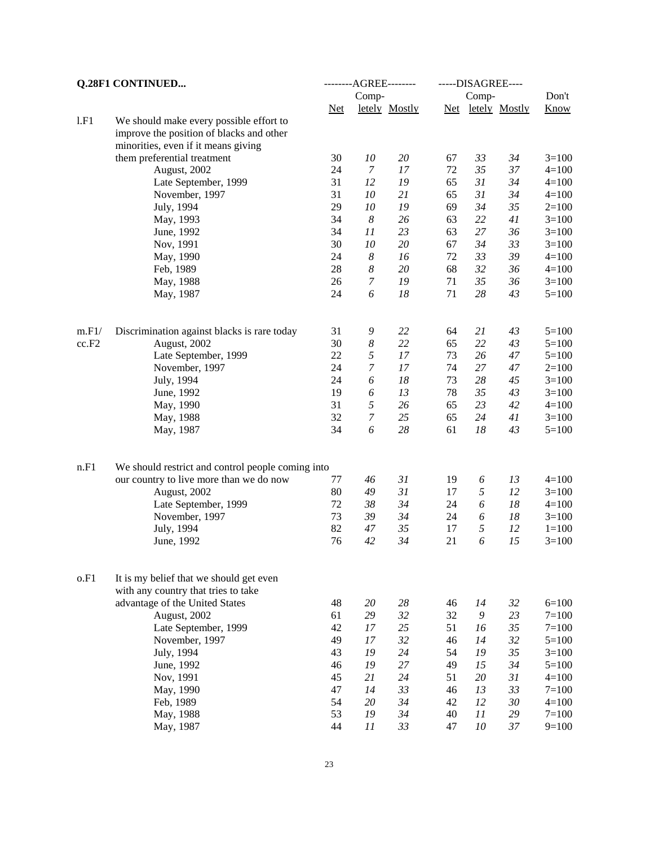| Q.28F1 CONTINUED |                                                   | --------AGREE-------- |                  |               | -----DISAGREE---- |          |                   |           |
|------------------|---------------------------------------------------|-----------------------|------------------|---------------|-------------------|----------|-------------------|-----------|
|                  |                                                   |                       | Comp-            |               |                   | Comp-    |                   | Don't     |
|                  |                                                   | $Net$                 |                  | letely Mostly |                   |          | Net letely Mostly | Know      |
| 1.F1             | We should make every possible effort to           |                       |                  |               |                   |          |                   |           |
|                  | improve the position of blacks and other          |                       |                  |               |                   |          |                   |           |
|                  | minorities, even if it means giving               |                       |                  |               |                   |          |                   |           |
|                  | them preferential treatment                       | 30                    | $10\,$           | 20            | 67                | 33       | 34                | $3=100$   |
|                  | August, 2002                                      | 24                    | $\boldsymbol{7}$ | $17\,$        | 72                | 35       | 37                | $4 = 100$ |
|                  | Late September, 1999                              | 31                    | 12               | 19            | 65                | 31       | 34                | $4=100$   |
|                  | November, 1997                                    | 31                    | 10               | 21            | 65                | 31       | 34                | $4 = 100$ |
|                  | July, 1994                                        | 29                    | $10\,$           | 19            | 69                | 34       | 35                | $2=100$   |
|                  | May, 1993                                         | 34                    | $\boldsymbol{8}$ | 26            | 63                | 22       | 41                | $3=100$   |
|                  | June, 1992                                        | 34                    | 11               | 23            | 63                | 27       | 36                | $3=100$   |
|                  | Nov, 1991                                         | 30                    | ${\it 10}$       | 20            | 67                | 34       | 33                | $3=100$   |
|                  | May, 1990                                         | 24                    | $\boldsymbol{8}$ | 16            | 72                | 33       | 39                | $4 = 100$ |
|                  | Feb, 1989                                         | 28                    | $\boldsymbol{8}$ | $20\,$        | 68                | 32       | 36                | $4 = 100$ |
|                  | May, 1988                                         | 26                    | $\boldsymbol{7}$ | 19            | 71                | 35       | 36                | $3=100$   |
|                  | May, 1987                                         | 24                    | 6                | 18            | 71                | 28       | 43                | $5 = 100$ |
|                  |                                                   |                       |                  |               |                   |          |                   |           |
| m.F1/            | Discrimination against blacks is rare today       | 31                    | 9                | 22            | 64                | 21       | 43                | $5=100$   |
| cc.F2            | August, 2002                                      | 30                    | $\boldsymbol{8}$ | 22            | 65                | 22       | 43                | $5 = 100$ |
|                  | Late September, 1999                              | 22                    | 5                | 17            | 73                | 26       | 47                | $5=100$   |
|                  | November, 1997                                    | 24                    | $\boldsymbol{7}$ | 17            | 74                | 27       | $47\,$            | $2=100$   |
|                  | July, 1994                                        | 24                    | 6                | $18\,$        | 73                | 28       | 45                | $3=100$   |
|                  | June, 1992                                        | 19                    | 6                | 13            | 78                | 35       | 43                | $3=100$   |
|                  | May, 1990                                         | 31                    | 5                | 26            | 65                | 23       | 42                | $4 = 100$ |
|                  | May, 1988                                         | 32                    | $\boldsymbol{7}$ | 25            | 65                | 24       | 41                | $3=100$   |
|                  | May, 1987                                         | 34                    | 6                | 28            | 61                | 18       | 43                | $5=100$   |
|                  |                                                   |                       |                  |               |                   |          |                   |           |
| n.F1             | We should restrict and control people coming into |                       |                  |               |                   |          |                   |           |
|                  | our country to live more than we do now           | 77                    | 46               | 31            | 19                | 6        | 13                | $4 = 100$ |
|                  | August, 2002                                      | 80                    | 49               | 31            | 17                | 5        | 12                | $3=100$   |
|                  | Late September, 1999                              | 72                    | 38               | 34            | 24                | 6        | 18                | $4 = 100$ |
|                  | November, 1997                                    | 73                    | 39               | 34            | 24                | 6        | 18                | $3=100$   |
|                  | July, 1994                                        | 82                    | 47               | 35            | 17                | 5        | 12                | $1 = 100$ |
|                  | June, 1992                                        | 76                    | 42               | 34            | 21                | 6        | 15                | $3=100$   |
| o.F1             | It is my belief that we should get even           |                       |                  |               |                   |          |                   |           |
|                  | with any country that tries to take               |                       |                  |               |                   |          |                   |           |
|                  | advantage of the United States                    | 48                    | $20\,$           | 28            | 46                | 14       | 32                | $6=100$   |
|                  | August, 2002                                      | 61                    | 29               | 32            | 32                | 9        | 23                | $7 = 100$ |
|                  | Late September, 1999                              | 42                    | 17               | 25            | 51                | 16       | 35                | $7 = 100$ |
|                  | November, 1997                                    | 49                    | 17               | 32            | 46                | 14       | 32                | $5=100$   |
|                  | July, 1994                                        | 43                    | 19               | 24            | 54                | 19       | 35                | $3=100$   |
|                  |                                                   | 46                    | 19               | 27            | 49                | 15       | 34                | $5=100$   |
|                  | June, 1992                                        | 45                    |                  | 24            |                   |          |                   |           |
|                  | Nov, 1991                                         |                       | 21               |               | 51                | 20       | 31                | $4 = 100$ |
|                  | May, 1990                                         | 47                    | 14               | 33            | 46                | 13       | 33                | $7 = 100$ |
|                  | Feb, 1989                                         | 54<br>53              | 20               | 34<br>34      | 42<br>40          | 12<br>11 | 30                | $4=100$   |
|                  | May, 1988                                         | 44                    | 19               |               | 47                |          | 29                | $7 = 100$ |
|                  | May, 1987                                         |                       | 11               | 33            |                   | $10\,$   | 37                | $9=100$   |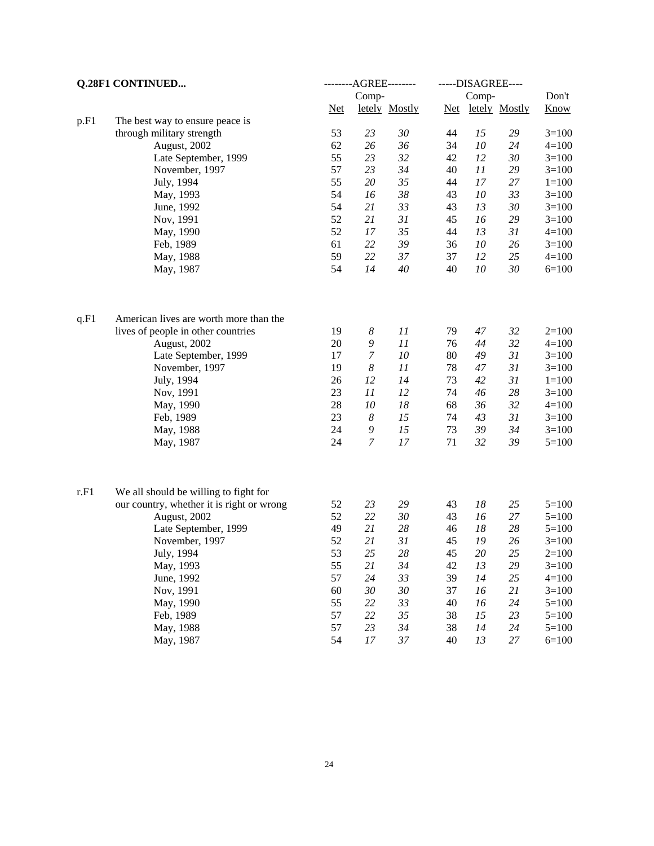|      | Q.28F1 CONTINUED                          |          | ---------AGREE--------- |               |       | -----DISAGREE---- |               |           |
|------|-------------------------------------------|----------|-------------------------|---------------|-------|-------------------|---------------|-----------|
|      |                                           |          | Comp-                   |               |       | Comp-             |               | Don't     |
|      |                                           | $Net$    |                         | letely Mostly | $Net$ |                   | letely Mostly | Know      |
| p.F1 | The best way to ensure peace is           |          |                         |               |       |                   |               |           |
|      | through military strength                 | 53       | 23                      | 30            | 44    | 15                | 29            | $3=100$   |
|      | August, 2002                              | 62       | 26                      | 36            | 34    | 10                | 24            | $4 = 100$ |
|      | Late September, 1999                      | 55       | 23                      | 32            | 42    | 12                | 30            | $3=100$   |
|      | November, 1997                            | 57       | 23                      | 34            | 40    | 11                | 29            | $3=100$   |
|      | July, 1994                                | 55       | $20\,$                  | 35            | 44    | 17                | 27            | $1 = 100$ |
|      | May, 1993                                 | 54       | 16                      | 38            | 43    | 10                | 33            | $3=100$   |
|      | June, 1992                                | 54       | 21                      | 33            | 43    | 13                | 30            | $3=100$   |
|      | Nov, 1991                                 | 52       | 21                      | 31            | 45    | 16                | 29            | $3=100$   |
|      | May, 1990                                 | 52       | 17                      | 35            | 44    | 13                | 31            | $4=100$   |
|      | Feb, 1989                                 | 61       | 22                      | 39            | 36    | 10                | 26            | $3=100$   |
|      | May, 1988                                 | 59       | 22                      | 37            | 37    | 12                | 25            | $4 = 100$ |
|      | May, 1987                                 | 54       | 14                      | 40            | 40    | 10                | 30            | $6=100$   |
| q.F1 | American lives are worth more than the    |          |                         |               |       |                   |               |           |
|      | lives of people in other countries        | 19       | $\boldsymbol{8}$        | 11            | 79    | 47                | 32            | $2=100$   |
|      | August, 2002                              | $20\,$   | 9                       | 11            | 76    | 44                | 32            | $4 = 100$ |
|      | Late September, 1999                      | 17       | $\boldsymbol{7}$        | 10            | 80    | 49                | 31            | $3=100$   |
|      | November, 1997                            | 19       | $\boldsymbol{8}$        | 11            | 78    | 47                | 31            | $3=100$   |
|      | July, 1994                                | 26       | 12                      | 14            | 73    | 42                | 31            | $1 = 100$ |
|      | Nov, 1991                                 | 23       | 11                      | 12            | 74    | 46                | 28            | $3=100$   |
|      | May, 1990                                 | 28       | 10                      | 18            | 68    | 36                | 32            | $4=100$   |
|      | Feb, 1989                                 | 23       | $\boldsymbol{8}$        | 15            | 74    | 43                | 31            | $3=100$   |
|      | May, 1988                                 | 24       | 9                       | 15            | 73    | 39                | 34            | $3=100$   |
|      | May, 1987                                 | 24       | $\overline{7}$          | 17            | 71    | 32                | 39            | $5=100$   |
| r.F1 | We all should be willing to fight for     |          |                         |               |       |                   |               |           |
|      | our country, whether it is right or wrong | 52       | 23                      | 29            | 43    | 18                | 25            | $5 = 100$ |
|      | August, 2002                              | 52       | 22                      | 30            | 43    | 16                | 27            | $5=100$   |
|      | Late September, 1999                      | 49       | 21                      | 28            | 46    | 18                | 28            | $5=100$   |
|      | November, 1997                            | 52       | 21                      | 31            | 45    | 19                | 26            | $3=100$   |
|      |                                           | 53       | 25                      | 28            | 45    | $20\,$            | 25            |           |
|      | July, 1994                                |          |                         |               |       |                   |               | $2=100$   |
|      | May, 1993                                 | 55<br>57 | 21<br>24                | 34<br>33      | 42    | 13                | 29            | $3 = 100$ |
|      | June, 1992                                |          |                         |               | 39    | 14                | 25            | $4 = 100$ |
|      | Nov, 1991                                 | 60<br>55 | 30                      | 30<br>33      | 37    | 16                | 21            | $3=100$   |
|      | May, 1990                                 |          | 22                      |               | 40    | 16                | 24            | $5=100$   |
|      | Feb, 1989                                 | 57<br>57 | 22                      | 35            | 38    | 15                | 23            | $5 = 100$ |
|      | May, 1988                                 |          | 23                      | 34            | 38    | 14                | 24            | $5=100$   |
|      | May, 1987                                 | 54       | $17$                    | 37            | 40    | 13                | $27\,$        | $6=100$   |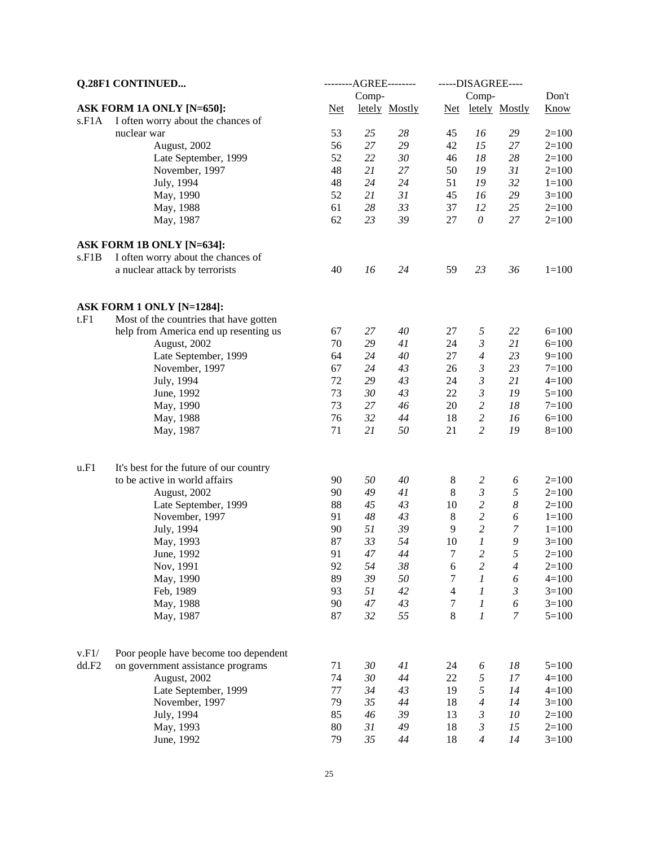| <b>Q.28F1 CONTINUED</b> |                                         | ---------AGREE--------- | -----DISAGREE---- |               |                |                      |                  |           |
|-------------------------|-----------------------------------------|-------------------------|-------------------|---------------|----------------|----------------------|------------------|-----------|
|                         |                                         |                         | Comp-             |               |                | Comp-                |                  | Don't     |
|                         | ASK FORM 1A ONLY [N=650]:               | <b>Net</b>              |                   | letely Mostly | <b>Net</b>     |                      | letely Mostly    | Know      |
| s.F1A                   | I often worry about the chances of      |                         |                   |               |                |                      |                  |           |
|                         | nuclear war                             | 53                      | 25                | 28            | 45             | 16                   | 29               | $2=100$   |
|                         | August, 2002                            | 56                      | 27                | 29            | 42             | 15                   | 27               | $2=100$   |
|                         | Late September, 1999                    | 52                      | 22                | 30            | 46             | 18                   | 28               | $2=100$   |
|                         | November, 1997                          | 48                      | 21                | $27\,$        | 50             | 19                   | 31               | $2=100$   |
|                         | July, 1994                              | 48                      | 24                | 24            | 51             | 19                   | 32               | $1 = 100$ |
|                         | May, 1990                               | 52                      | 21                | 31            | 45             | 16                   | 29               | $3=100$   |
|                         | May, 1988                               | 61                      | 28                | 33            | 37             | 12                   | 25               | $2=100$   |
|                         | May, 1987                               | 62                      | 23                | 39            | 27             | $\theta$             | 27               | $2=100$   |
|                         | ASK FORM 1B ONLY [N=634]:               |                         |                   |               |                |                      |                  |           |
| s.F1B                   | I often worry about the chances of      |                         |                   |               |                |                      |                  |           |
|                         | a nuclear attack by terrorists          | 40                      | 16                | 24            | 59             | 23                   | 36               | $1 = 100$ |
|                         | ASK FORM 1 ONLY [N=1284]:               |                         |                   |               |                |                      |                  |           |
| t.F1                    | Most of the countries that have gotten  |                         |                   |               |                |                      |                  |           |
|                         | help from America end up resenting us   | 67                      | 27                | 40            | 27             | 5                    | 22               | $6=100$   |
|                         | August, 2002                            | 70                      | 29                | 41            | 24             | $\boldsymbol{\beta}$ | 21               | $6=100$   |
|                         | Late September, 1999                    | 64                      | 24                | 40            | 27             | $\overline{4}$       | 23               | $9=100$   |
|                         | November, 1997                          | 67                      | 24                | 43            | 26             | $\mathfrak{Z}$       | 23               | $7 = 100$ |
|                         | July, 1994                              | 72                      | 29                | 43            | 24             | $\mathfrak{Z}$       | 21               | $4 = 100$ |
|                         | June, 1992                              | 73                      | 30                | 43            | 22             | $\boldsymbol{\beta}$ | 19               | $5 = 100$ |
|                         | May, 1990                               | 73                      | 27                | 46            | $20\,$         | $\sqrt{2}$           | 18               | $7 = 100$ |
|                         | May, 1988                               | 76                      | 32                | 44            | 18             | $\sqrt{2}$           | 16               | $6=100$   |
|                         | May, 1987                               | 71                      | 21                | 50            | 21             | $\overline{2}$       | 19               | $8=100$   |
|                         |                                         |                         |                   |               |                |                      |                  |           |
| u.F1                    | It's best for the future of our country |                         |                   |               |                |                      |                  |           |
|                         | to be active in world affairs           | 90                      | 50                | 40            | $8\phantom{1}$ | $\overline{c}$       | 6                | $2 = 100$ |
|                         | August, 2002                            | 90                      | 49                | 41            | $\,8\,$        | $\mathfrak{Z}$       | 5                | $2 = 100$ |
|                         | Late September, 1999                    | 88                      | 45                | 43            | 10             | $\sqrt{2}$           | $\boldsymbol{8}$ | $2=100$   |
|                         | November, 1997                          | 91                      | 48                | 43            | $\,8\,$        | $\overline{c}$       | 6                | $1 = 100$ |
|                         | July, 1994                              | 90                      | 51                | 39            | 9              | $\overline{c}$       | $\boldsymbol{7}$ | $1 = 100$ |
|                         | May, 1993                               | 87                      | 33                | 54            | 10             | 1                    | 9                | $3=100$   |
|                         | June, 1992                              | 91                      | 47                | 44            | 7              | 2                    | 5                | $2 = 100$ |
|                         | Nov, 1991                               | 92                      | 54                | 38            | 6              | $\mathfrak{2}$       | 4                | $2=100$   |
|                         | May, 1990                               | 89                      | 39                | 50            | 7              | 1                    | 6                | $4 = 100$ |
|                         | Feb, 1989                               | 93                      | 51                | 42            | $\overline{4}$ | 1                    | $\mathfrak{Z}$   | $3 = 100$ |
|                         | May, 1988                               | 90                      | 47                | 43            | 7              | 1                    | 6                | $3 = 100$ |
|                         | May, 1987                               | 87                      | 32                | 55            | 8              | 1                    | $\overline{7}$   | $5 = 100$ |
| v.F1/                   | Poor people have become too dependent   |                         |                   |               |                |                      |                  |           |
| dd.F2                   | on government assistance programs       | 71                      | 30                | 41            | 24             | 6                    | 18               | $5 = 100$ |
|                         | August, 2002                            | 74                      | 30                | 44            | 22             | 5                    | 17               | $4 = 100$ |
|                         | Late September, 1999                    | 77                      | 34                | 43            | 19             | 5                    | 14               | $4 = 100$ |
|                         | November, 1997                          | 79                      | 35                | 44            | 18             | 4                    | 14               | $3=100$   |
|                         | July, 1994                              | 85                      | 46                | 39            | 13             | 3                    | 10               | $2=100$   |
|                         | May, 1993                               | 80                      | 31                | 49            | 18             | 3                    | 15               | $2=100$   |
|                         | June, 1992                              | 79                      | 35                | 44            | 18             | 4                    | 14               | $3=100$   |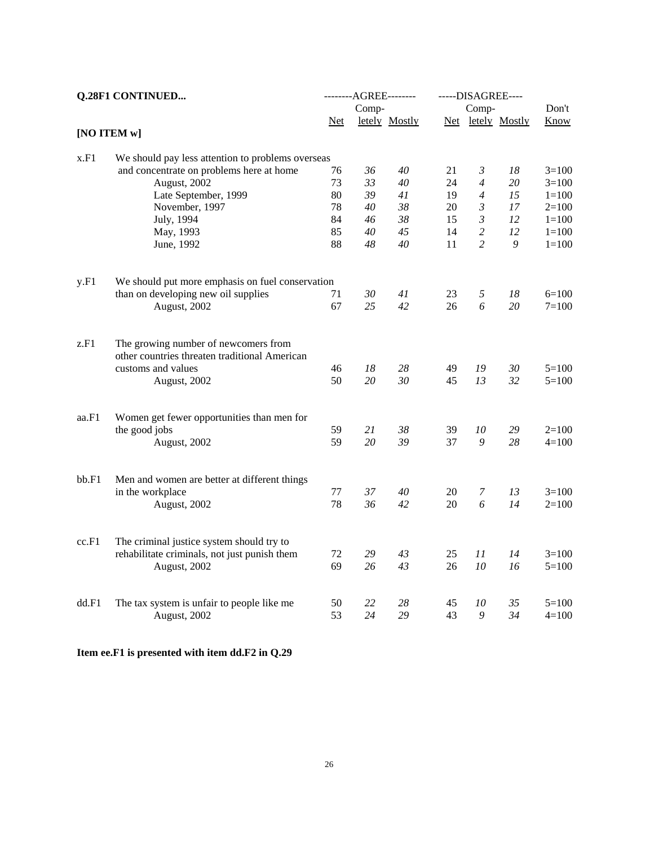| <b>Q.28F1 CONTINUED</b> |                                                   | --------AGREE-------- |       |               | -----DISAGREE---- |                |                   |           |  |
|-------------------------|---------------------------------------------------|-----------------------|-------|---------------|-------------------|----------------|-------------------|-----------|--|
|                         |                                                   |                       | Comp- |               |                   | Comp-          |                   | Don't     |  |
| [NO ITEM w]             |                                                   | <b>Net</b>            |       | letely Mostly |                   |                | Net letely Mostly | Know      |  |
|                         |                                                   |                       |       |               |                   |                |                   |           |  |
| x.F1                    | We should pay less attention to problems overseas |                       |       |               |                   |                |                   |           |  |
|                         | and concentrate on problems here at home          | 76                    | 36    | 40            | 21                | 3              | 18                | $3=100$   |  |
|                         | August, 2002                                      | 73                    | 33    | 40            | 24                | $\overline{4}$ | 20                | $3=100$   |  |
|                         | Late September, 1999                              | 80                    | 39    | 41            | 19                | $\overline{4}$ | 15                | $1 = 100$ |  |
|                         | November, 1997                                    | 78                    | 40    | 38            | 20                | 3              | 17                | $2=100$   |  |
|                         | July, 1994                                        | 84                    | 46    | 38            | 15                | $\mathfrak{Z}$ | 12                | $1 = 100$ |  |
|                         | May, 1993                                         | 85                    | 40    | 45            | 14                | $\overline{c}$ | 12                | $1 = 100$ |  |
|                         | June, 1992                                        | 88                    | 48    | 40            | 11                | $\overline{2}$ | 9                 | $1 = 100$ |  |
| y.F1                    | We should put more emphasis on fuel conservation  |                       |       |               |                   |                |                   |           |  |
|                         | than on developing new oil supplies               | 71                    | 30    | 41            | 23                | 5              | 18                | $6=100$   |  |
|                         | August, 2002                                      | 67                    | 25    | 42            | 26                | 6              | 20                | $7 = 100$ |  |
| z.F1                    | The growing number of newcomers from              |                       |       |               |                   |                |                   |           |  |
|                         | other countries threaten traditional American     |                       |       |               |                   |                |                   |           |  |
|                         | customs and values                                | 46                    | 18    | 28            | 49                | 19             | 30                | $5=100$   |  |
|                         | August, 2002                                      | 50                    | 20    | 30            | 45                | 13             | 32                | $5=100$   |  |
| aa.F1                   | Women get fewer opportunities than men for        |                       |       |               |                   |                |                   |           |  |
|                         | the good jobs                                     | 59                    | 21    | 38            | 39                | 10             | 29                | $2=100$   |  |
|                         | August, 2002                                      | 59                    | 20    | 39            | 37                | 9              | 28                | $4 = 100$ |  |
| bb.F1                   | Men and women are better at different things      |                       |       |               |                   |                |                   |           |  |
|                         | in the workplace                                  | 77                    | 37    | 40            | 20                | 7              | 13                | $3=100$   |  |
|                         | August, 2002                                      | 78                    | 36    | 42            | 20                | 6              | 14                | $2=100$   |  |
| cc.F1                   | The criminal justice system should try to         |                       |       |               |                   |                |                   |           |  |
|                         | rehabilitate criminals, not just punish them      | 72                    | 29    | 43            | 25                | 11             | 14                | $3=100$   |  |
|                         | August, 2002                                      | 69                    | 26    | 43            | 26                | 10             | 16                | $5=100$   |  |
|                         |                                                   |                       |       |               |                   |                |                   |           |  |
| dd.F1                   | The tax system is unfair to people like me        | 50                    | 22    | 28            | 45                | 10             | 35                | $5=100$   |  |
|                         | August, 2002                                      | 53                    | 24    | 29            | 43                | 9              | 34                | $4 = 100$ |  |

**Item ee.F1 is presented with item dd.F2 in Q.29**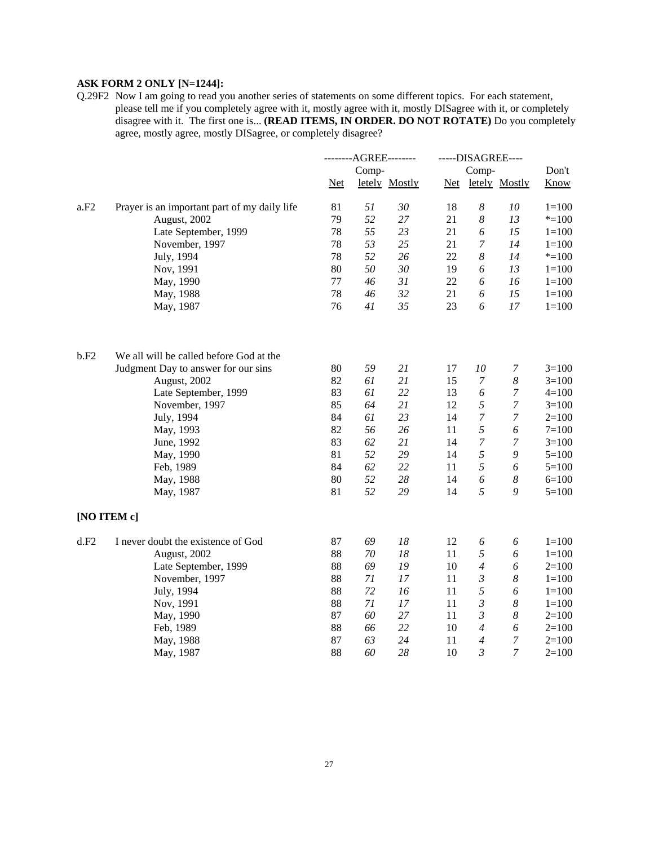## **ASK FORM 2 ONLY [N=1244]:**

Q.29F2 Now I am going to read you another series of statements on some different topics. For each statement, please tell me if you completely agree with it, mostly agree with it, mostly DISagree with it, or completely disagree with it. The first one is... **(READ ITEMS, IN ORDER. DO NOT ROTATE)** Do you completely agree, mostly agree, mostly DISagree, or completely disagree?

|      |                                              | --------AGREE-------- |       |               | -----DISAGREE---- |                  |                       |             |
|------|----------------------------------------------|-----------------------|-------|---------------|-------------------|------------------|-----------------------|-------------|
|      |                                              |                       | Comp- |               |                   | Comp-            |                       | Don't       |
|      |                                              | <b>Net</b>            |       | letely Mostly | Net               |                  | letely Mostly         | <b>Know</b> |
| a.F2 | Prayer is an important part of my daily life | 81                    | 51    | 30            | 18                | 8                | 10                    | $1 = 100$   |
|      | August, 2002                                 | 79                    | 52    | 27            | 21                | $\boldsymbol{8}$ | 13                    | $* = 100$   |
|      | Late September, 1999                         | 78                    | 55    | 23            | 21                | 6                | 15                    | $1 = 100$   |
|      | November, 1997                               | 78                    | 53    | 25            | 21                | $\boldsymbol{7}$ | 14                    | $1 = 100$   |
|      | July, 1994                                   | 78                    | 52    | 26            | 22                | 8                | 14                    | $* = 100$   |
|      | Nov, 1991                                    | 80                    | 50    | 30            | 19                | 6                | 13                    | $1 = 100$   |
|      | May, 1990                                    | 77                    | 46    | 31            | $22\,$            | 6                | 16                    | $1 = 100$   |
|      | May, 1988                                    | 78                    | 46    | 32            | 21                | 6                | 15                    | $1 = 100$   |
|      | May, 1987                                    | 76                    | 41    | 35            | 23                | 6                | 17                    | $1 = 100$   |
| b.F2 | We all will be called before God at the      |                       |       |               |                   |                  |                       |             |
|      | Judgment Day to answer for our sins          | 80                    | 59    | 21            | 17                | 10               | 7                     | $3=100$     |
|      | August, 2002                                 | 82                    | 61    | 21            | 15                | $\overline{7}$   | $\boldsymbol{8}$      | $3=100$     |
|      | Late September, 1999                         | 83                    | 61    | 22            | 13                | 6                | $\boldsymbol{7}$      | $4 = 100$   |
|      | November, 1997                               | 85                    | 64    | 21            | 12                | 5                | $\boldsymbol{7}$      | $3=100$     |
|      | July, 1994                                   | 84                    | 61    | 23            | 14                | $\boldsymbol{7}$ | $\boldsymbol{7}$      | $2=100$     |
|      | May, 1993                                    | 82                    | 56    | 26            | 11                | 5                | 6                     | $7=100$     |
|      | June, 1992                                   | 83                    | 62    | 21            | 14                | $\boldsymbol{7}$ | $\boldsymbol{7}$      | $3=100$     |
|      | May, 1990                                    | 81                    | 52    | 29            | 14                | 5                | $\boldsymbol{9}$      | $5 = 100$   |
|      | Feb, 1989                                    | 84                    | 62    | 22            | 11                | 5                | $\boldsymbol{\delta}$ | $5=100$     |
|      | May, 1988                                    | 80                    | 52    | 28            | 14                | 6                | $\boldsymbol{8}$      | $6=100$     |
|      | May, 1987                                    | 81                    | 52    | 29            | 14                | 5                | 9                     | $5=100$     |
|      | [NO ITEM c]                                  |                       |       |               |                   |                  |                       |             |
| d.F2 | I never doubt the existence of God           | 87                    | 69    | 18            | 12                | 6                | 6                     | $1 = 100$   |
|      | August, 2002                                 | 88                    | 70    | 18            | 11                | 5                | 6                     | $1=100$     |
|      | Late September, 1999                         | 88                    | 69    | 19            | 10                | $\overline{4}$   | 6                     | $2=100$     |
|      | November, 1997                               | 88                    | 71    | 17            | 11                | $\mathfrak{Z}$   | $\boldsymbol{8}$      | $1 = 100$   |
|      | July, 1994                                   | 88                    | 72    | 16            | 11                | 5                | 6                     | $1 = 100$   |
|      | Nov, 1991                                    | 88                    | 71    | 17            | 11                | $\mathfrak{Z}$   | $\boldsymbol{8}$      | $1 = 100$   |
|      | May, 1990                                    | 87                    | 60    | 27            | 11                | 3                | $\boldsymbol{8}$      | $2=100$     |
|      | Feb, 1989                                    | 88                    | 66    | 22            | 10                | $\overline{4}$   | 6                     | $2=100$     |
|      | May, 1988                                    | 87                    | 63    | 24            | 11                | $\overline{4}$   | $\boldsymbol{7}$      | $2=100$     |
|      | May, 1987                                    | 88                    | 60    | 28            | 10                | $\mathfrak{Z}$   | 7                     | $2=100$     |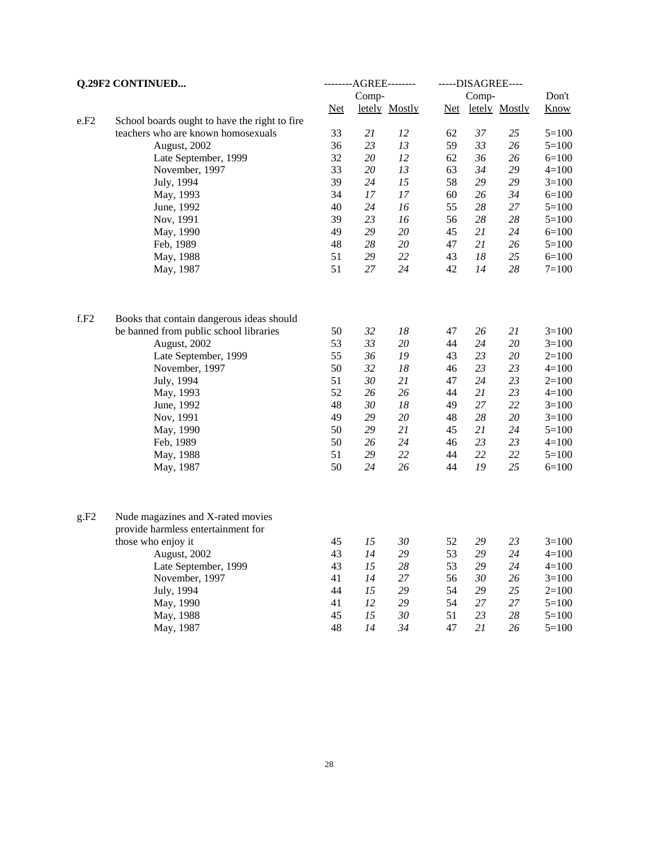| Q.29F2 CONTINUED |                                               | --------AGREE-------- |        |               | -----DISAGREE---- |    |               |           |  |
|------------------|-----------------------------------------------|-----------------------|--------|---------------|-------------------|----|---------------|-----------|--|
|                  |                                               |                       | Comp-  |               | Comp-             |    |               | Don't     |  |
|                  |                                               | <u>Net</u>            |        | letely Mostly | <u>Net</u>        |    | letely Mostly | Know      |  |
| e.F2             | School boards ought to have the right to fire |                       |        |               |                   |    |               |           |  |
|                  | teachers who are known homosexuals            | 33                    | 21     | 12            | 62                | 37 | 25            | $5=100$   |  |
|                  | August, 2002                                  | 36                    | 23     | 13            | 59                | 33 | 26            | $5=100$   |  |
|                  | Late September, 1999                          | 32                    | 20     | 12            | 62                | 36 | 26            | $6=100$   |  |
|                  | November, 1997                                | 33                    | 20     | 13            | 63                | 34 | 29            | $4 = 100$ |  |
|                  | July, 1994                                    | 39                    | 24     | 15            | 58                | 29 | 29            | $3=100$   |  |
|                  | May, 1993                                     | 34                    | $17\,$ | $17\,$        | 60                | 26 | 34            | $6=100$   |  |
|                  | June, 1992                                    | 40                    | 24     | 16            | 55                | 28 | 27            | $5=100$   |  |
|                  | Nov, 1991                                     | 39                    | 23     | 16            | 56                | 28 | 28            | $5=100$   |  |
|                  | May, 1990                                     | 49                    | 29     | 20            | 45                | 21 | 24            | $6=100$   |  |
|                  | Feb, 1989                                     | 48                    | $28\,$ | $20\,$        | 47                | 21 | 26            | $5=100$   |  |
|                  | May, 1988                                     | 51                    | 29     | 22            | 43                | 18 | 25            | $6=100$   |  |
|                  | May, 1987                                     | 51                    | 27     | 24            | 42                | 14 | 28            | $7 = 100$ |  |
| f.F2             | Books that contain dangerous ideas should     |                       |        |               |                   |    |               |           |  |
|                  | be banned from public school libraries        | 50                    | 32     | 18            | 47                | 26 | 21            | $3=100$   |  |
|                  | August, 2002                                  | 53                    | 33     | 20            | 44                | 24 | 20            | $3=100$   |  |
|                  | Late September, 1999                          | 55                    | 36     | 19            | 43                | 23 | 20            | $2=100$   |  |
|                  | November, 1997                                | 50                    | 32     | 18            | 46                | 23 | 23            | $4=100$   |  |
|                  | July, 1994                                    | 51                    | 30     | 21            | 47                | 24 | 23            | $2=100$   |  |
|                  | May, 1993                                     | 52                    | 26     | 26            | 44                | 21 | 23            | $4=100$   |  |
|                  | June, 1992                                    | 48                    | 30     | 18            | 49                | 27 | 22            | $3=100$   |  |
|                  | Nov, 1991                                     | 49                    | 29     | 20            | 48                | 28 | 20            | $3=100$   |  |
|                  | May, 1990                                     | 50                    | 29     | 21            | 45                | 21 | 24            | $5=100$   |  |
|                  | Feb, 1989                                     | 50                    | 26     | 24            | 46                | 23 | 23            | $4=100$   |  |
|                  | May, 1988                                     | 51                    | 29     | 22            | 44                | 22 | 22            | $5 = 100$ |  |
|                  | May, 1987                                     | 50                    | 24     | 26            | 44                | 19 | 25            | $6=100$   |  |
| g.F2             | Nude magazines and X-rated movies             |                       |        |               |                   |    |               |           |  |
|                  | provide harmless entertainment for            |                       |        |               |                   |    |               |           |  |
|                  | those who enjoy it                            | 45                    | 15     | 30            | 52                | 29 | 23            | $3=100$   |  |
|                  | August, 2002                                  | 43                    | 14     | 29            | 53                | 29 | 24            | $4 = 100$ |  |
|                  | Late September, 1999                          | 43                    | 15     | 28            | 53                | 29 | 24            | $4=100$   |  |
|                  | November, 1997                                | 41                    | 14     | 27            | 56                | 30 | 26            | $3=100$   |  |
|                  | July, 1994                                    | 44                    | 15     | 29            | 54                | 29 | 25            | $2=100$   |  |
|                  | May, 1990                                     | 41                    | 12     | 29            | 54                | 27 | 27            | $5=100$   |  |
|                  | May, 1988                                     | 45                    | 15     | 30            | 51                | 23 | 28            | $5=100$   |  |
|                  | May, 1987                                     | 48                    | 14     | 34            | 47                | 21 | 26            | $5 = 100$ |  |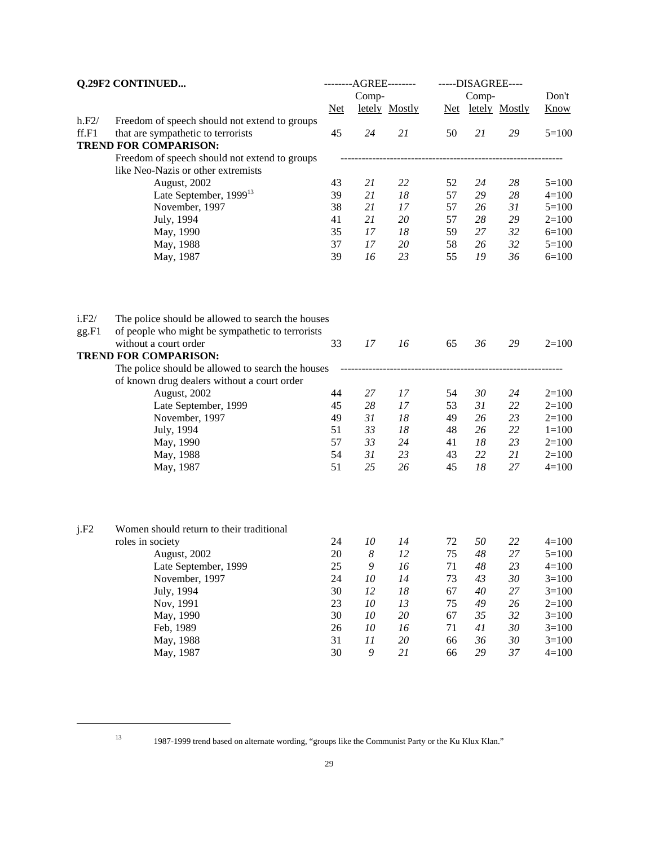| Q.29F2 CONTINUED |                                                                                                       | ---------AGREE-------- |                  |               | -----DISAGREE---- |    |                   |             |  |
|------------------|-------------------------------------------------------------------------------------------------------|------------------------|------------------|---------------|-------------------|----|-------------------|-------------|--|
|                  |                                                                                                       |                        | Comp-            |               | Comp-             |    |                   | Don't       |  |
|                  |                                                                                                       | $Net$                  |                  | letely Mostly |                   |    | Net letely Mostly | <b>Know</b> |  |
| h.F2/            | Freedom of speech should not extend to groups                                                         |                        |                  |               |                   |    |                   |             |  |
| ff.F1            | that are sympathetic to terrorists                                                                    | 45                     | 24               | 21            | 50                | 21 | 29                | $5=100$     |  |
|                  | <b>TREND FOR COMPARISON:</b>                                                                          |                        |                  |               |                   |    |                   |             |  |
|                  | Freedom of speech should not extend to groups                                                         |                        |                  |               |                   |    |                   |             |  |
|                  | like Neo-Nazis or other extremists                                                                    |                        |                  |               |                   |    |                   |             |  |
|                  | August, 2002                                                                                          | 43                     | 21               | 22            | 52                | 24 | 28                | $5=100$     |  |
|                  | Late September, 1999 <sup>13</sup>                                                                    | 39                     | 21               | 18            | 57                | 29 | 28                | $4 = 100$   |  |
|                  | November, 1997                                                                                        | 38                     | 21               | 17            | 57                | 26 | 31                | $5=100$     |  |
|                  | July, 1994                                                                                            | 41                     | 21               | 20            | 57                | 28 | 29                | $2=100$     |  |
|                  | May, 1990                                                                                             | 35                     | 17               | 18            | 59                | 27 | 32                | $6=100$     |  |
|                  | May, 1988                                                                                             | 37                     | 17               | 20            | 58                | 26 | 32                | $5=100$     |  |
|                  | May, 1987                                                                                             | 39                     | 16               | 23            | 55                | 19 | 36                | $6=100$     |  |
| i.F2/<br>gg.F1   | The police should be allowed to search the houses<br>of people who might be sympathetic to terrorists |                        |                  |               |                   |    |                   |             |  |
|                  | without a court order                                                                                 | 33                     | 17               | 16            | 65                | 36 | 29                | $2=100$     |  |
|                  | <b>TREND FOR COMPARISON:</b>                                                                          |                        |                  |               |                   |    |                   |             |  |
|                  | The police should be allowed to search the houses                                                     |                        |                  |               |                   |    |                   |             |  |
|                  | of known drug dealers without a court order                                                           |                        |                  |               |                   |    |                   |             |  |
|                  | August, 2002                                                                                          | 44                     | 27               | 17            | 54                | 30 | 24                | $2=100$     |  |
|                  | Late September, 1999                                                                                  | 45                     | 28               | 17            | 53                | 31 | 22                | $2=100$     |  |
|                  | November, 1997                                                                                        | 49                     | 31               | 18            | 49                | 26 | 23                | $2=100$     |  |
|                  | July, 1994                                                                                            | 51                     | 33               | 18            | 48                | 26 | 22                | $1 = 100$   |  |
|                  | May, 1990                                                                                             | 57                     | 33               | 24            | 41                | 18 | 23                | $2=100$     |  |
|                  | May, 1988                                                                                             | 54                     | 31               | 23            | 43                | 22 | 21                | $2=100$     |  |
|                  | May, 1987                                                                                             | 51                     | 25               | 26            | 45                | 18 | 27                | $4 = 100$   |  |
|                  |                                                                                                       |                        |                  |               |                   |    |                   |             |  |
| j.F2             | Women should return to their traditional                                                              |                        |                  |               |                   |    |                   |             |  |
|                  | roles in society                                                                                      | 24                     | 10               | 14            | 72                | 50 | 22                | $4 = 100$   |  |
|                  | August, 2002                                                                                          | 20                     | $\boldsymbol{8}$ | 12            | 75                | 48 | 27                | $5 = 100$   |  |
|                  | Late September, 1999                                                                                  | 25                     | 9                | 16            | 71                | 48 | 23                | $4 = 100$   |  |
|                  | November, 1997                                                                                        | 24                     | 10               | 14            | 73                | 43 | 30                | $3=100$     |  |
|                  | July, 1994                                                                                            | 30                     | 12               | $18\,$        | 67                | 40 | 27                | $3=100$     |  |
|                  | Nov, 1991                                                                                             | 23                     | 10               | 13            | 75                | 49 | 26                | $2=100$     |  |
|                  | May, 1990                                                                                             | 30                     | 10               | $20\,$        | 67                | 35 | 32                | $3=100$     |  |
|                  | Feb, 1989                                                                                             | 26                     | 10               | 16            | 71                | 41 | 30                | $3=100$     |  |
|                  | May, 1988                                                                                             | 31                     | 11               | $20\,$        | 66                | 36 | 30                | $3=100$     |  |
|                  | May, 1987                                                                                             | 30                     | $\boldsymbol{9}$ | 21            | 66                | 29 | $37\,$            | $4 = 100$   |  |

<sup>13</sup> 1987-1999 trend based on alternate wording, "groups like the Communist Party or the Ku Klux Klan."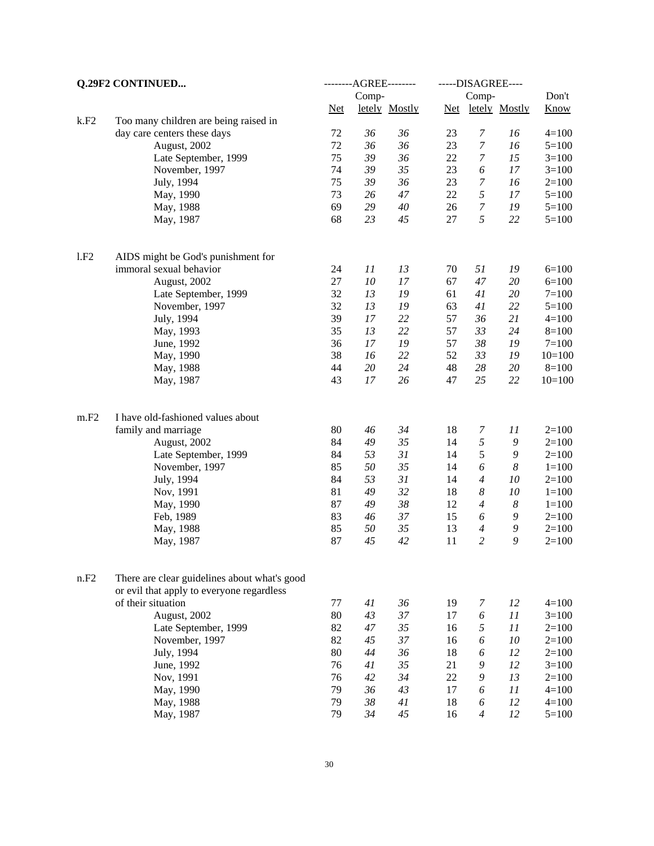| Q.29F2 CONTINUED |                                              | --------AGREE-------- |            |               | -----DISAGREE---- |                  |                  |           |
|------------------|----------------------------------------------|-----------------------|------------|---------------|-------------------|------------------|------------------|-----------|
|                  |                                              |                       | Comp-      |               |                   | Comp-            |                  | Don't     |
|                  |                                              | <b>Net</b>            |            | letely Mostly | <b>Net</b>        |                  | letely Mostly    | Know      |
| k.F2             | Too many children are being raised in        |                       |            |               |                   |                  |                  |           |
|                  | day care centers these days                  | 72                    | 36         | 36            | 23                | $\boldsymbol{7}$ | 16               | $4 = 100$ |
|                  | August, 2002                                 | 72                    | 36         | 36            | 23                | $\boldsymbol{7}$ | 16               | $5 = 100$ |
|                  | Late September, 1999                         | 75                    | 39         | 36            | 22                | $\boldsymbol{7}$ | 15               | $3=100$   |
|                  | November, 1997                               | 74                    | 39         | 35            | 23                | 6                | 17               | $3=100$   |
|                  | July, 1994                                   | 75                    | 39         | 36            | 23                | $\boldsymbol{7}$ | 16               | $2=100$   |
|                  | May, 1990                                    | 73                    | 26         | 47            | 22                | 5                | 17               | $5 = 100$ |
|                  | May, 1988                                    | 69                    | 29         | 40            | 26                | $\boldsymbol{7}$ | 19               | $5 = 100$ |
|                  | May, 1987                                    | 68                    | 23         | 45            | 27                | 5                | 22               | $5=100$   |
| 1.F2             | AIDS might be God's punishment for           |                       |            |               |                   |                  |                  |           |
|                  | immoral sexual behavior                      | 24                    | 11         | 13            | 70                | 51               | 19               | $6=100$   |
|                  | August, 2002                                 | 27                    | ${\it 10}$ | $17\,$        | 67                | 47               | 20               | $6=100$   |
|                  | Late September, 1999                         | 32                    | 13         | 19            | 61                | 41               | 20               | $7 = 100$ |
|                  | November, 1997                               | 32                    | 13         | 19            | 63                | 41               | 22               | $5 = 100$ |
|                  | July, 1994                                   | 39                    | 17         | 22            | 57                | 36               | 21               | $4 = 100$ |
|                  | May, 1993                                    | 35                    | 13         | 22            | 57                | 33               | 24               | $8=100$   |
|                  | June, 1992                                   | 36                    | 17         | 19            | 57                | 38               | 19               | $7 = 100$ |
|                  | May, 1990                                    | 38                    | 16         | 22            | 52                | 33               | 19               | $10=100$  |
|                  | May, 1988                                    | 44                    | 20         | 24            | 48                | 28               | 20               | $8=100$   |
|                  | May, 1987                                    | 43                    | $17\,$     | 26            | 47                | 25               | 22               | $10=100$  |
| m.F2             | I have old-fashioned values about            |                       |            |               |                   |                  |                  |           |
|                  | family and marriage                          | 80                    | 46         | 34            | 18                | 7                | 11               | $2=100$   |
|                  | August, 2002                                 | 84                    | 49         | 35            | 14                | 5                | 9                | $2=100$   |
|                  | Late September, 1999                         | 84                    | 53         | 31            | 14                | 5                | 9                | $2=100$   |
|                  | November, 1997                               | 85                    | 50         | 35            | 14                | 6                | $\boldsymbol{8}$ | $1 = 100$ |
|                  | July, 1994                                   | 84                    | 53         | 31            | 14                | $\overline{4}$   | 10               | $2=100$   |
|                  | Nov, 1991                                    | 81                    | 49         | 32            | 18                | $\boldsymbol{8}$ | 10               | $1 = 100$ |
|                  | May, 1990                                    | 87                    | 49         | 38            | 12                | $\overline{4}$   | $\boldsymbol{8}$ | $1 = 100$ |
|                  | Feb, 1989                                    | 83                    | 46         | 37            | 15                | 6                | 9                | $2=100$   |
|                  | May, 1988                                    | 85                    | 50         | 35            | 13                | $\overline{4}$   | 9                | $2 = 100$ |
|                  | May, 1987                                    | 87                    | 45         | 42            | 11                | $\overline{c}$   | 9                | $2=100$   |
| n.F2             | There are clear guidelines about what's good |                       |            |               |                   |                  |                  |           |
|                  | or evil that apply to everyone regardless    |                       |            |               |                   |                  |                  |           |
|                  | of their situation                           | 77                    | 41         | 36            | 19                | 7                | 12               | $4 = 100$ |
|                  | August, 2002                                 | 80                    | 43         | 37            | 17                | 6                | 11               | $3=100$   |
|                  | Late September, 1999                         | 82                    | 47         | 35            | 16                | 5                | 11               | $2=100$   |
|                  | November, 1997                               | 82                    | 45         | 37            | 16                | 6                | 10               | $2=100$   |
|                  | July, 1994                                   | 80                    | 44         | 36            | 18                | 6                | 12               | $2=100$   |
|                  | June, 1992                                   | 76                    | 41         | 35            | 21                | 9                | 12               | $3=100$   |
|                  | Nov, 1991                                    | 76                    | 42         | 34            | 22                | 9                | 13               | $2 = 100$ |
|                  | May, 1990                                    | 79                    | 36         | 43            | 17                | 6                | 11               | $4 = 100$ |
|                  | May, 1988                                    | 79                    | 38         | 41            | 18                | 6                | 12               | $4 = 100$ |
|                  | May, 1987                                    | 79                    | 34         | 45            | 16                | $\overline{4}$   | 12               | $5=100$   |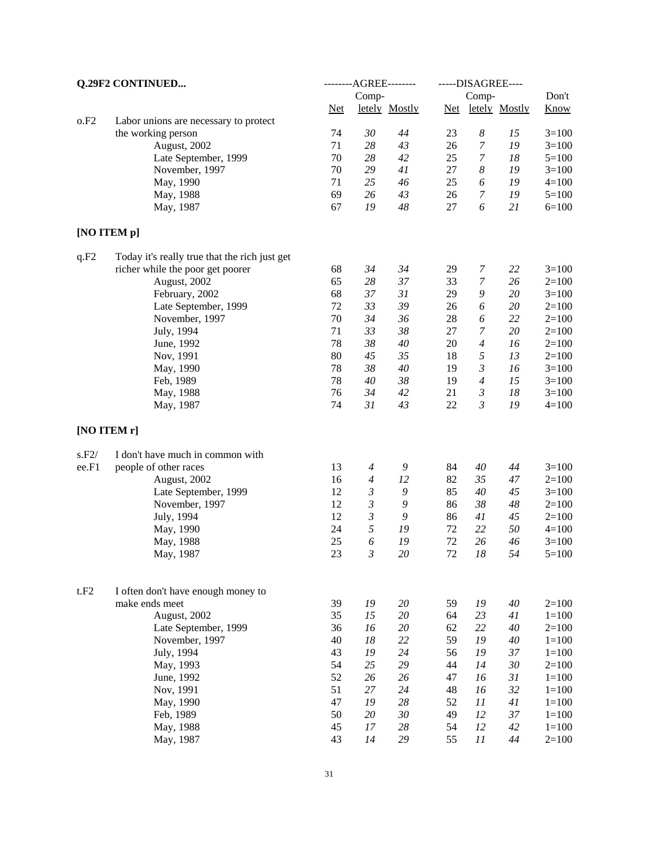| Q.29F2 CONTINUED |                                                      | --------AGREE-------- |                      |               | -----DISAGREE---- |                  |                   |                      |  |
|------------------|------------------------------------------------------|-----------------------|----------------------|---------------|-------------------|------------------|-------------------|----------------------|--|
|                  |                                                      |                       | Comp-                |               |                   | Comp-            |                   | Don't                |  |
|                  |                                                      | $Net$                 |                      | letely Mostly |                   |                  | Net letely Mostly | <b>Know</b>          |  |
| o.F2             | Labor unions are necessary to protect                |                       |                      |               |                   |                  |                   |                      |  |
|                  | the working person                                   | 74                    | 30                   | 44            | 23                | 8                | 15                | $3=100$              |  |
|                  | August, 2002                                         | 71                    | 28                   | 43            | 26                | 7                | 19                | $3=100$              |  |
|                  | Late September, 1999                                 | 70                    | 28                   | 42            | 25                | $\boldsymbol{7}$ | 18                | $5=100$              |  |
|                  | November, 1997                                       | 70                    | 29                   | 41            | 27                | $\boldsymbol{8}$ | 19                | $3=100$              |  |
|                  | May, 1990                                            | 71                    | 25                   | 46            | 25                | 6                | 19                | $4 = 100$            |  |
|                  | May, 1988                                            | 69                    | 26                   | 43            | 26                | $\boldsymbol{7}$ | 19                | $5=100$              |  |
|                  | May, 1987                                            | 67                    | 19                   | 48            | 27                | 6                | 21                | $6 = 100$            |  |
|                  | [NO ITEM p]                                          |                       |                      |               |                   |                  |                   |                      |  |
| q.F2             | Today it's really true that the rich just get        |                       |                      |               |                   |                  |                   |                      |  |
|                  | richer while the poor get poorer                     | 68                    | 34                   | 34            | 29                | 7                | 22                | $3=100$              |  |
|                  | August, 2002                                         | 65                    | 28                   | 37            | 33                | $\boldsymbol{7}$ | 26                | $2=100$              |  |
|                  | February, 2002                                       | 68                    | 37                   | 31            | 29                | 9                | 20                | $3 = 100$            |  |
|                  | Late September, 1999                                 | 72                    | 33                   | 39            | 26                | 6                | 20                | $2=100$              |  |
|                  | November, 1997                                       | 70                    | 34                   | 36            | 28                | 6                | 22                | $2=100$              |  |
|                  | July, 1994                                           | 71                    | 33                   | 38            | 27                | 7                | $20\,$            | $2=100$              |  |
|                  | June, 1992                                           | 78                    | 38                   | 40            | 20                | $\overline{4}$   | 16                | $2=100$              |  |
|                  | Nov, 1991                                            | 80                    | 45                   | 35            | 18                | 5                | 13                | $2=100$              |  |
|                  | May, 1990                                            | 78                    | 38                   | 40            | 19                | $\mathfrak{Z}$   | 16                | $3=100$              |  |
|                  | Feb, 1989                                            | 78                    | 40                   | $38\,$        | 19                | $\overline{4}$   | 15                | $3=100$              |  |
|                  | May, 1988                                            | 76                    | 34                   | 42            | 21                | $\mathfrak{Z}$   | $18\,$            | $3=100$              |  |
|                  | May, 1987                                            | 74                    | 31                   | 43            | 22                | 3                | 19                | $4 = 100$            |  |
|                  | [NO ITEM r]                                          |                       |                      |               |                   |                  |                   |                      |  |
| s.F2/            | I don't have much in common with                     |                       |                      |               |                   |                  |                   |                      |  |
| ee.F1            | people of other races                                | 13                    | $\boldsymbol{4}$     | 9             | 84                | 40               | 44                | $3=100$              |  |
|                  | August, 2002                                         | 16                    | $\boldsymbol{4}$     | 12            | 82                | 35               | 47                | $2=100$              |  |
|                  | Late September, 1999                                 | 12                    | $\boldsymbol{\beta}$ | 9             | 85                | 40               | 45                | $3=100$              |  |
|                  | November, 1997                                       | 12                    | $\boldsymbol{\beta}$ | 9             | 86                | 38               | 48                | $2=100$              |  |
|                  | July, 1994                                           | 12                    | $\mathfrak{Z}$       | 9             | 86                | 41               | 45                | $2=100$              |  |
|                  | May, 1990                                            | 24                    | 5                    | 19            | 72                | 22               | 50                | $4=100$              |  |
|                  | May, 1988                                            | 25                    | 6                    | 19            | 72                | 26               | 46                | $3=100$              |  |
|                  | May, 1987                                            | 23                    | 3                    | $20\,$        | 72                | 18               | 54                | $5 = 100$            |  |
|                  |                                                      |                       |                      |               |                   |                  |                   |                      |  |
| t.F2             | I often don't have enough money to<br>make ends meet | 39                    | 19                   | 20            | 59                | 19               | 40                | $2=100$              |  |
|                  | August, 2002                                         | 35                    | 15                   | $20\,$        | 64                | 23               | 41                | $1 = 100$            |  |
|                  | Late September, 1999                                 | 36                    | 16                   | $20\,$        | 62                | 22               | $40\,$            | $2=100$              |  |
|                  | November, 1997                                       | 40                    | 18                   | 22            | 59                | 19               | $40\,$            | $1 = 100$            |  |
|                  |                                                      | 43                    | 19                   | 24            | 56                | 19               | 37                |                      |  |
|                  | July, 1994<br>May, 1993                              | 54                    | 25                   | 29            | 44                | 14               | 30                | $1 = 100$<br>$2=100$ |  |
|                  | June, 1992                                           | 52                    | 26                   | 26            | 47                | 16               | 31                | $1 = 100$            |  |
|                  | Nov, 1991                                            | 51                    | $27\,$               | 24            | 48                | 16               | 32                | $1 = 100$            |  |
|                  | May, 1990                                            | 47                    | 19                   | $28\,$        | 52                | 11               | 41                | $1 = 100$            |  |
|                  | Feb, 1989                                            | 50                    | $20\,$               | $30\,$        | 49                | 12               | 37                | $1 = 100$            |  |
|                  | May, 1988                                            | 45                    | 17                   | $28\,$        | 54                | 12               | 42                | $1 = 100$            |  |
|                  | May, 1987                                            | 43                    | 14                   | 29            | 55                | 11               | 44                | $2=100$              |  |
|                  |                                                      |                       |                      |               |                   |                  |                   |                      |  |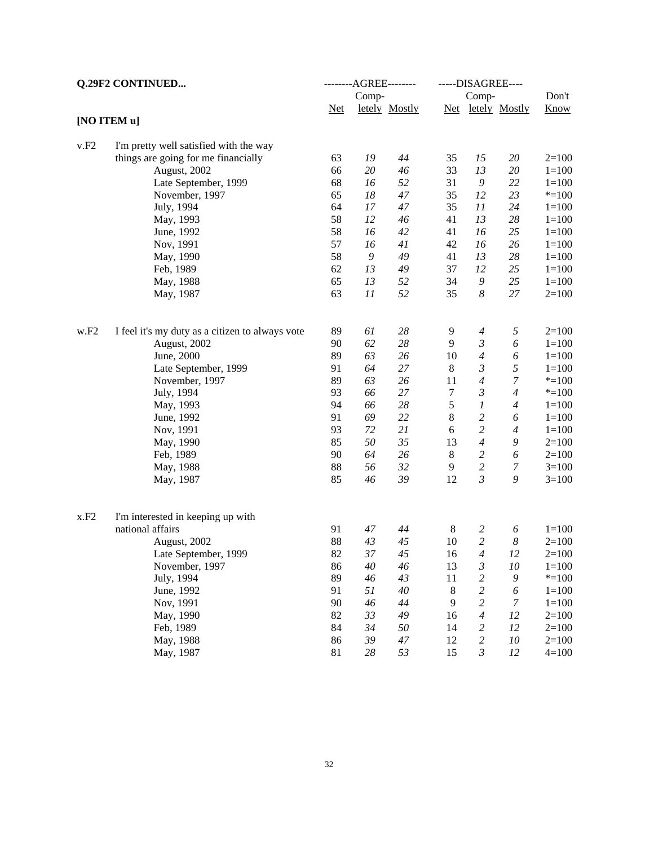| <b>Q.29F2 CONTINUED</b> |                                                 | --------AGREE-------- |       |               | -----DISAGREE---- |                         |                   |             |  |
|-------------------------|-------------------------------------------------|-----------------------|-------|---------------|-------------------|-------------------------|-------------------|-------------|--|
|                         |                                                 |                       | Comp- |               |                   | Comp-                   |                   | Don't       |  |
|                         |                                                 | <b>Net</b>            |       | letely Mostly |                   |                         | Net letely Mostly | <b>Know</b> |  |
|                         | [NO ITEM u]                                     |                       |       |               |                   |                         |                   |             |  |
| v.F2                    | I'm pretty well satisfied with the way          |                       |       |               |                   |                         |                   |             |  |
|                         | things are going for me financially             | 63                    | 19    | 44            | 35                | 15                      | $20\,$            | $2=100$     |  |
|                         | August, 2002                                    | 66                    | 20    | 46            | 33                | 13                      | 20                | $1 = 100$   |  |
|                         | Late September, 1999                            | 68                    | 16    | 52            | 31                | 9                       | 22                | $1 = 100$   |  |
|                         | November, 1997                                  | 65                    | 18    | 47            | 35                | 12                      | 23                | $* = 100$   |  |
|                         | July, 1994                                      | 64                    | 17    | 47            | 35                | 11                      | 24                | $1 = 100$   |  |
|                         | May, 1993                                       | 58                    | 12    | 46            | 41                | 13                      | 28                | $1 = 100$   |  |
|                         | June, 1992                                      | 58                    | 16    | 42            | 41                | 16                      | 25                | $1 = 100$   |  |
|                         | Nov, 1991                                       | 57                    | 16    | 41            | 42                | 16                      | 26                | $1 = 100$   |  |
|                         | May, 1990                                       | 58                    | 9     | 49            | 41                | 13                      | 28                | $1 = 100$   |  |
|                         | Feb, 1989                                       | 62                    | 13    | 49            | 37                | 12                      | 25                | $1 = 100$   |  |
|                         | May, 1988                                       | 65                    | 13    | 52            | 34                | 9                       | 25                | $1 = 100$   |  |
|                         | May, 1987                                       | 63                    | 11    | 52            | 35                | 8                       | 27                | $2=100$     |  |
| $_{\rm w.F2}$           | I feel it's my duty as a citizen to always vote | 89                    | 61    | 28            | 9                 | $\boldsymbol{4}$        | 5                 | $2=100$     |  |
|                         | August, 2002                                    | 90                    | 62    | 28            | 9                 | $\boldsymbol{\beta}$    | 6                 | $1 = 100$   |  |
|                         | June, 2000                                      | 89                    | 63    | 26            | 10                | $\overline{4}$          | 6                 | $1 = 100$   |  |
|                         | Late September, 1999                            | 91                    | 64    | 27            | 8                 | $\mathfrak{Z}$          | 5                 | $1 = 100$   |  |
|                         | November, 1997                                  | 89                    | 63    | 26            | 11                | $\overline{4}$          | $\boldsymbol{7}$  | $* = 100$   |  |
|                         | July, 1994                                      | 93                    | 66    | 27            | $\tau$            | $\mathfrak{Z}$          | $\overline{4}$    | $* = 100$   |  |
|                         | May, 1993                                       | 94                    | 66    | $28\,$        | 5                 | 1                       | $\overline{4}$    | $1 = 100$   |  |
|                         | June, 1992                                      | 91                    | 69    | 22            | 8                 | $\boldsymbol{2}$        | 6                 | $1 = 100$   |  |
|                         | Nov, 1991                                       | 93                    | 72    | 21            | $\boldsymbol{6}$  | $\sqrt{2}$              | $\overline{4}$    | $1 = 100$   |  |
|                         | May, 1990                                       | 85                    | 50    | 35            | 13                | $\boldsymbol{4}$        | 9                 | $2=100$     |  |
|                         | Feb, 1989                                       | 90                    | 64    | 26            | $\,8\,$           | $\boldsymbol{2}$        | 6                 | $2=100$     |  |
|                         | May, 1988                                       | 88                    | 56    | 32            | 9                 | $\overline{c}$          | 7                 | $3=100$     |  |
|                         | May, 1987                                       | 85                    | 46    | 39            | 12                | $\mathfrak{Z}$          | 9                 | $3=100$     |  |
| x.F2                    | I'm interested in keeping up with               |                       |       |               |                   |                         |                   |             |  |
|                         | national affairs                                | 91                    | 47    | 44            | 8                 | $\overline{c}$          | 6                 | $1 = 100$   |  |
|                         | August, 2002                                    | 88                    | 43    | 45            | 10                | $\overline{c}$          | 8                 | $2=100$     |  |
|                         | Late September, 1999                            | 82                    | 37    | 45            | 16                | $\overline{4}$          | 12                | $2=100$     |  |
|                         | November, 1997                                  | 86                    | 40    | 46            | 13                | $\mathfrak{Z}$          | 10                | $1 = 100$   |  |
|                         | July, 1994                                      | 89                    | 46    | 43            | 11                | $\overline{c}$          | $\boldsymbol{9}$  | $* = 100$   |  |
|                         | June, 1992                                      | 91                    | 51    | $40\,$        | 8                 | $\overline{c}$          | 6                 | $1 = 100$   |  |
|                         | Nov, 1991                                       | 90                    | 46    | 44            | 9                 | $\sqrt{2}$              | 7                 | $1 = 100$   |  |
|                         | May, 1990                                       | 82                    | 33    | 49            | 16                | $\boldsymbol{4}$        | 12                | $2=100$     |  |
|                         | Feb, 1989                                       | 84                    | 34    | 50            | 14                | $\overline{\mathbf{c}}$ | 12                | $2=100$     |  |
|                         | May, 1988                                       | 86                    | 39    | 47            | 12                | $\overline{c}$          | $10\,$            | $2=100$     |  |
|                         | May, 1987                                       | 81                    | 28    | 53            | 15                | $\mathfrak{Z}$          | 12                | $4 = 100$   |  |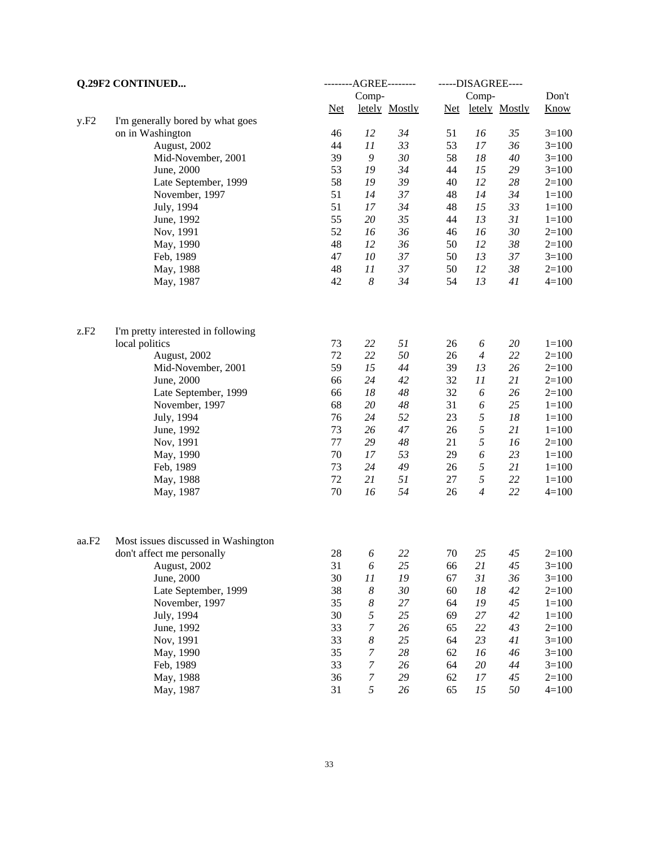| Q.29F2 CONTINUED |                                     |        | --------AGREE-------- |               |        | -----DISAGREE----   |               |             |
|------------------|-------------------------------------|--------|-----------------------|---------------|--------|---------------------|---------------|-------------|
|                  |                                     |        | Comp-                 |               | Comp-  |                     |               | Don't       |
|                  |                                     | $Net$  |                       | letely Mostly | $Net$  |                     | letely Mostly | <b>Know</b> |
| y.F2             | I'm generally bored by what goes    |        |                       |               |        |                     |               |             |
|                  | on in Washington                    | 46     | 12                    | 34            | 51     | 16                  | 35            | $3=100$     |
|                  | August, 2002                        | 44     | 11                    | 33            | 53     | 17                  | 36            | $3=100$     |
|                  | Mid-November, 2001                  | 39     | $\boldsymbol{9}$      | 30            | 58     | 18                  | $40\,$        | $3=100$     |
|                  | June, 2000                          | 53     | 19                    | 34            | 44     | 15                  | 29            | $3=100$     |
|                  | Late September, 1999                | 58     | 19                    | 39            | 40     | 12                  | 28            | $2=100$     |
|                  | November, 1997                      | 51     | 14                    | 37            | 48     | 14                  | 34            | $1 = 100$   |
|                  | July, 1994                          | 51     | 17                    | 34            | 48     | 15                  | 33            | $1 = 100$   |
|                  | June, 1992                          | 55     | 20                    | 35            | 44     | 13                  | 31            | $1 = 100$   |
|                  | Nov, 1991                           | 52     | 16                    | 36            | 46     | 16                  | 30            | $2=100$     |
|                  | May, 1990                           | 48     | 12                    | 36            | 50     | 12                  | 38            | $2=100$     |
|                  | Feb, 1989                           | 47     | 10                    | 37            | 50     | 13                  | 37            | $3=100$     |
|                  | May, 1988                           | 48     | 11                    | 37            | 50     | 12                  | 38            | $2=100$     |
|                  | May, 1987                           | 42     | $\boldsymbol{8}$      | 34            | 54     | 13                  | 41            | $4 = 100$   |
|                  |                                     |        |                       |               |        |                     |               |             |
| z.F2             | I'm pretty interested in following  | 73     | 22                    | 51            |        |                     |               | $1 = 100$   |
|                  | local politics                      | $72\,$ | 22                    | $50\,$        | 26     | 6<br>$\overline{4}$ | 20            |             |
|                  | August, 2002                        |        |                       |               | 26     |                     | 22            | $2=100$     |
|                  | Mid-November, 2001                  | 59     | 15                    | 44            | 39     | 13                  | 26            | $2=100$     |
|                  | June, 2000                          | 66     | 24                    | 42            | 32     | 11                  | 21            | $2=100$     |
|                  | Late September, 1999                | 66     | 18                    | $\sqrt{48}$   | 32     | 6                   | 26            | $2=100$     |
|                  | November, 1997                      | 68     | 20                    | $\sqrt{48}$   | 31     | 6                   | 25            | $1 = 100$   |
|                  | July, 1994                          | 76     | 24                    | 52            | 23     | $\sqrt{2}$          | 18            | $1 = 100$   |
|                  | June, 1992                          | 73     | 26                    | 47            | 26     | 5                   | 21            | $1 = 100$   |
|                  | Nov, 1991                           | 77     | 29                    | $\sqrt{48}$   | 21     | 5                   | 16            | $2=100$     |
|                  | May, 1990                           | 70     | 17                    | 53            | 29     | 6                   | 23            | $1 = 100$   |
|                  | Feb, 1989                           | 73     | 24                    | 49            | 26     | 5                   | 21            | $1 = 100$   |
|                  | May, 1988                           | 72     | 21                    | 51            | 27     | 5                   | 22            | $1 = 100$   |
|                  | May, 1987                           | 70     | 16                    | 54            | 26     | $\overline{4}$      | 22            | $4 = 100$   |
| aa.F2            | Most issues discussed in Washington |        |                       |               |        |                     |               |             |
|                  | don't affect me personally          | 28     | 6                     | 22            | $70\,$ | 25                  | 45            | $2=100$     |
|                  | August, 2002                        | 31     | 6                     | 25            | 66     | 21                  | 45            | $3=100$     |
|                  | June, 2000                          | 30     | 11                    | 19            | 67     | 31                  | 36            | $3=100$     |
|                  | Late September, 1999                | 38     | $\boldsymbol{8}$      | 30            | 60     | 18                  | 42            | $2=100$     |
|                  | November, 1997                      | 35     | 8                     | $27\,$        | 64     | 19                  | 45            | $1 = 100$   |
|                  | July, 1994                          | 30     | 5                     | 25            | 69     | 27                  | 42            | $1 = 100$   |
|                  | June, 1992                          | 33     | 7                     | 26            | 65     | 22                  | 43            | $2 = 100$   |
|                  | Nov, 1991                           | 33     | 8                     | 25            | 64     | 23                  | 41            | $3=100$     |
|                  |                                     | 35     | $\boldsymbol{7}$      | $28\,$        | 62     | 16                  | 46            | $3=100$     |
|                  | May, 1990                           | 33     | $\boldsymbol{7}$      | 26            |        | $20\,$              | 44            |             |
|                  | Feb, 1989                           |        |                       |               | 64     |                     |               | $3=100$     |
|                  | May, 1988                           | 36     | $\boldsymbol{7}$<br>5 | 29            | 62     | $17\,$              | 45            | $2=100$     |
|                  | May, 1987                           | 31     |                       | 26            | 65     | 15                  | 50            | $4 = 100$   |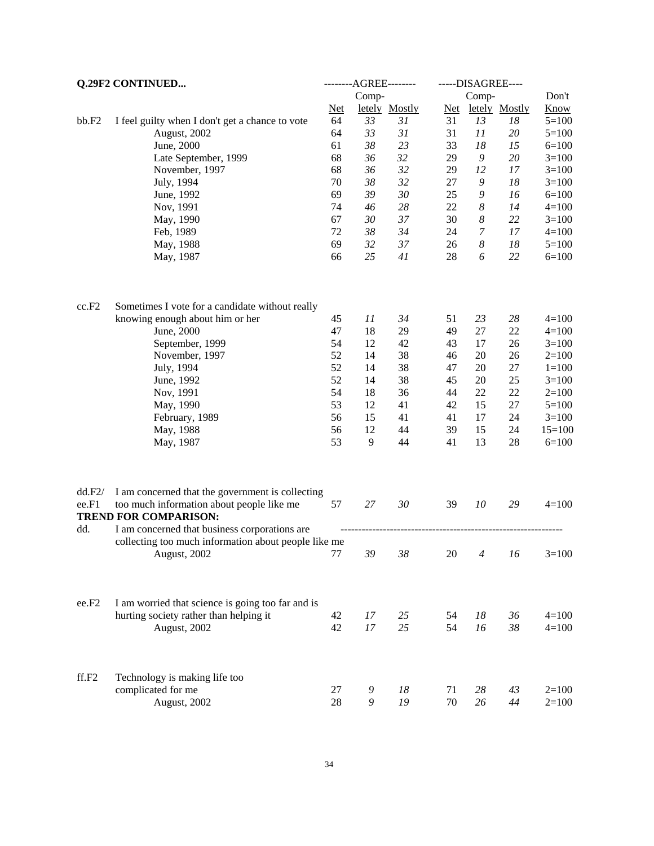| Q.29F2 CONTINUED |                                                                                                                               | --------AGREE-------- |          |               | -----DISAGREE---- |                       |               |                      |
|------------------|-------------------------------------------------------------------------------------------------------------------------------|-----------------------|----------|---------------|-------------------|-----------------------|---------------|----------------------|
|                  |                                                                                                                               |                       | Comp-    |               |                   | Comp-                 |               | Don't                |
|                  |                                                                                                                               | $Net$                 |          | letely Mostly | Net               |                       | letely Mostly | <b>Know</b>          |
| bb.F2            | I feel guilty when I don't get a chance to vote                                                                               | 64                    | 33       | 31            | 31                | 13                    | 18            | $5=100$              |
|                  | August, 2002                                                                                                                  | 64                    | 33       | 31            | 31                | 11                    | $20\,$        | $5=100$              |
|                  | June, 2000                                                                                                                    | 61                    | 38       | 23            | 33                | 18                    | 15            | $6=100$              |
|                  | Late September, 1999                                                                                                          | 68                    | 36       | 32            | 29                | $\boldsymbol{9}$      | $20\,$        | $3=100$              |
|                  | November, 1997                                                                                                                | 68                    | 36       | 32            | 29                | 12                    | 17            | $3=100$              |
|                  | July, 1994                                                                                                                    | 70                    | 38       | 32            | 27                | $\boldsymbol{9}$      | 18            | $3=100$              |
|                  | June, 1992                                                                                                                    | 69                    | 39       | $30\,$        | 25                | 9                     | 16            | $6=100$              |
|                  | Nov, 1991                                                                                                                     | 74                    | 46       | 28            | 22                | 8                     | 14            | $4 = 100$            |
|                  | May, 1990                                                                                                                     | 67                    | 30       | 37            | 30                | $\boldsymbol{8}$      | 22            | $3=100$              |
|                  | Feb, 1989                                                                                                                     | 72                    | 38       | 34            | 24                | $\overline{7}$        | 17            | $4=100$              |
|                  | May, 1988                                                                                                                     | 69<br>66              | 32<br>25 | 37<br>41      | 26<br>28          | $\boldsymbol{8}$<br>6 | 18<br>22      | $5 = 100$<br>$6=100$ |
|                  | May, 1987                                                                                                                     |                       |          |               |                   |                       |               |                      |
| cc.F2            | Sometimes I vote for a candidate without really                                                                               |                       |          |               |                   |                       |               |                      |
|                  | knowing enough about him or her                                                                                               | 45                    | 11       | 34            | 51                | 23                    | 28            | $4=100$              |
|                  | June, 2000                                                                                                                    | 47                    | 18       | 29            | 49                | $27\,$                | $22\,$        | $4=100$              |
|                  | September, 1999                                                                                                               | 54                    | 12       | 42            | 43                | 17                    | 26            | $3=100$              |
|                  | November, 1997                                                                                                                | 52                    | 14       | 38            | 46                | 20                    | 26            | $2=100$              |
|                  | July, 1994                                                                                                                    | 52                    | 14       | 38            | 47                | 20                    | $27\,$        | $1=100$              |
|                  | June, 1992                                                                                                                    | 52                    | 14       | 38            | 45                | $20\,$                | 25            | $3=100$              |
|                  | Nov, 1991                                                                                                                     | 54                    | 18       | 36            | 44                | 22                    | $22\,$        | $2=100$              |
|                  | May, 1990                                                                                                                     | 53<br>56              | 12       | 41            | 42                | 15                    | $27\,$        | $5=100$              |
|                  | February, 1989                                                                                                                | 56                    | 15<br>12 | 41<br>44      | 41<br>39          | 17<br>15              | 24<br>24      | $3=100$<br>$15=100$  |
|                  | May, 1988<br>May, 1987                                                                                                        | 53                    | 9        | 44            | 41                | 13                    | 28            | $6=100$              |
|                  |                                                                                                                               |                       |          |               |                   |                       |               |                      |
| dd.F2/<br>ee.F1  | I am concerned that the government is collecting<br>too much information about people like me<br><b>TREND FOR COMPARISON:</b> | 57                    | 27       | 30            | 39                | 10                    | 29            | $4=100$              |
| dd.              | I am concerned that business corporations are<br>collecting too much information about people like me                         |                       |          |               |                   |                       |               |                      |
|                  | August, 2002                                                                                                                  | 77                    | 39       | 38            | 20                | $\overline{4}$        | 16            | $3=100$              |
| ee.F2            | I am worried that science is going too far and is<br>hurting society rather than helping it                                   | 42                    | 17       | 25            | 54                | $18\,$                | 36            | $4 = 100$            |
|                  | August, 2002                                                                                                                  | 42                    | 17       | 25            | 54                | 16                    | 38            | $4=100$              |
|                  |                                                                                                                               |                       |          |               |                   |                       |               |                      |
| ff.F2            | Technology is making life too                                                                                                 |                       |          |               |                   |                       |               |                      |
|                  | complicated for me                                                                                                            | 27<br>28              | 9        | 18<br>19      | 71                | $28\,$                | 43            | $2=100$              |
|                  | August, 2002                                                                                                                  |                       | 9        |               | 70                | 26                    | 44            | $2=100$              |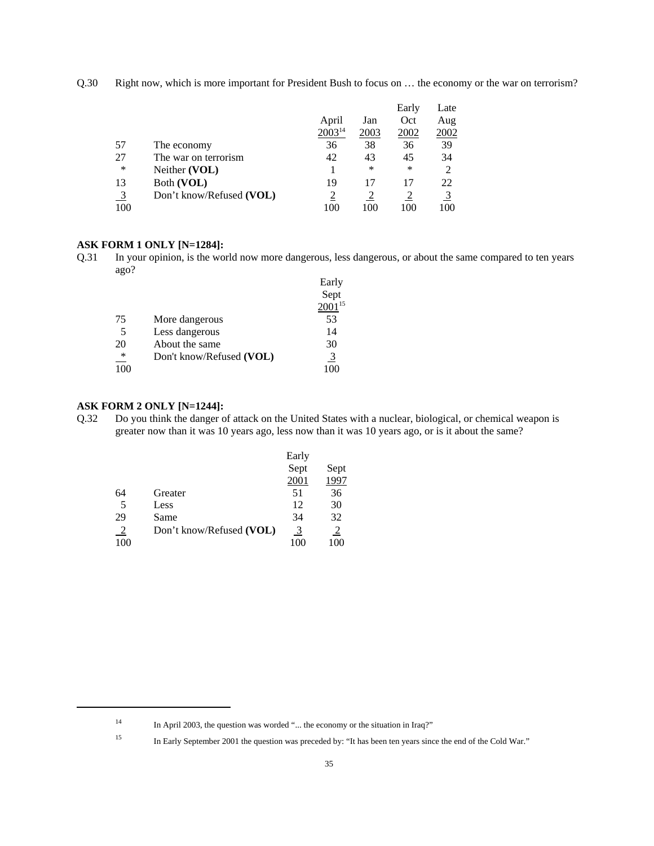Q.30 Right now, which is more important for President Bush to focus on … the economy or the war on terrorism?

|     |                          |                    |      | Early | Late           |
|-----|--------------------------|--------------------|------|-------|----------------|
|     |                          | April              | Jan  | Oct   | Aug            |
|     |                          | 2003 <sup>14</sup> | 2003 | 2002  | 2002           |
| 57  | The economy              | 36                 | 38   | 36    | 39             |
| 27  | The war on terrorism     | 42                 | 43   | 45    | 34             |
| *   | Neither (VOL)            |                    | *    | ∗     | $\overline{2}$ |
| 13  | Both (VOL)               | 19                 | 17   | 17    | 22             |
|     | Don't know/Refused (VOL) |                    |      |       | $\overline{3}$ |
| 100 |                          | 100                | 100  | 100   | 100            |

#### **ASK FORM 1 ONLY [N=1284]:**

Q.31 In your opinion, is the world now more dangerous, less dangerous, or about the same compared to ten years ago?

|             |                          | Early          |
|-------------|--------------------------|----------------|
|             |                          | Sept           |
|             |                          | $2001^{15}$    |
| 75          | More dangerous           | 53             |
| 5           | Less dangerous           | 14             |
| 20          | About the same           | 30             |
| $\ast$<br>— | Don't know/Refused (VOL) | $\overline{3}$ |
| 100         |                          |                |

### **ASK FORM 2 ONLY [N=1244]:**

Q.32 Do you think the danger of attack on the United States with a nuclear, biological, or chemical weapon is greater now than it was 10 years ago, less now than it was 10 years ago, or is it about the same?

|     |                          | Early |                |
|-----|--------------------------|-------|----------------|
|     |                          | Sept  | Sept           |
|     |                          | 2001  | 1997           |
| 64  | Greater                  | 51    | 36             |
| 5   | Less                     | 12    | 30             |
| 29  | Same                     | 34    | 32             |
| -2  | Don't know/Refused (VOL) | 3     | $\overline{2}$ |
| 100 |                          | 100   | 100            |

<sup>&</sup>lt;sup>14</sup> In April 2003, the question was worded "... the economy or the situation in Iraq?"

<sup>&</sup>lt;sup>15</sup> In Early September 2001 the question was preceded by: "It has been ten years since the end of the Cold War."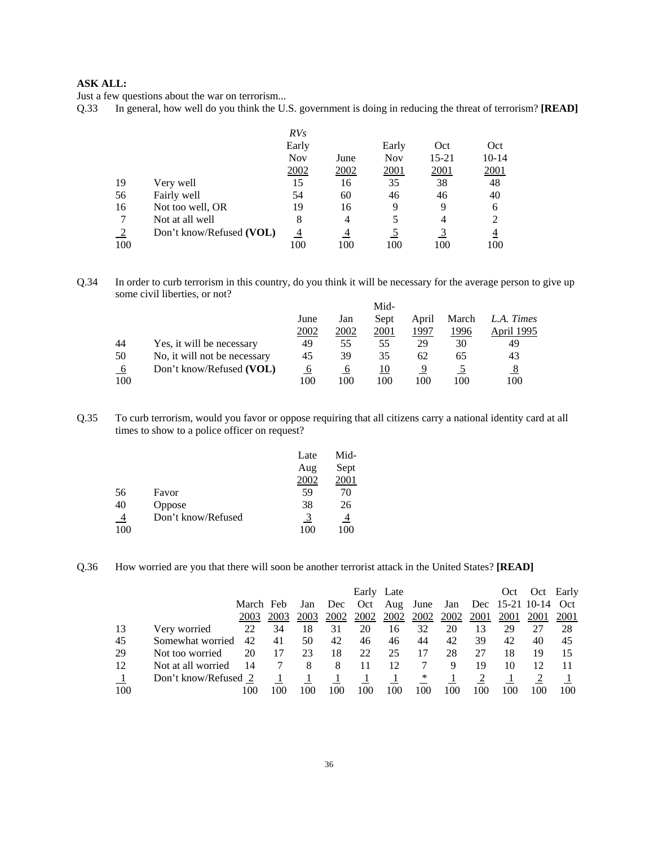Just a few questions about the war on terrorism...

Q.33 In general, how well do you think the U.S. government is doing in reducing the threat of terrorism? **[READ]** 

|     |                          | RVs        |                |            |             |                |
|-----|--------------------------|------------|----------------|------------|-------------|----------------|
|     |                          | Early      |                | Early      | Oct         | Oct            |
|     |                          | <b>Nov</b> | June           | <b>Nov</b> | 15-21       | $10 - 14$      |
|     |                          | 2002       | 2002           | 2001       | <u>2001</u> | 2001           |
| 19  | Very well                | 15         | 16             | 35         | 38          | 48             |
| 56  | Fairly well              | 54         | 60             | 46         | 46          | 40             |
| 16  | Not too well, OR         | 19         | 16             | 9          | 9           | 6              |
|     | Not at all well          | 8          | $\overline{4}$ |            | 4           | $\overline{2}$ |
|     | Don't know/Refused (VOL) | 4          |                |            |             | 4              |
| 100 |                          | 100        | 100            | 100        | 100         | 100            |

Q.34 In order to curb terrorism in this country, do you think it will be necessary for the average person to give up some civil liberties, or not? Mid-

|             |                              |      |      | <b>M10-</b> |       |       |            |
|-------------|------------------------------|------|------|-------------|-------|-------|------------|
|             |                              | June | Jan  | Sept        | April | March | L.A. Times |
|             |                              | 2002 | 2002 | 2001        | 1997  | 1996  | April 1995 |
| 44          | Yes, it will be necessary    | 49   | 55   | 55          | 29    | 30    | 49         |
| 50          | No, it will not be necessary | 45   | 39   | 35          | 62    | 65    | 43         |
| $6^{\circ}$ | Don't know/Refused (VOL)     | O    | O    | 10          |       |       |            |
| 100         |                              | 100  | 100  | 100         | 100   | 100   | 100        |

Q.35 To curb terrorism, would you favor or oppose requiring that all citizens carry a national identity card at all times to show to a police officer on request?

|     |                    | Late | Mid- |
|-----|--------------------|------|------|
|     |                    | Aug  | Sept |
|     |                    | 2002 | 2001 |
| 56  | Favor              | 59   | 70   |
| 40  | Oppose             | 38   | 26   |
|     | Don't know/Refused | 3    | 4    |
| 100 |                    | 100  | 100  |

Q.36 How worried are you that there will soon be another terrorist attack in the United States? **[READ]**

|     |                      |           |      |      |      | Early Late |                  |             |                  |     | Oct                 | Oct         | Early |
|-----|----------------------|-----------|------|------|------|------------|------------------|-------------|------------------|-----|---------------------|-------------|-------|
|     |                      | March Feb |      | Jan  | Dec  |            | Oct Aug June     |             | Jan              |     | Dec 15-21 10-14 Oct |             |       |
|     |                      | 2003      | 2003 | 2003 | 2002 |            | <u>2002</u> 2002 | <u>2002</u> | <u>2002</u> 2001 |     | 2001                | <u>2001</u> | 2001  |
| 13  | Very worried         | 22        | 34   | 18   | 31   | 20         | 16               | 32          | 20               | 13  | 29                  | 27          | 28    |
| 45  | Somewhat worried     | 42        | 41   | 50   | 42   | 46         | 46               | 44          | 42               | 39  | 42                  | 40          | 45    |
| 29  | Not too worried      | 20        | 17   | 23   | 18   | 22         | 25               | 17          | 28               | 27  | 18                  | 19          | 15    |
| 12  | Not at all worried   | 14        |      | 8    | 8    | 11         | 12               |             | 9                | 19  | 10                  | 12          |       |
|     | Don't know/Refused 2 |           |      |      |      |            | -1               | $\ast$      |                  |     |                     |             |       |
| 100 |                      | 100       | 100  | 100  | 100  | 100        | 100              | 100         | 100              | 100 | 100                 |             | 100   |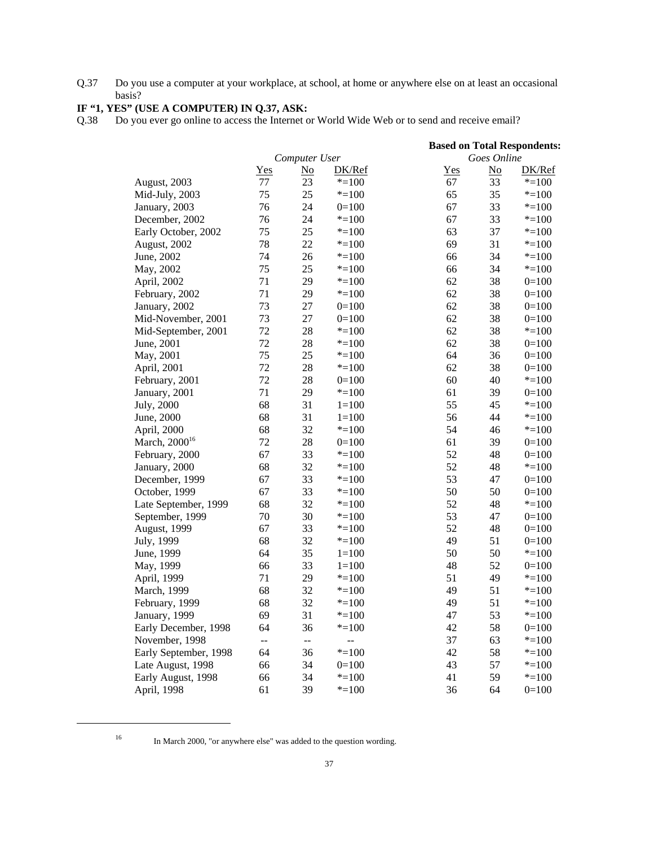Q.37 Do you use a computer at your workplace, at school, at home or anywhere else on at least an occasional basis?

# **IF "1, YES" (USE A COMPUTER) IN Q.37, ASK:**

Q.38 Do you ever go online to access the Internet or World Wide Web or to send and receive email?

|                           | <b>Based on Total Respondents:</b> |                           |                          |     |                           |           |  |  |
|---------------------------|------------------------------------|---------------------------|--------------------------|-----|---------------------------|-----------|--|--|
|                           |                                    | Computer User             |                          |     | Goes Online               |           |  |  |
|                           | <u>Yes</u>                         | $\underline{\mathrm{No}}$ | DK/Ref                   | Yes | $\underline{\mathrm{No}}$ | DK/Ref    |  |  |
| August, 2003              | 77                                 | 23                        | $* = 100$                | 67  | 33                        | $* = 100$ |  |  |
| Mid-July, 2003            | 75                                 | 25                        | $* = 100$                | 65  | 35                        | $* = 100$ |  |  |
| January, 2003             | 76                                 | 24                        | $0=100$                  | 67  | 33                        | $* = 100$ |  |  |
| December, 2002            | 76                                 | 24                        | $* = 100$                | 67  | 33                        | $* = 100$ |  |  |
| Early October, 2002       | 75                                 | 25                        | $* = 100$                | 63  | 37                        | $* = 100$ |  |  |
| August, 2002              | 78                                 | 22                        | $* = 100$                | 69  | 31                        | $* = 100$ |  |  |
| June, 2002                | 74                                 | 26                        | $* = 100$                | 66  | 34                        | $* = 100$ |  |  |
| May, 2002                 | 75                                 | 25                        | $* = 100$                | 66  | 34                        | $* = 100$ |  |  |
| April, 2002               | 71                                 | 29                        | $* = 100$                | 62  | 38                        | $0=100$   |  |  |
| February, 2002            | 71                                 | 29                        | $* = 100$                | 62  | 38                        | $0=100$   |  |  |
| January, 2002             | 73                                 | 27                        | $0=100$                  | 62  | 38                        | $0=100$   |  |  |
| Mid-November, 2001        | 73                                 | 27                        | $0=100$                  | 62  | 38                        | $0=100$   |  |  |
| Mid-September, 2001       | 72                                 | 28                        | $* = 100$                | 62  | 38                        | $* = 100$ |  |  |
| June, 2001                | 72                                 | 28                        | $* = 100$                | 62  | 38                        | $0=100$   |  |  |
| May, 2001                 | 75                                 | 25                        | $* = 100$                | 64  | 36                        | $0=100$   |  |  |
| April, 2001               | 72                                 | 28                        | $* = 100$                | 62  | 38                        | $0=100$   |  |  |
| February, 2001            | 72                                 | 28                        | $0=100$                  | 60  | 40                        | $* = 100$ |  |  |
| January, 2001             | 71                                 | 29                        | $* = 100$                | 61  | 39                        | $0=100$   |  |  |
| July, 2000                | 68                                 | 31                        | $1=100$                  | 55  | 45                        | $* = 100$ |  |  |
| June, 2000                | 68                                 | 31                        | $1=100$                  | 56  | 44                        | $* = 100$ |  |  |
| April, 2000               | 68                                 | 32                        | $* = 100$                | 54  | 46                        | $* = 100$ |  |  |
| March, 2000 <sup>16</sup> | 72                                 | 28                        | $0=100$                  | 61  | 39                        | $0=100$   |  |  |
| February, 2000            | 67                                 | 33                        | $* = 100$                | 52  | 48                        | $0=100$   |  |  |
| January, 2000             | 68                                 | 32                        | $* = 100$                | 52  | 48                        | $* = 100$ |  |  |
| December, 1999            | 67                                 | 33                        | $* = 100$                | 53  | 47                        | $0=100$   |  |  |
| October, 1999             | 67                                 | 33                        | $* = 100$                | 50  | 50                        | $0=100$   |  |  |
| Late September, 1999      | 68                                 | 32                        | $* = 100$                | 52  | 48                        | $* = 100$ |  |  |
| September, 1999           | 70                                 | 30                        | $* = 100$                | 53  | 47                        | $0=100$   |  |  |
| <b>August, 1999</b>       | 67                                 | 33                        | $* = 100$                | 52  | 48                        | $0=100$   |  |  |
| July, 1999                | 68                                 | 32                        | $* = 100$                | 49  | 51                        | $0=100$   |  |  |
| June, 1999                | 64                                 | 35                        | $1=100$                  | 50  | 50                        | $* = 100$ |  |  |
| May, 1999                 | 66                                 | 33                        | $1=100$                  | 48  | 52                        | $0=100$   |  |  |
| April, 1999               | 71                                 | 29                        | $* = 100$                | 51  | 49                        | $* = 100$ |  |  |
| March, 1999               | 68                                 | 32                        | $* = 100$                | 49  | 51                        | $* = 100$ |  |  |
| February, 1999            | 68                                 | 32                        | $* = 100$                | 49  | 51                        | $* = 100$ |  |  |
| January, 1999             | 69                                 | 31                        | $* = 100$                | 47  | 53                        | $* = 100$ |  |  |
| Early December, 1998      | 64                                 | 36                        | $* = 100$                | 42  | 58                        | $0=100$   |  |  |
| November, 1998            | $\overline{a}$                     | $-$                       | $\overline{\phantom{a}}$ | 37  | 63                        | $* = 100$ |  |  |
| Early September, 1998     | 64                                 | 36                        | $* = 100$                | 42  | 58                        | $* = 100$ |  |  |
| Late August, 1998         | 66                                 | 34                        | $0=100$                  | 43  | 57                        | $* = 100$ |  |  |
| Early August, 1998        | 66                                 | 34                        | $* = 100$                | 41  | 59                        | $* = 100$ |  |  |
| April, 1998               | 61                                 | 39                        | $* = 100$                | 36  | 64                        | $0=100$   |  |  |

<sup>16</sup> In March 2000, "or anywhere else" was added to the question wording.